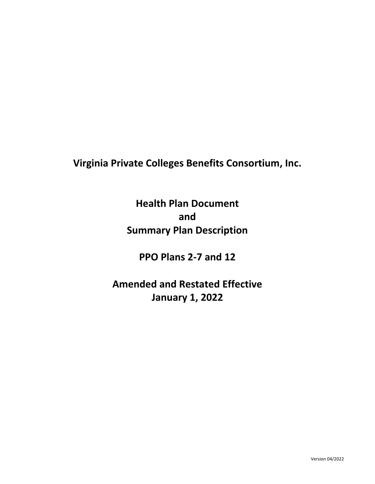**Virginia Private Colleges Benefits Consortium, Inc.**

**Health Plan Document and Summary Plan Description**

**PPO Plans 2-7 and 12**

**Amended and Restated Effective January 1, 2022**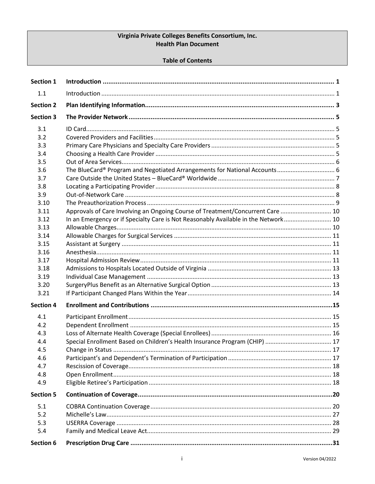## Virginia Private Colleges Benefits Consortium, Inc. **Health Plan Document**

#### **Table of Contents**

| <b>Section 1</b> |                                                                                    |  |
|------------------|------------------------------------------------------------------------------------|--|
| 1.1              |                                                                                    |  |
| <b>Section 2</b> |                                                                                    |  |
| <b>Section 3</b> |                                                                                    |  |
| 3.1              |                                                                                    |  |
| 3.2              |                                                                                    |  |
| 3.3              |                                                                                    |  |
| 3.4              |                                                                                    |  |
| 3.5              |                                                                                    |  |
| 3.6              |                                                                                    |  |
| 3.7              |                                                                                    |  |
| 3.8              |                                                                                    |  |
| 3.9              |                                                                                    |  |
| 3.10             |                                                                                    |  |
| 3.11             | Approvals of Care Involving an Ongoing Course of Treatment/Concurrent Care  10     |  |
| 3.12             | In an Emergency or if Specialty Care is Not Reasonably Available in the Network 10 |  |
| 3.13             |                                                                                    |  |
| 3.14             |                                                                                    |  |
| 3.15             |                                                                                    |  |
| 3.16             |                                                                                    |  |
| 3.17             |                                                                                    |  |
| 3.18             |                                                                                    |  |
| 3.19             |                                                                                    |  |
| 3.20             |                                                                                    |  |
| 3.21             |                                                                                    |  |
| <b>Section 4</b> |                                                                                    |  |
| 4.1              |                                                                                    |  |
| 4.2              |                                                                                    |  |
| 4.3              |                                                                                    |  |
| 4.4              | Special Enrollment Based on Children's Health Insurance Program (CHIP)  17         |  |
| 4.5              |                                                                                    |  |
| 4.6              |                                                                                    |  |
| 4.7              |                                                                                    |  |
| 4.8              |                                                                                    |  |
| 4.9              |                                                                                    |  |
| <b>Section 5</b> |                                                                                    |  |
| 5.1              |                                                                                    |  |
| 5.2              |                                                                                    |  |
| 5.3              |                                                                                    |  |
| 5.4              |                                                                                    |  |
| <b>Section 6</b> |                                                                                    |  |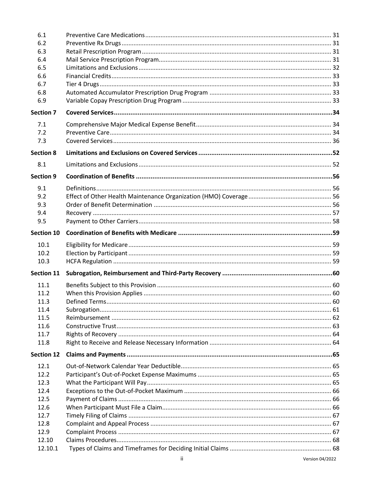| 6.1               |  |
|-------------------|--|
| 6.2               |  |
| 6.3               |  |
| 6.4               |  |
| 6.5               |  |
| 6.6               |  |
| 6.7               |  |
| 6.8               |  |
| 6.9               |  |
| <b>Section 7</b>  |  |
| 7.1               |  |
| 7.2               |  |
| 7.3               |  |
| <b>Section 8</b>  |  |
| 8.1               |  |
| <b>Section 9</b>  |  |
| 9.1               |  |
| 9.2               |  |
| 9.3               |  |
| 9.4               |  |
| 9.5               |  |
| <b>Section 10</b> |  |
| 10.1              |  |
| 10.2              |  |
| 10.3              |  |
| <b>Section 11</b> |  |
| 11.1              |  |
|                   |  |
| 11.2              |  |
| 11.3              |  |
| 11.4              |  |
| 11.5              |  |
| 11.6<br>11.7      |  |
| 11.8              |  |
|                   |  |
| <b>Section 12</b> |  |
|                   |  |
| 12.1              |  |
| 12.2              |  |
| 12.3              |  |
| 12.4              |  |
| 12.5              |  |
| 12.6              |  |
| 12.7              |  |
| 12.8              |  |
| 12.9              |  |
| 12.10<br>12.10.1  |  |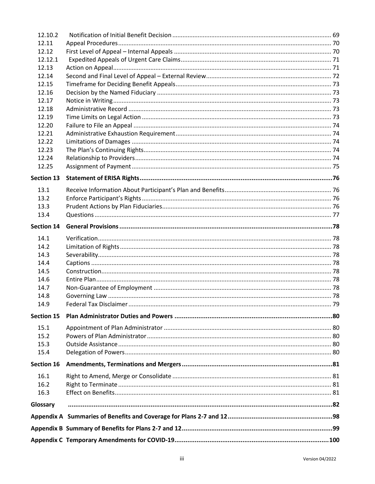| Glossary          |  |
|-------------------|--|
| 16.3              |  |
| 16.2              |  |
| 16.1              |  |
| Section 16        |  |
| 15.4              |  |
| 15.3              |  |
| 15.2              |  |
| 15.1              |  |
| <b>Section 15</b> |  |
| 14.9              |  |
| 14.8              |  |
| 14.7              |  |
| 14.6              |  |
| 14.5              |  |
| 14.4              |  |
| 14.3              |  |
| 14.2              |  |
| 14.1              |  |
| <b>Section 14</b> |  |
| 13.4              |  |
| 13.3              |  |
| 13.2              |  |
| 13.1              |  |
| <b>Section 13</b> |  |
| 12.25             |  |
| 12.24             |  |
| 12.23             |  |
| 12.22             |  |
| 12.21             |  |
| 12.20             |  |
| 12.19             |  |
| 12.18             |  |
| 12.17             |  |
| 12.16             |  |
| 12.15             |  |
| 12.14             |  |
| 12.13             |  |
| 12.12.1           |  |
| 12.12             |  |
| 12.11             |  |
| 12.10.2           |  |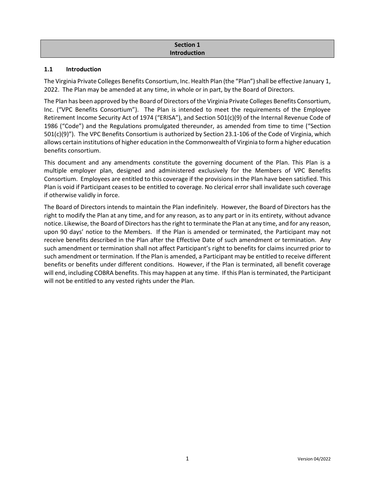# **Section 1 Introduction**

#### **1.1 Introduction**

The Virginia Private Colleges Benefits Consortium, Inc. Health Plan (the "Plan") shall be effective January 1, 2022. The Plan may be amended at any time, in whole or in part, by the Board of Directors.

The Plan has been approved by the Board of Directors of the Virginia Private Colleges Benefits Consortium, Inc. ("VPC Benefits Consortium"). The Plan is intended to meet the requirements of the Employee Retirement Income Security Act of 1974 ("ERISA"), and Section 501(c)(9) of the Internal Revenue Code of 1986 ("Code") and the Regulations promulgated thereunder, as amended from time to time ("Section 501(c)(9)"). The VPC Benefits Consortium is authorized by Section 23.1-106 of the Code of Virginia, which allows certain institutions of higher education in the Commonwealth of Virginia to form a higher education benefits consortium.

This document and any amendments constitute the governing document of the Plan. This Plan is a multiple employer plan, designed and administered exclusively for the Members of VPC Benefits Consortium. Employees are entitled to this coverage if the provisions in the Plan have been satisfied. This Plan is void if Participant ceases to be entitled to coverage. No clerical error shall invalidate such coverage if otherwise validly in force.

The Board of Directors intends to maintain the Plan indefinitely. However, the Board of Directors has the right to modify the Plan at any time, and for any reason, as to any part or in its entirety, without advance notice. Likewise, the Board of Directors has the right to terminate the Plan at any time, and for any reason, upon 90 days' notice to the Members. If the Plan is amended or terminated, the Participant may not receive benefits described in the Plan after the Effective Date of such amendment or termination. Any such amendment or termination shall not affect Participant's right to benefits for claims incurred prior to such amendment or termination. If the Plan is amended, a Participant may be entitled to receive different benefits or benefits under different conditions. However, if the Plan is terminated, all benefit coverage will end, including COBRA benefits. This may happen at any time. If this Plan is terminated, the Participant will not be entitled to any vested rights under the Plan.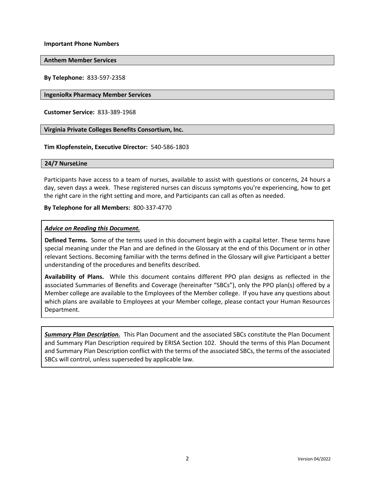**Important Phone Numbers**

**Anthem Member Services**

**By Telephone:** 833-597-2358

**IngenioRx Pharmacy Member Services**

**Customer Service:** 833-389-1968

**Virginia Private Colleges Benefits Consortium, Inc.**

**Tim Klopfenstein, Executive Director:** 540-586-1803

#### **24/7 NurseLine**

Participants have access to a team of nurses, available to assist with questions or concerns, 24 hours a day, seven days a week. These registered nurses can discuss symptoms you're experiencing, how to get the right care in the right setting and more, and Participants can call as often as needed.

**By Telephone for all Members:** 800-337-4770

#### *Advice on Reading this Document.*

**Defined Terms.** Some of the terms used in this document begin with a capital letter. These terms have special meaning under the Plan and are defined in the Glossary at the end of this Document or in other relevant Sections. Becoming familiar with the terms defined in the Glossary will give Participant a better understanding of the procedures and benefits described.

**Availability of Plans.** While this document contains different PPO plan designs as reflected in the associated Summaries of Benefits and Coverage (hereinafter "SBCs"), only the PPO plan(s) offered by a Member college are available to the Employees of the Member college. If you have any questions about which plans are available to Employees at your Member college, please contact your Human Resources Department.

*Summary Plan Description.*This Plan Document and the associated SBCs constitute the Plan Document and Summary Plan Description required by ERISA Section 102. Should the terms of this Plan Document and Summary Plan Description conflict with the terms of the associated SBCs, the terms of the associated SBCs will control, unless superseded by applicable law.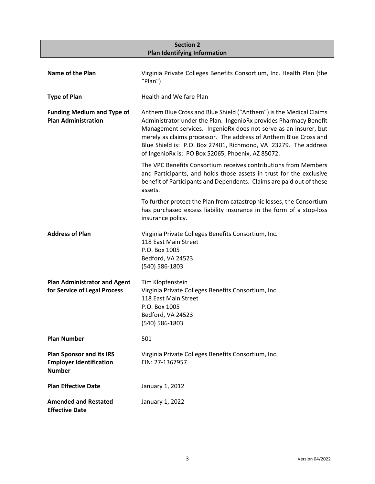# **Section 2 Plan Identifying Information**

| Name of the Plan                                                                   | Virginia Private Colleges Benefits Consortium, Inc. Health Plan (the<br>"Plan")                                                                                                                                                                                                                                                                                                                         |
|------------------------------------------------------------------------------------|---------------------------------------------------------------------------------------------------------------------------------------------------------------------------------------------------------------------------------------------------------------------------------------------------------------------------------------------------------------------------------------------------------|
| <b>Type of Plan</b>                                                                | <b>Health and Welfare Plan</b>                                                                                                                                                                                                                                                                                                                                                                          |
| <b>Funding Medium and Type of</b><br><b>Plan Administration</b>                    | Anthem Blue Cross and Blue Shield ("Anthem") is the Medical Claims<br>Administrator under the Plan. IngenioRx provides Pharmacy Benefit<br>Management services. IngenioRx does not serve as an insurer, but<br>merely as claims processor. The address of Anthem Blue Cross and<br>Blue Shield is: P.O. Box 27401, Richmond, VA 23279. The address<br>of IngenioRx is: PO Box 52065, Phoenix, AZ 85072. |
|                                                                                    | The VPC Benefits Consortium receives contributions from Members<br>and Participants, and holds those assets in trust for the exclusive<br>benefit of Participants and Dependents. Claims are paid out of these<br>assets.                                                                                                                                                                               |
|                                                                                    | To further protect the Plan from catastrophic losses, the Consortium<br>has purchased excess liability insurance in the form of a stop-loss<br>insurance policy.                                                                                                                                                                                                                                        |
| <b>Address of Plan</b>                                                             | Virginia Private Colleges Benefits Consortium, Inc.<br>118 East Main Street<br>P.O. Box 1005<br>Bedford, VA 24523<br>(540) 586-1803                                                                                                                                                                                                                                                                     |
| <b>Plan Administrator and Agent</b><br>for Service of Legal Process                | Tim Klopfenstein<br>Virginia Private Colleges Benefits Consortium, Inc.<br>118 East Main Street<br>P.O. Box 1005<br>Bedford, VA 24523<br>(540) 586-1803                                                                                                                                                                                                                                                 |
| <b>Plan Number</b>                                                                 | 501                                                                                                                                                                                                                                                                                                                                                                                                     |
| <b>Plan Sponsor and its IRS</b><br><b>Employer Identification</b><br><b>Number</b> | Virginia Private Colleges Benefits Consortium, Inc.<br>EIN: 27-1367957                                                                                                                                                                                                                                                                                                                                  |
| <b>Plan Effective Date</b>                                                         | January 1, 2012                                                                                                                                                                                                                                                                                                                                                                                         |
| <b>Amended and Restated</b><br><b>Effective Date</b>                               | January 1, 2022                                                                                                                                                                                                                                                                                                                                                                                         |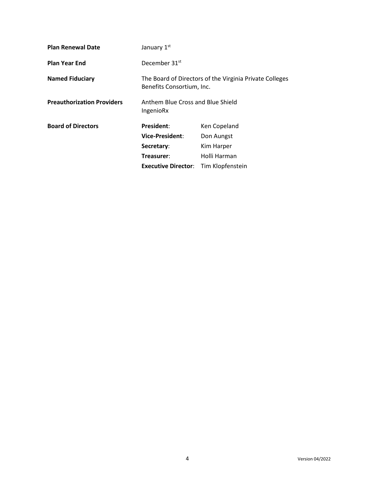| <b>Plan Renewal Date</b>          | January 1st                                    |                                                         |
|-----------------------------------|------------------------------------------------|---------------------------------------------------------|
| <b>Plan Year End</b>              | December 31 <sup>st</sup>                      |                                                         |
| <b>Named Fiduciary</b>            | Benefits Consortium, Inc.                      | The Board of Directors of the Virginia Private Colleges |
| <b>Preauthorization Providers</b> | Anthem Blue Cross and Blue Shield<br>IngenioRx |                                                         |
| <b>Board of Directors</b>         | President:                                     | Ken Copeland                                            |
|                                   | <b>Vice-President:</b>                         | Don Aungst                                              |
|                                   | Secretary:                                     | Kim Harper                                              |
|                                   | Treasurer:                                     | Holli Harman                                            |
|                                   | <b>Executive Director:</b>                     | Tim Klopfenstein                                        |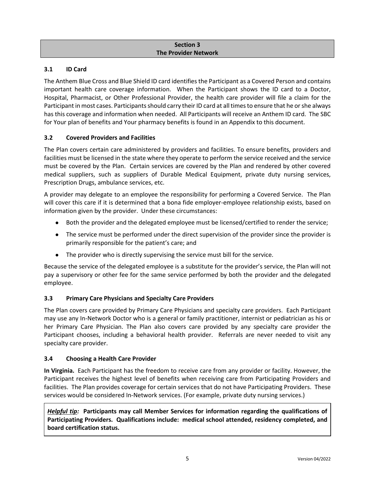#### **Section 3 The Provider Network**

## **3.1 ID Card**

The Anthem Blue Cross and Blue Shield ID card identifies the Participant as a Covered Person and contains important health care coverage information. When the Participant shows the ID card to a Doctor, Hospital, Pharmacist, or Other Professional Provider, the health care provider will file a claim for the Participant in most cases. Participants should carry their ID card at all times to ensure that he or she always has this coverage and information when needed. All Participants will receive an Anthem ID card. The SBC for Your plan of benefits and Your pharmacy benefits is found in an Appendix to this document.

## **3.2 Covered Providers and Facilities**

The Plan covers certain care administered by providers and facilities. To ensure benefits, providers and facilities must be licensed in the state where they operate to perform the service received and the service must be covered by the Plan. Certain services are covered by the Plan and rendered by other covered medical suppliers, such as suppliers of Durable Medical Equipment, private duty nursing services, Prescription Drugs, ambulance services, etc.

A provider may delegate to an employee the responsibility for performing a Covered Service. The Plan will cover this care if it is determined that a bona fide employer-employee relationship exists, based on information given by the provider. Under these circumstances:

- Both the provider and the delegated employee must be licensed/certified to render the service;
- The service must be performed under the direct supervision of the provider since the provider is primarily responsible for the patient's care; and
- The provider who is directly supervising the service must bill for the service.

Because the service of the delegated employee is a substitute for the provider's service, the Plan will not pay a supervisory or other fee for the same service performed by both the provider and the delegated employee.

## **3.3 Primary Care Physicians and Specialty Care Providers**

The Plan covers care provided by Primary Care Physicians and specialty care providers. Each Participant may use any In-Network Doctor who is a general or family practitioner, internist or pediatrician as his or her Primary Care Physician. The Plan also covers care provided by any specialty care provider the Participant chooses, including a behavioral health provider. Referrals are never needed to visit any specialty care provider.

## **3.4 Choosing a Health Care Provider**

**In Virginia.** Each Participant has the freedom to receive care from any provider or facility. However, the Participant receives the highest level of benefits when receiving care from Participating Providers and facilities. The Plan provides coverage for certain services that do not have Participating Providers. These services would be considered In-Network services. (For example, private duty nursing services.)

*Helpful tip:* **Participants may call Member Services for information regarding the qualifications of Participating Providers. Qualifications include: medical school attended, residency completed, and board certification status.**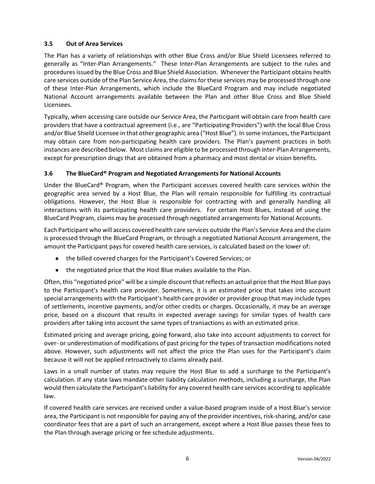## **3.5 Out of Area Services**

The Plan has a variety of relationships with other Blue Cross and/or Blue Shield Licensees referred to generally as "Inter-Plan Arrangements." These Inter-Plan Arrangements are subject to the rules and procedures issued by the Blue Cross and Blue Shield Association. Whenever the Participant obtains health care services outside of the Plan Service Area, the claims for these services may be processed through one of these Inter-Plan Arrangements, which include the BlueCard Program and may include negotiated National Account arrangements available between the Plan and other Blue Cross and Blue Shield Licensees.

Typically, when accessing care outside our Service Area, the Participant will obtain care from health care providers that have a contractual agreement (i.e., are "Participating Providers") with the local Blue Cross and/or Blue Shield Licensee in that other geographic area ("Host Blue"). In some instances, the Participant may obtain care from non-participating health care providers. The Plan's payment practices in both instances are described below. Most claims are eligible to be processed through Inter-Plan Arrangements, except for prescription drugs that are obtained from a pharmacy and most dental or vision benefits.

## **3.6 The BlueCard® Program and Negotiated Arrangements for National Accounts**

Under the BlueCard® Program, when the Participant accesses covered health care services within the geographic area served by a Host Blue, the Plan will remain responsible for fulfilling its contractual obligations. However, the Host Blue is responsible for contracting with and generally handling all interactions with its participating health care providers. For certain Host Blues, instead of using the BlueCard Program, claims may be processed through negotiated arrangements for National Accounts.

Each Participant who will access covered health care services outside the Plan's Service Area and the claim is processed through the BlueCard Program, or through a negotiated National Account arrangement, the amount the Participant pays for covered health care services, is calculated based on the lower of:

- the billed covered charges for the Participant's Covered Services; or
- the negotiated price that the Host Blue makes available to the Plan.

Often, this "negotiated price" will be a simple discount that reflects an actual price that the Host Blue pays to the Participant's health care provider. Sometimes, it is an estimated price that takes into account special arrangements with the Participant's health care provider or provider group that may include types of settlements, incentive payments, and/or other credits or charges. Occasionally, it may be an average price, based on a discount that results in expected average savings for similar types of health care providers after taking into account the same types of transactions as with an estimated price.

Estimated pricing and average pricing, going forward, also take into account adjustments to correct for over- or underestimation of modifications of past pricing for the types of transaction modifications noted above. However, such adjustments will not affect the price the Plan uses for the Participant's claim because it will not be applied retroactively to claims already paid.

Laws in a small number of states may require the Host Blue to add a surcharge to the Participant's calculation. If any state laws mandate other liability calculation methods, including a surcharge, the Plan would then calculate the Participant's liability for any covered health care services according to applicable law.

If covered health care services are received under a value-based program inside of a Host Blue's service area, the Participant is not responsible for paying any of the provider incentives, risk-sharing, and/or case coordinator fees that are a part of such an arrangement, except where a Host Blue passes these fees to the Plan through average pricing or fee schedule adjustments.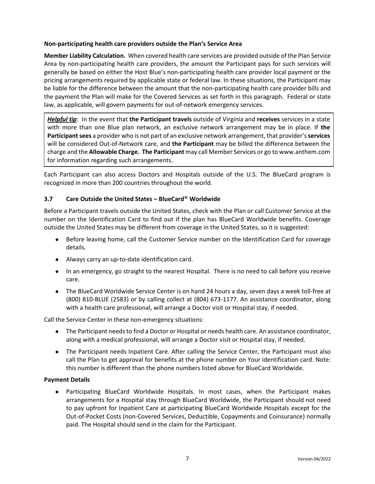#### **Non-participating health care providers outside the Plan's Service Area**

**Member Liability Calculation.** When covered health care services are provided outside of the Plan Service Area by non-participating health care providers, the amount the Participant pays for such services will generally be based on either the Host Blue's non-participating health care provider local payment or the pricing arrangements required by applicable state or federal law. In these situations, the Participant may be liable for the difference between the amount that the non-participating health care provider bills and the payment the Plan will make for the Covered Services as set forth in this paragraph. Federal or state law, as applicable, will govern payments for out-of-network emergency services.

*Helpful tip*: In the event that **the Participant travels** outside of Virginia and **receives** services in a state with more than one Blue plan network, an exclusive network arrangement may be in place. If **the**  Participant sees a provider who is not part of an exclusive network arrangement, that provider's services will be considered Out-of-Network care, and **the Participant** may be billed the difference between the charge and the **Allowable Charge. The Participant** may call Member Services or go to www.anthem.com for information regarding such arrangements.

Each Participant can also access Doctors and Hospitals outside of the U.S. The BlueCard program is recognized in more than 200 countries throughout the world.

#### **3.7 Care Outside the United States – BlueCard**® **Worldwide**

Before a Participant travels outside the United States, check with the Plan or call Customer Service at the number on the Identification Card to find out if the plan has BlueCard Worldwide benefits. Coverage outside the United States may be different from coverage in the United States, so it is suggested:

- Before leaving home, call the Customer Service number on the Identification Card for coverage details.
- Always carry an up-to-date identification card.
- In an emergency, go straight to the nearest Hospital. There is no need to call before you receive care.
- The BlueCard Worldwide Service Center is on hand 24 hours a day, seven days a week toll-free at (800) 810-BLUE (2583) or by calling collect at (804) 673-1177. An assistance coordinator, along with a health care professional, will arrange a Doctor visit or Hospital stay, if needed.

Call the Service Center in these non-emergency situations:

- The Participant needs to find a Doctor or Hospital or needs health care. An assistance coordinator, along with a medical professional, will arrange a Doctor visit or Hospital stay, if needed.
- The Participant needs Inpatient Care. After calling the Service Center, the Participant must also call the Plan to get approval for benefits at the phone number on Your identification card. Note: this number is different than the phone numbers listed above for BlueCard Worldwide.

#### **Payment Details**

Participating BlueCard Worldwide Hospitals. In most cases, when the Participant makes arrangements for a Hospital stay through BlueCard Worldwide, the Participant should not need to pay upfront for Inpatient Care at participating BlueCard Worldwide Hospitals except for the Out-of-Pocket Costs (non-Covered Services, Deductible, Copayments and Coinsurance) normally paid. The Hospital should send in the claim for the Participant.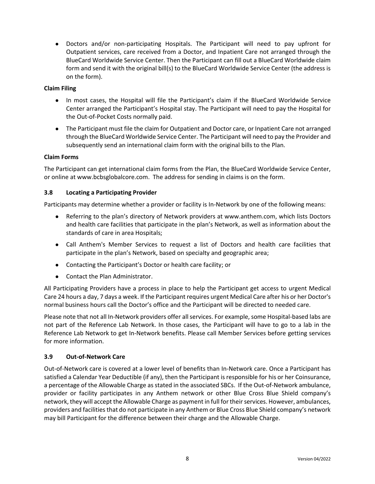● Doctors and/or non-participating Hospitals. The Participant will need to pay upfront for Outpatient services, care received from a Doctor, and Inpatient Care not arranged through the BlueCard Worldwide Service Center. Then the Participant can fill out a BlueCard Worldwide claim form and send it with the original bill(s) to the BlueCard Worldwide Service Center (the address is on the form).

## **Claim Filing**

- In most cases, the Hospital will file the Participant's claim if the BlueCard Worldwide Service Center arranged the Participant's Hospital stay. The Participant will need to pay the Hospital for the Out-of-Pocket Costs normally paid.
- The Participant must file the claim for Outpatient and Doctor care, or Inpatient Care not arranged through the BlueCard Worldwide Service Center. The Participant will need to pay the Provider and subsequently send an international claim form with the original bills to the Plan.

## **Claim Forms**

The Participant can get international claim forms from the Plan, the BlueCard Worldwide Service Center, or online at www.bcbsglobalcore.com. The address for sending in claims is on the form.

## **3.8 Locating a Participating Provider**

Participants may determine whether a provider or facility is In-Network by one of the following means:

- Referring to the plan's directory of Network providers at www.anthem.com, which lists Doctors and health care facilities that participate in the plan's Network, as well as information about the standards of care in area Hospitals;
- Call Anthem's Member Services to request a list of Doctors and health care facilities that participate in the plan's Network, based on specialty and geographic area;
- Contacting the Participant's Doctor or health care facility; or
- Contact the Plan Administrator.

All Participating Providers have a process in place to help the Participant get access to urgent Medical Care 24 hours a day, 7 days a week. If the Participant requires urgent Medical Care after his or her Doctor's normal business hours call the Doctor's office and the Participant will be directed to needed care.

Please note that not all In-Network providers offer all services. For example, some Hospital-based labs are not part of the Reference Lab Network. In those cases, the Participant will have to go to a lab in the Reference Lab Network to get In-Network benefits. Please call Member Services before getting services for more information.

## **3.9 Out-of-Network Care**

Out-of-Network care is covered at a lower level of benefits than In-Network care. Once a Participant has satisfied a Calendar Year Deductible (if any), then the Participant is responsible for his or her Coinsurance, a percentage of the Allowable Charge as stated in the associated SBCs. If the Out-of-Network ambulance, provider or facility participates in any Anthem network or other Blue Cross Blue Shield company's network, they will accept the Allowable Charge as payment in full for their services. However, ambulances, providers and facilities that do not participate in any Anthem or Blue Cross Blue Shield company's network may bill Participant for the difference between their charge and the Allowable Charge.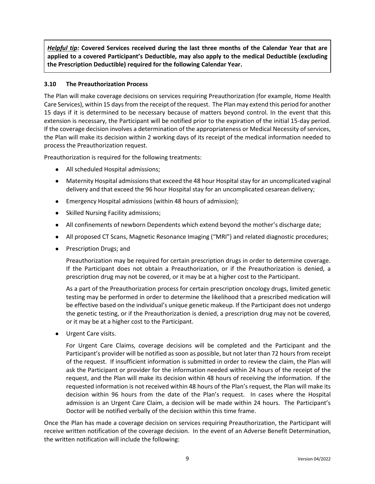*Helpful tip:* **Covered Services received during the last three months of the Calendar Year that are applied to a covered Participant's Deductible, may also apply to the medical Deductible (excluding the Prescription Deductible) required for the following Calendar Year.**

## **3.10 The Preauthorization Process**

The Plan will make coverage decisions on services requiring Preauthorization (for example, Home Health Care Services), within 15 days from the receipt of the request. The Plan may extend this period for another 15 days if it is determined to be necessary because of matters beyond control. In the event that this extension is necessary, the Participant will be notified prior to the expiration of the initial 15-day period. If the coverage decision involves a determination of the appropriateness or Medical Necessity of services, the Plan will make its decision within 2 working days of its receipt of the medical information needed to process the Preauthorization request.

Preauthorization is required for the following treatments:

- All scheduled Hospital admissions;
- Maternity Hospital admissions that exceed the 48 hour Hospital stay for an uncomplicated vaginal delivery and that exceed the 96 hour Hospital stay for an uncomplicated cesarean delivery;
- Emergency Hospital admissions (within 48 hours of admission);
- Skilled Nursing Facility admissions;
- All confinements of newborn Dependents which extend beyond the mother's discharge date;
- All proposed CT Scans, Magnetic Resonance Imaging ("MRI") and related diagnostic procedures;
- Prescription Drugs; and

Preauthorization may be required for certain prescription drugs in order to determine coverage. If the Participant does not obtain a Preauthorization, or if the Preauthorization is denied, a prescription drug may not be covered, or it may be at a higher cost to the Participant.

As a part of the Preauthorization process for certain prescription oncology drugs, limited genetic testing may be performed in order to determine the likelihood that a prescribed medication will be effective based on the individual's unique genetic makeup. If the Participant does not undergo the genetic testing, or if the Preauthorization is denied, a prescription drug may not be covered, or it may be at a higher cost to the Participant.

● Urgent Care visits.

For Urgent Care Claims, coverage decisions will be completed and the Participant and the Participant's provider will be notified as soon as possible, but not later than 72 hours from receipt of the request. If insufficient information is submitted in order to review the claim, the Plan will ask the Participant or provider for the information needed within 24 hours of the receipt of the request, and the Plan will make its decision within 48 hours of receiving the information. If the requested information is not received within 48 hours of the Plan's request, the Plan will make its decision within 96 hours from the date of the Plan's request. In cases where the Hospital admission is an Urgent Care Claim, a decision will be made within 24 hours. The Participant's Doctor will be notified verbally of the decision within this time frame.

Once the Plan has made a coverage decision on services requiring Preauthorization, the Participant will receive written notification of the coverage decision. In the event of an Adverse Benefit Determination, the written notification will include the following: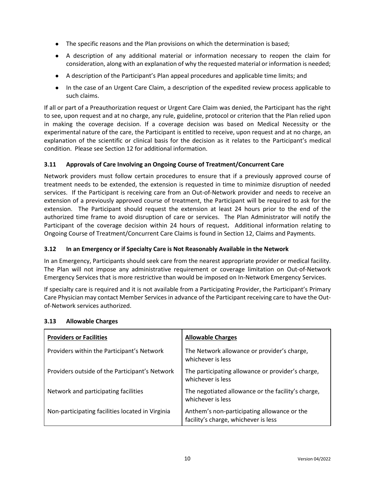- The specific reasons and the Plan provisions on which the determination is based;
- A description of any additional material or information necessary to reopen the claim for consideration, along with an explanation of why the requested material or information is needed;
- A description of the Participant's Plan appeal procedures and applicable time limits; and
- In the case of an Urgent Care Claim, a description of the expedited review process applicable to such claims.

If all or part of a Preauthorization request or Urgent Care Claim was denied, the Participant has the right to see, upon request and at no charge, any rule, guideline, protocol or criterion that the Plan relied upon in making the coverage decision. If a coverage decision was based on Medical Necessity or the experimental nature of the care, the Participant is entitled to receive, upon request and at no charge, an explanation of the scientific or clinical basis for the decision as it relates to the Participant's medical condition. Please see Section 12 for additional information.

## **3.11 Approvals of Care Involving an Ongoing Course of Treatment/Concurrent Care**

Network providers must follow certain procedures to ensure that if a previously approved course of treatment needs to be extended, the extension is requested in time to minimize disruption of needed services. If the Participant is receiving care from an Out-of-Network provider and needs to receive an extension of a previously approved course of treatment, the Participant will be required to ask for the extension. The Participant should request the extension at least 24 hours prior to the end of the authorized time frame to avoid disruption of care or services. The Plan Administrator will notify the Participant of the coverage decision within 24 hours of request**.** Additional information relating to Ongoing Course of Treatment/Concurrent Care Claims is found in Section 12, Claims and Payments.

## **3.12 In an Emergency or if Specialty Care is Not Reasonably Available in the Network**

In an Emergency, Participants should seek care from the nearest appropriate provider or medical facility. The Plan will not impose any administrative requirement or coverage limitation on Out-of-Network Emergency Services that is more restrictive than would be imposed on In-Network Emergency Services.

If specialty care is required and it is not available from a Participating Provider, the Participant's Primary Care Physician may contact Member Services in advance of the Participant receiving care to have the Outof-Network services authorized.

| <b>Providers or Facilities</b>                   | <b>Allowable Charges</b>                                                            |
|--------------------------------------------------|-------------------------------------------------------------------------------------|
| Providers within the Participant's Network       | The Network allowance or provider's charge,<br>whichever is less                    |
| Providers outside of the Participant's Network   | The participating allowance or provider's charge,<br>whichever is less              |
| Network and participating facilities             | The negotiated allowance or the facility's charge,<br>whichever is less             |
| Non-participating facilities located in Virginia | Anthem's non-participating allowance or the<br>facility's charge, whichever is less |

## **3.13 Allowable Charges**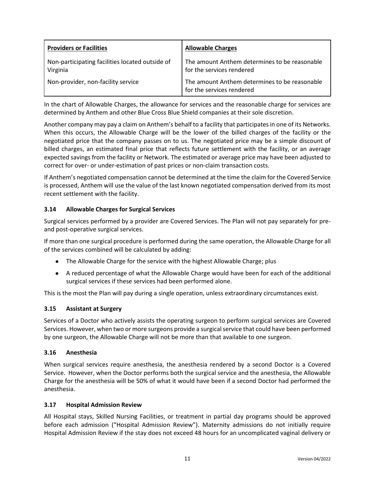| <b>Providers or Facilities</b>                              | <b>Allowable Charges</b>                                                   |
|-------------------------------------------------------------|----------------------------------------------------------------------------|
| Non-participating facilities located outside of<br>Virginia | The amount Anthem determines to be reasonable<br>for the services rendered |
| Non-provider, non-facility service                          | The amount Anthem determines to be reasonable<br>for the services rendered |

In the chart of Allowable Charges, the allowance for services and the reasonable charge for services are determined by Anthem and other Blue Cross Blue Shield companies at their sole discretion.

Another company may pay a claim on Anthem's behalf to a facility that participates in one of its Networks. When this occurs, the Allowable Charge will be the lower of the billed charges of the facility or the negotiated price that the company passes on to us. The negotiated price may be a simple discount of billed charges, an estimated final price that reflects future settlement with the facility, or an average expected savings from the facility or Network. The estimated or average price may have been adjusted to correct for over- or under-estimation of past prices or non-claim transaction costs.

If Anthem's negotiated compensation cannot be determined at the time the claim for the Covered Service is processed, Anthem will use the value of the last known negotiated compensation derived from its most recent settlement with the facility.

## **3.14 Allowable Charges for Surgical Services**

Surgical services performed by a provider are Covered Services. The Plan will not pay separately for preand post-operative surgical services.

If more than one surgical procedure is performed during the same operation, the Allowable Charge for all of the services combined will be calculated by adding:

- The Allowable Charge for the service with the highest Allowable Charge; plus
- A reduced percentage of what the Allowable Charge would have been for each of the additional surgical services if these services had been performed alone.

This is the most the Plan will pay during a single operation, unless extraordinary circumstances exist.

#### **3.15 Assistant at Surgery**

Services of a Doctor who actively assists the operating surgeon to perform surgical services are Covered Services. However, when two or more surgeons provide a surgical service that could have been performed by one surgeon, the Allowable Charge will not be more than that available to one surgeon.

#### **3.16 Anesthesia**

When surgical services require anesthesia, the anesthesia rendered by a second Doctor is a Covered Service. However, when the Doctor performs both the surgical service and the anesthesia, the Allowable Charge for the anesthesia will be 50% of what it would have been if a second Doctor had performed the anesthesia.

#### **3.17 Hospital Admission Review**

All Hospital stays, Skilled Nursing Facilities, or treatment in partial day programs should be approved before each admission ("Hospital Admission Review"). Maternity admissions do not initially require Hospital Admission Review if the stay does not exceed 48 hours for an uncomplicated vaginal delivery or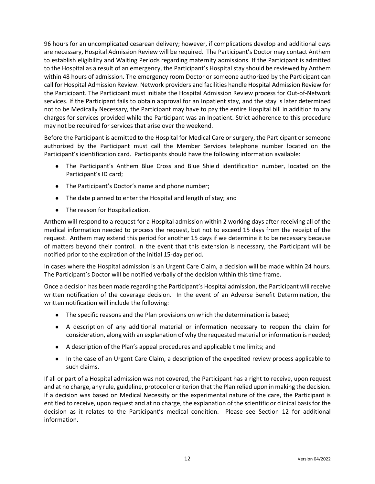96 hours for an uncomplicated cesarean delivery; however, if complications develop and additional days are necessary, Hospital Admission Review will be required. The Participant's Doctor may contact Anthem to establish eligibility and Waiting Periods regarding maternity admissions. If the Participant is admitted to the Hospital as a result of an emergency, the Participant's Hospital stay should be reviewed by Anthem within 48 hours of admission. The emergency room Doctor or someone authorized by the Participant can call for Hospital Admission Review. Network providers and facilities handle Hospital Admission Review for the Participant. The Participant must initiate the Hospital Admission Review process for Out-of-Network services. If the Participant fails to obtain approval for an Inpatient stay, and the stay is later determined not to be Medically Necessary, the Participant may have to pay the entire Hospital bill in addition to any charges for services provided while the Participant was an Inpatient. Strict adherence to this procedure may not be required for services that arise over the weekend.

Before the Participant is admitted to the Hospital for Medical Care or surgery, the Participant or someone authorized by the Participant must call the Member Services telephone number located on the Participant's identification card. Participants should have the following information available:

- The Participant's Anthem Blue Cross and Blue Shield identification number, located on the Participant's ID card;
- The Participant's Doctor's name and phone number;
- The date planned to enter the Hospital and length of stay; and
- The reason for Hospitalization.

Anthem will respond to a request for a Hospital admission within 2 working days after receiving all of the medical information needed to process the request, but not to exceed 15 days from the receipt of the request. Anthem may extend this period for another 15 days if we determine it to be necessary because of matters beyond their control. In the event that this extension is necessary, the Participant will be notified prior to the expiration of the initial 15-day period.

In cases where the Hospital admission is an Urgent Care Claim, a decision will be made within 24 hours. The Participant's Doctor will be notified verbally of the decision within this time frame.

Once a decision has been made regarding the Participant's Hospital admission, the Participant will receive written notification of the coverage decision. In the event of an Adverse Benefit Determination, the written notification will include the following:

- The specific reasons and the Plan provisions on which the determination is based;
- A description of any additional material or information necessary to reopen the claim for consideration, along with an explanation of why the requested material or information is needed;
- A description of the Plan's appeal procedures and applicable time limits; and
- In the case of an Urgent Care Claim, a description of the expedited review process applicable to such claims.

If all or part of a Hospital admission was not covered, the Participant has a right to receive, upon request and at no charge, any rule, guideline, protocol or criterion that the Plan relied upon in making the decision. If a decision was based on Medical Necessity or the experimental nature of the care, the Participant is entitled to receive, upon request and at no charge, the explanation of the scientific or clinical basis for the decision as it relates to the Participant's medical condition. Please see Section 12 for additional information.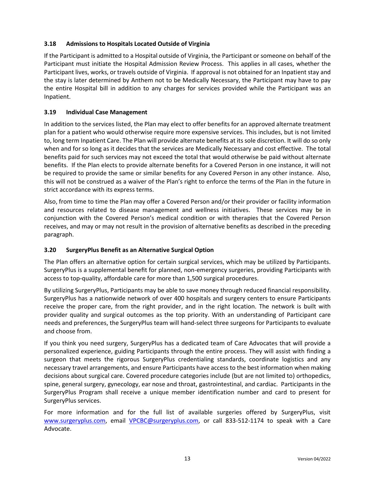## **3.18 Admissions to Hospitals Located Outside of Virginia**

If the Participant is admitted to a Hospital outside of Virginia, the Participant or someone on behalf of the Participant must initiate the Hospital Admission Review Process. This applies in all cases, whether the Participant lives, works, or travels outside of Virginia. If approval is not obtained for an Inpatient stay and the stay is later determined by Anthem not to be Medically Necessary, the Participant may have to pay the entire Hospital bill in addition to any charges for services provided while the Participant was an Inpatient.

## **3.19 Individual Case Management**

In addition to the services listed, the Plan may elect to offer benefits for an approved alternate treatment plan for a patient who would otherwise require more expensive services. This includes, but is not limited to, long term Inpatient Care. The Plan will provide alternate benefits at its sole discretion. It will do so only when and for so long as it decides that the services are Medically Necessary and cost effective. The total benefits paid for such services may not exceed the total that would otherwise be paid without alternate benefits. If the Plan elects to provide alternate benefits for a Covered Person in one instance, it will not be required to provide the same or similar benefits for any Covered Person in any other instance. Also, this will not be construed as a waiver of the Plan's right to enforce the terms of the Plan in the future in strict accordance with its express terms.

Also, from time to time the Plan may offer a Covered Person and/or their provider or facility information and resources related to disease management and wellness initiatives. These services may be in conjunction with the Covered Person's medical condition or with therapies that the Covered Person receives, and may or may not result in the provision of alternative benefits as described in the preceding paragraph.

## **3.20 SurgeryPlus Benefit as an Alternative Surgical Option**

The Plan offers an alternative option for certain surgical services, which may be utilized by Participants. SurgeryPlus is a supplemental benefit for planned, non-emergency surgeries, providing Participants with access to top-quality, affordable care for more than 1,500 surgical procedures.

By utilizing SurgeryPlus, Participants may be able to save money through reduced financial responsibility. SurgeryPlus has a nationwide network of over 400 hospitals and surgery centers to ensure Participants receive the proper care, from the right provider, and in the right location. The network is built with provider quality and surgical outcomes as the top priority. With an understanding of Participant care needs and preferences, the SurgeryPlus team will hand-select three surgeons for Participants to evaluate and choose from.

If you think you need surgery, SurgeryPlus has a dedicated team of Care Advocates that will provide a personalized experience, guiding Participants through the entire process. They will assist with finding a surgeon that meets the rigorous SurgeryPlus credentialing standards, coordinate logistics and any necessary travel arrangements, and ensure Participants have access to the best information when making decisions about surgical care. Covered procedure categories include (but are not limited to) orthopedics, spine, general surgery, gynecology, ear nose and throat, gastrointestinal, and cardiac. Participants in the SurgeryPlus Program shall receive a unique member identification number and card to present for SurgeryPlus services.

For more information and for the full list of available surgeries offered by SurgeryPlus, visit [www.surgeryplus.com,](http://www.surgeryplus.com/) email [VPCBC@surgeryplus.com,](mailto:VPCBC@surgeryplus.com) or call 833-512-1174 to speak with a Care Advocate.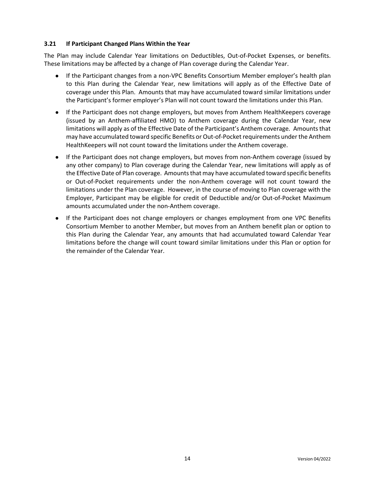#### **3.21 If Participant Changed Plans Within the Year**

The Plan may include Calendar Year limitations on Deductibles, Out-of-Pocket Expenses, or benefits. These limitations may be affected by a change of Plan coverage during the Calendar Year.

- If the Participant changes from a non-VPC Benefits Consortium Member employer's health plan to this Plan during the Calendar Year, new limitations will apply as of the Effective Date of coverage under this Plan. Amounts that may have accumulated toward similar limitations under the Participant's former employer's Plan will not count toward the limitations under this Plan.
- If the Participant does not change employers, but moves from Anthem HealthKeepers coverage (issued by an Anthem-affiliated HMO) to Anthem coverage during the Calendar Year, new limitations will apply as of the Effective Date of the Participant's Anthem coverage. Amounts that may have accumulated toward specific Benefits or Out-of-Pocket requirements under the Anthem HealthKeepers will not count toward the limitations under the Anthem coverage.
- If the Participant does not change employers, but moves from non-Anthem coverage (issued by any other company) to Plan coverage during the Calendar Year, new limitations will apply as of the Effective Date of Plan coverage. Amounts that may have accumulated toward specific benefits or Out-of-Pocket requirements under the non-Anthem coverage will not count toward the limitations under the Plan coverage. However, in the course of moving to Plan coverage with the Employer, Participant may be eligible for credit of Deductible and/or Out-of-Pocket Maximum amounts accumulated under the non-Anthem coverage.
- If the Participant does not change employers or changes employment from one VPC Benefits Consortium Member to another Member, but moves from an Anthem benefit plan or option to this Plan during the Calendar Year, any amounts that had accumulated toward Calendar Year limitations before the change will count toward similar limitations under this Plan or option for the remainder of the Calendar Year.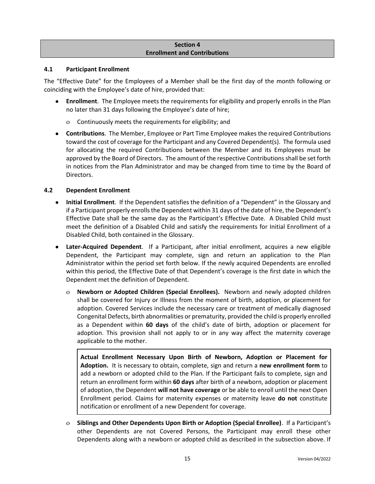#### **Section 4 Enrollment and Contributions**

#### **4.1 Participant Enrollment**

The "Effective Date" for the Employees of a Member shall be the first day of the month following or coinciding with the Employee's date of hire, provided that:

- **Enrollment**. The Employee meets the requirements for eligibility and properly enrolls in the Plan no later than 31 days following the Employee's date of hire;
	- Continuously meets the requirements for eligibility; and
- **Contributions**. The Member, Employee or Part Time Employee makes the required Contributions toward the cost of coverage for the Participant and any Covered Dependent(s). The formula used for allocating the required Contributions between the Member and its Employees must be approved by the Board of Directors. The amount of the respective Contributions shall be set forth in notices from the Plan Administrator and may be changed from time to time by the Board of Directors.

#### **4.2 Dependent Enrollment**

- **Initial Enrollment**. If the Dependent satisfies the definition of a "Dependent" in the Glossary and if a Participant properly enrolls the Dependent within 31 days of the date of hire, the Dependent's Effective Date shall be the same day as the Participant's Effective Date. A Disabled Child must meet the definition of a Disabled Child and satisfy the requirements for Initial Enrollment of a Disabled Child, both contained in the Glossary.
- **Later-Acquired Dependent**. If a Participant, after initial enrollment, acquires a new eligible Dependent, the Participant may complete, sign and return an application to the Plan Administrator within the period set forth below. If the newly acquired Dependents are enrolled within this period, the Effective Date of that Dependent's coverage is the first date in which the Dependent met the definition of Dependent.
	- **Newborn or Adopted Children (Special Enrollees).** Newborn and newly adopted children shall be covered for Injury or Illness from the moment of birth, adoption, or placement for adoption. Covered Services include the necessary care or treatment of medically diagnosed Congenital Defects, birth abnormalities or prematurity, provided the child is properly enrolled as a Dependent within **60 days** of the child's date of birth, adoption or placement for adoption. This provision shall not apply to or in any way affect the maternity coverage applicable to the mother.

**Actual Enrollment Necessary Upon Birth of Newborn, Adoption or Placement for Adoption.** It is necessary to obtain, complete, sign and return a **new enrollment form** to add a newborn or adopted child to the Plan. If the Participant fails to complete, sign and return an enrollment form within **60 days** after birth of a newborn, adoption or placement of adoption, the Dependent **will not have coverage** or be able to enroll until the next Open Enrollment period. Claims for maternity expenses or maternity leave **do not** constitute notification or enrollment of a new Dependent for coverage.

 **Siblings and Other Dependents Upon Birth or Adoption (Special Enrollee)**. If a Participant's other Dependents are not Covered Persons, the Participant may enroll these other Dependents along with a newborn or adopted child as described in the subsection above. If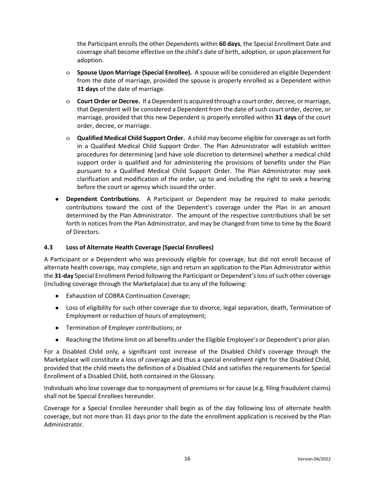the Participant enrolls the other Dependents within **60 days**, the Special Enrollment Date and coverage shall become effective on the child's date of birth, adoption, or upon placement for adoption.

- **Spouse Upon Marriage (Special Enrollee).** A spouse will be considered an eligible Dependent from the date of marriage, provided the spouse is properly enrolled as a Dependent within **31 days** of the date of marriage.
- **Court Order or Decree.** If a Dependent is acquired through a court order, decree, or marriage, that Dependent will be considered a Dependent from the date of such court order, decree, or marriage, provided that this new Dependent is properly enrolled within **31 days** of the court order, decree, or marriage.
- **Qualified Medical Child Support Order.** A child may become eligible for coverage as set forth in a Qualified Medical Child Support Order. The Plan Administrator will establish written procedures for determining (and have sole discretion to determine) whether a medical child support order is qualified and for administering the provisions of benefits under the Plan pursuant to a Qualified Medical Child Support Order. The Plan Administrator may seek clarification and modification of the order, up to and including the right to seek a hearing before the court or agency which issued the order.
- **Dependent Contributions**. A Participant or Dependent may be required to make periodic contributions toward the cost of the Dependent's coverage under the Plan in an amount determined by the Plan Administrator. The amount of the respective contributions shall be set forth in notices from the Plan Administrator, and may be changed from time to time by the Board of Directors.

#### **4.3 Loss of Alternate Health Coverage (Special Enrollees)**

A Participant or a Dependent who was previously eligible for coverage, but did not enroll because of alternate health coverage, may complete, sign and return an application to the Plan Administrator within the **31-day** Special Enrollment Period following the Participant or Dependent's loss of such other coverage (including coverage through the Marketplace) due to any of the following:

- Exhaustion of COBRA Continuation Coverage;
- Loss of eligibility for such other coverage due to divorce, legal separation, death, Termination of Employment or reduction of hours of employment;
- Termination of Employer contributions; or
- Reaching the lifetime limit on all benefits under the Eligible Employee's or Dependent's prior plan.

For a Disabled Child only, a significant cost increase of the Disabled Child's coverage through the Marketplace will constitute a loss of coverage and thus a special enrollment right for the Disabled Child, provided that the child meets the definition of a Disabled Child and satisfies the requirements for Special Enrollment of a Disabled Child, both contained in the Glossary.

Individuals who lose coverage due to nonpayment of premiums or for cause (e.g. filing fraudulent claims) shall not be Special Enrollees hereunder.

Coverage for a Special Enrollee hereunder shall begin as of the day following loss of alternate health coverage, but not more than 31 days prior to the date the enrollment application is received by the Plan Administrator.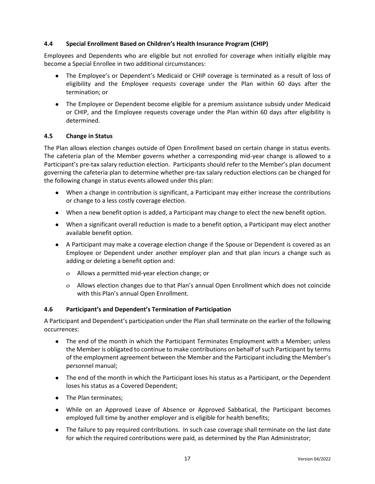## **4.4 Special Enrollment Based on Children's Health Insurance Program (CHIP)**

Employees and Dependents who are eligible but not enrolled for coverage when initially eligible may become a Special Enrollee in two additional circumstances:

- The Employee's or Dependent's Medicaid or CHIP coverage is terminated as a result of loss of eligibility and the Employee requests coverage under the Plan within 60 days after the termination; or
- The Employee or Dependent become eligible for a premium assistance subsidy under Medicaid or CHIP, and the Employee requests coverage under the Plan within 60 days after eligibility is determined.

#### **4.5 Change in Status**

The Plan allows election changes outside of Open Enrollment based on certain change in status events. The cafeteria plan of the Member governs whether a corresponding mid-year change is allowed to a Participant's pre-tax salary reduction election. Participants should refer to the Member's plan document governing the cafeteria plan to determine whether pre-tax salary reduction elections can be changed for the following change in status events allowed under this plan:

- When a change in contribution is significant, a Participant may either increase the contributions or change to a less costly coverage election.
- When a new benefit option is added, a Participant may change to elect the new benefit option.
- When a significant overall reduction is made to a benefit option, a Participant may elect another available benefit option.
- A Participant may make a coverage election change if the Spouse or Dependent is covered as an Employee or Dependent under another employer plan and that plan incurs a change such as adding or deleting a benefit option and:
	- Allows a permitted mid-year election change; or
	- Allows election changes due to that Plan's annual Open Enrollment which does not coincide with this Plan's annual Open Enrollment.

#### **4.6 Participant's and Dependent's Termination of Participation**

A Participant and Dependent's participation under the Plan shall terminate on the earlier of the following occurrences:

- The end of the month in which the Participant Terminates Employment with a Member; unless the Member is obligated to continue to make contributions on behalf of such Participant by terms of the employment agreement between the Member and the Participant including the Member's personnel manual;
- The end of the month in which the Participant loses his status as a Participant, or the Dependent loses his status as a Covered Dependent;
- The Plan terminates;
- While on an Approved Leave of Absence or Approved Sabbatical, the Participant becomes employed full time by another employer and is eligible for health benefits;
- The failure to pay required contributions. In such case coverage shall terminate on the last date for which the required contributions were paid, as determined by the Plan Administrator;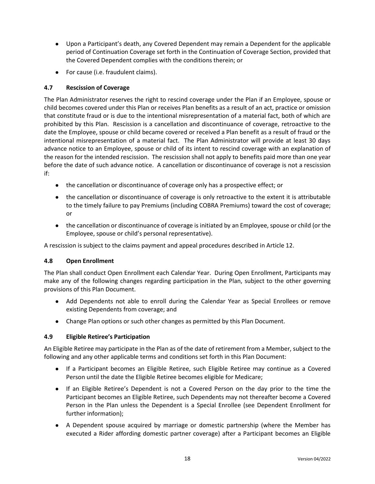- Upon a Participant's death, any Covered Dependent may remain a Dependent for the applicable period of Continuation Coverage set forth in the Continuation of Coverage Section, provided that the Covered Dependent complies with the conditions therein; or
- For cause (i.e. fraudulent claims).

## **4.7 Rescission of Coverage**

The Plan Administrator reserves the right to rescind coverage under the Plan if an Employee, spouse or child becomes covered under this Plan or receives Plan benefits as a result of an act, practice or omission that constitute fraud or is due to the intentional misrepresentation of a material fact, both of which are prohibited by this Plan. Rescission is a cancellation and discontinuance of coverage, retroactive to the date the Employee, spouse or child became covered or received a Plan benefit as a result of fraud or the intentional misrepresentation of a material fact. The Plan Administrator will provide at least 30 days advance notice to an Employee, spouse or child of its intent to rescind coverage with an explanation of the reason for the intended rescission. The rescission shall not apply to benefits paid more than one year before the date of such advance notice. A cancellation or discontinuance of coverage is not a rescission if:

- the cancellation or discontinuance of coverage only has a prospective effect; or
- the cancellation or discontinuance of coverage is only retroactive to the extent it is attributable to the timely failure to pay Premiums (including COBRA Premiums) toward the cost of coverage; or
- the cancellation or discontinuance of coverage is initiated by an Employee, spouse or child (or the Employee, spouse or child's personal representative).

A rescission is subject to the claims payment and appeal procedures described in Article 12.

## **4.8 Open Enrollment**

The Plan shall conduct Open Enrollment each Calendar Year. During Open Enrollment, Participants may make any of the following changes regarding participation in the Plan, subject to the other governing provisions of this Plan Document.

- Add Dependents not able to enroll during the Calendar Year as Special Enrollees or remove existing Dependents from coverage; and
- Change Plan options or such other changes as permitted by this Plan Document.

#### **4.9 Eligible Retiree's Participation**

An Eligible Retiree may participate in the Plan as of the date of retirement from a Member, subject to the following and any other applicable terms and conditions set forth in this Plan Document:

- If a Participant becomes an Eligible Retiree, such Eligible Retiree may continue as a Covered Person until the date the Eligible Retiree becomes eligible for Medicare;
- If an Eligible Retiree's Dependent is not a Covered Person on the day prior to the time the Participant becomes an Eligible Retiree, such Dependents may not thereafter become a Covered Person in the Plan unless the Dependent is a Special Enrollee (see Dependent Enrollment for further information);
- A Dependent spouse acquired by marriage or domestic partnership (where the Member has executed a Rider affording domestic partner coverage) after a Participant becomes an Eligible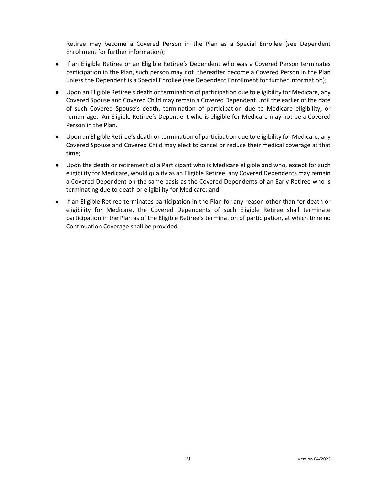Retiree may become a Covered Person in the Plan as a Special Enrollee (see Dependent Enrollment for further information);

- If an Eligible Retiree or an Eligible Retiree's Dependent who was a Covered Person terminates participation in the Plan, such person may not thereafter become a Covered Person in the Plan unless the Dependent is a Special Enrollee (see Dependent Enrollment for further information);
- Upon an Eligible Retiree's death or termination of participation due to eligibility for Medicare, any Covered Spouse and Covered Child may remain a Covered Dependent until the earlier of the date of such Covered Spouse's death, termination of participation due to Medicare eligibility, or remarriage. An Eligible Retiree's Dependent who is eligible for Medicare may not be a Covered Person in the Plan.
- Upon an Eligible Retiree's death or termination of participation due to eligibility for Medicare, any Covered Spouse and Covered Child may elect to cancel or reduce their medical coverage at that time;
- Upon the death or retirement of a Participant who is Medicare eligible and who, except for such eligibility for Medicare, would qualify as an Eligible Retiree, any Covered Dependents may remain a Covered Dependent on the same basis as the Covered Dependents of an Early Retiree who is terminating due to death or eligibility for Medicare; and
- If an Eligible Retiree terminates participation in the Plan for any reason other than for death or eligibility for Medicare, the Covered Dependents of such Eligible Retiree shall terminate participation in the Plan as of the Eligible Retiree's termination of participation, at which time no Continuation Coverage shall be provided.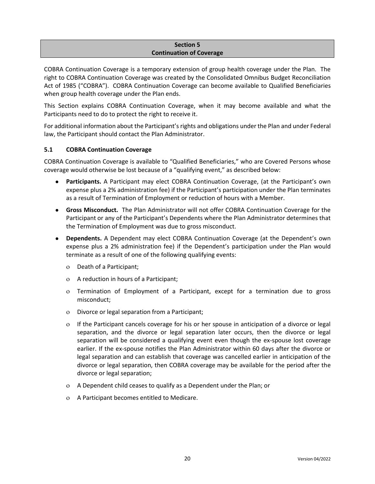#### **Section 5 Continuation of Coverage**

COBRA Continuation Coverage is a temporary extension of group health coverage under the Plan. The right to COBRA Continuation Coverage was created by the Consolidated Omnibus Budget Reconciliation Act of 1985 ("COBRA"). COBRA Continuation Coverage can become available to Qualified Beneficiaries when group health coverage under the Plan ends.

This Section explains COBRA Continuation Coverage, when it may become available and what the Participants need to do to protect the right to receive it.

For additional information about the Participant's rights and obligations under the Plan and under Federal law, the Participant should contact the Plan Administrator.

## **5.1 COBRA Continuation Coverage**

COBRA Continuation Coverage is available to "Qualified Beneficiaries," who are Covered Persons whose coverage would otherwise be lost because of a "qualifying event," as described below:

- Participants. A Participant may elect COBRA Continuation Coverage, (at the Participant's own expense plus a 2% administration fee) if the Participant's participation under the Plan terminates as a result of Termination of Employment or reduction of hours with a Member.
- **Gross Misconduct.** The Plan Administrator will not offer COBRA Continuation Coverage for the Participant or any of the Participant's Dependents where the Plan Administrator determines that the Termination of Employment was due to gross misconduct.
- **Dependents.** A Dependent may elect COBRA Continuation Coverage (at the Dependent's own expense plus a 2% administration fee) if the Dependent's participation under the Plan would terminate as a result of one of the following qualifying events:
	- Death of a Participant;
	- A reduction in hours of a Participant;
	- Termination of Employment of a Participant, except for a termination due to gross misconduct;
	- Divorce or legal separation from a Participant;
	- If the Participant cancels coverage for his or her spouse in anticipation of a divorce or legal separation, and the divorce or legal separation later occurs, then the divorce or legal separation will be considered a qualifying event even though the ex-spouse lost coverage earlier. If the ex-spouse notifies the Plan Administrator within 60 days after the divorce or legal separation and can establish that coverage was cancelled earlier in anticipation of the divorce or legal separation, then COBRA coverage may be available for the period after the divorce or legal separation;
	- A Dependent child ceases to qualify as a Dependent under the Plan; or
	- A Participant becomes entitled to Medicare.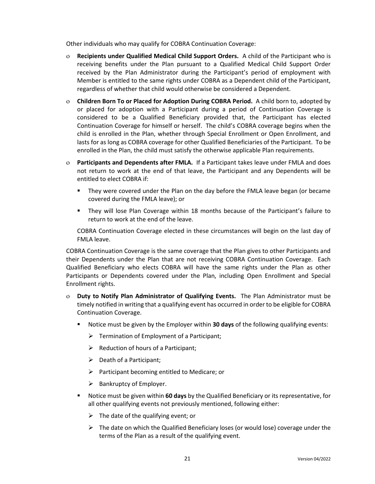Other individuals who may qualify for COBRA Continuation Coverage:

- **Recipients under Qualified Medical Child Support Orders.** A child of the Participant who is receiving benefits under the Plan pursuant to a Qualified Medical Child Support Order received by the Plan Administrator during the Participant's period of employment with Member is entitled to the same rights under COBRA as a Dependent child of the Participant, regardless of whether that child would otherwise be considered a Dependent.
- **Children Born To or Placed for Adoption During COBRA Period.** A child born to, adopted by or placed for adoption with a Participant during a period of Continuation Coverage is considered to be a Qualified Beneficiary provided that, the Participant has elected Continuation Coverage for himself or herself. The child's COBRA coverage begins when the child is enrolled in the Plan, whether through Special Enrollment or Open Enrollment, and lasts for as long as COBRA coverage for other Qualified Beneficiaries of the Participant. To be enrolled in the Plan, the child must satisfy the otherwise applicable Plan requirements.
- **Participants and Dependents after FMLA.** If a Participant takes leave under FMLA and does not return to work at the end of that leave, the Participant and any Dependents will be entitled to elect COBRA if:
	- They were covered under the Plan on the day before the FMLA leave began (or became covered during the FMLA leave); or
	- They will lose Plan Coverage within 18 months because of the Participant's failure to return to work at the end of the leave.

COBRA Continuation Coverage elected in these circumstances will begin on the last day of FMLA leave.

COBRA Continuation Coverage is the same coverage that the Plan gives to other Participants and their Dependents under the Plan that are not receiving COBRA Continuation Coverage. Each Qualified Beneficiary who elects COBRA will have the same rights under the Plan as other Participants or Dependents covered under the Plan, including Open Enrollment and Special Enrollment rights.

- **Duty to Notify Plan Administrator of Qualifying Events.** The Plan Administrator must be timely notified in writing that a qualifying event has occurred in order to be eligible for COBRA Continuation Coverage.
	- Notice must be given by the Employer within **30 days** of the following qualifying events:
		- ➢ Termination of Employment of a Participant;
		- $\triangleright$  Reduction of hours of a Participant;
		- ➢ Death of a Participant;
		- $\triangleright$  Participant becoming entitled to Medicare; or
		- $\triangleright$  Bankruptcy of Employer.
	- Notice must be given within 60 days by the Qualified Beneficiary or its representative, for all other qualifying events not previously mentioned, following either:
		- $\triangleright$  The date of the qualifying event; or
		- $\triangleright$  The date on which the Qualified Beneficiary loses (or would lose) coverage under the terms of the Plan as a result of the qualifying event.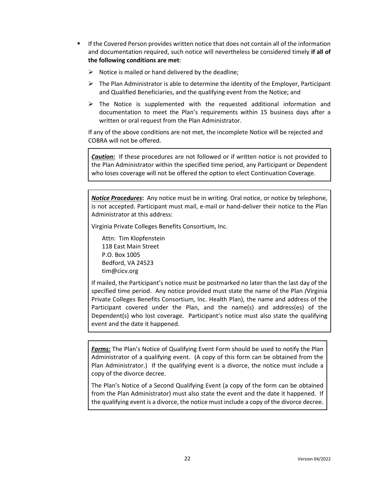- If the Covered Person provides written notice that does not contain all of the information and documentation required, such notice will nevertheless be considered timely **if all of the following conditions are met**:
	- $\triangleright$  Notice is mailed or hand delivered by the deadline;
	- $\triangleright$  The Plan Administrator is able to determine the identity of the Employer, Participant and Qualified Beneficiaries, and the qualifying event from the Notice; and
	- $\triangleright$  The Notice is supplemented with the requested additional information and documentation to meet the Plan's requirements within 15 business days after a written or oral request from the Plan Administrator.

If any of the above conditions are not met, the incomplete Notice will be rejected and COBRA will not be offered.

*Caution:* If these procedures are not followed or if written notice is not provided to the Plan Administrator within the specified time period, any Participant or Dependent who loses coverage will not be offered the option to elect Continuation Coverage.

*Notice Procedures***:** Any notice must be in writing. Oral notice, or notice by telephone, is not accepted. Participant must mail, e-mail or hand-deliver their notice to the Plan Administrator at this address:

Virginia Private Colleges Benefits Consortium, Inc.

Attn: Tim Klopfenstein 118 East Main Street P.O. Box 1005 Bedford, VA 24523 tim@cicv.org

If mailed, the Participant's notice must be postmarked no later than the last day of the specified time period. Any notice provided must state the name of the Plan *(*Virginia Private Colleges Benefits Consortium, Inc. Health Plan), the name and address of the Participant covered under the Plan, and the name(s) and address(es) of the Dependent(s) who lost coverage. Participant's notice must also state the qualifying event and the date it happened.

*Forms:* The Plan's Notice of Qualifying Event Form should be used to notify the Plan Administrator of a qualifying event. (A copy of this form can be obtained from the Plan Administrator.) If the qualifying event is a divorce, the notice must include a copy of the divorce decree.

The Plan's Notice of a Second Qualifying Event (a copy of the form can be obtained from the Plan Administrator) must also state the event and the date it happened. If the qualifying event is a divorce, the notice must include a copy of the divorce decree.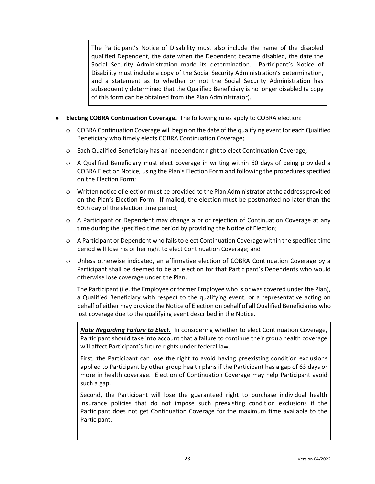The Participant's Notice of Disability must also include the name of the disabled qualified Dependent, the date when the Dependent became disabled, the date the Social Security Administration made its determination. Participant's Notice of Disability must include a copy of the Social Security Administration's determination, and a statement as to whether or not the Social Security Administration has subsequently determined that the Qualified Beneficiary is no longer disabled (a copy of this form can be obtained from the Plan Administrator).

- **Electing COBRA Continuation Coverage.** The following rules apply to COBRA election:
	- COBRA Continuation Coverage will begin on the date of the qualifying event for each Qualified Beneficiary who timely elects COBRA Continuation Coverage;
	- Each Qualified Beneficiary has an independent right to elect Continuation Coverage;
	- A Qualified Beneficiary must elect coverage in writing within 60 days of being provided a COBRA Election Notice, using the Plan's Election Form and following the procedures specified on the Election Form;
	- Written notice of election must be provided to the Plan Administrator at the address provided on the Plan's Election Form. If mailed, the election must be postmarked no later than the 60th day of the election time period;
	- A Participant or Dependent may change a prior rejection of Continuation Coverage at any time during the specified time period by providing the Notice of Election;
	- A Participant or Dependent who fails to elect Continuation Coverage within the specified time period will lose his or her right to elect Continuation Coverage; and
	- Unless otherwise indicated, an affirmative election of COBRA Continuation Coverage by a Participant shall be deemed to be an election for that Participant's Dependents who would otherwise lose coverage under the Plan.

The Participant (i.e. the Employee or former Employee who is or was covered under the Plan), a Qualified Beneficiary with respect to the qualifying event, or a representative acting on behalf of either may provide the Notice of Election on behalf of all Qualified Beneficiaries who lost coverage due to the qualifying event described in the Notice.

*Note Regarding Failure to Elect.*In considering whether to elect Continuation Coverage, Participant should take into account that a failure to continue their group health coverage will affect Participant's future rights under federal law.

First, the Participant can lose the right to avoid having preexisting condition exclusions applied to Participant by other group health plans if the Participant has a gap of 63 days or more in health coverage. Election of Continuation Coverage may help Participant avoid such a gap.

Second, the Participant will lose the guaranteed right to purchase individual health insurance policies that do not impose such preexisting condition exclusions if the Participant does not get Continuation Coverage for the maximum time available to the Participant.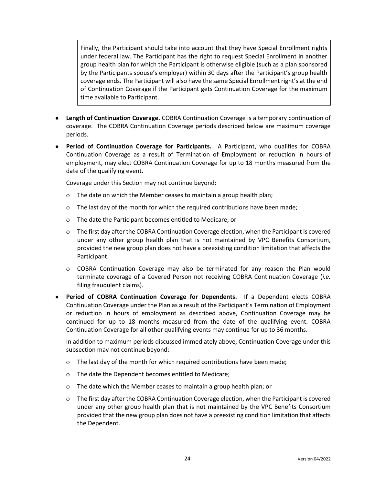Finally, the Participant should take into account that they have Special Enrollment rights under federal law. The Participant has the right to request Special Enrollment in another group health plan for which the Participant is otherwise eligible (such as a plan sponsored by the Participants spouse's employer) within 30 days after the Participant's group health coverage ends. The Participant will also have the same Special Enrollment right's at the end of Continuation Coverage if the Participant gets Continuation Coverage for the maximum time available to Participant.

- **Length of Continuation Coverage.** COBRA Continuation Coverage is a temporary continuation of coverage. The COBRA Continuation Coverage periods described below are maximum coverage periods.
- **Period of Continuation Coverage for Participants.** A Participant, who qualifies for COBRA Continuation Coverage as a result of Termination of Employment or reduction in hours of employment, may elect COBRA Continuation Coverage for up to 18 months measured from the date of the qualifying event.

Coverage under this Section may not continue beyond:

- The date on which the Member ceases to maintain a group health plan;
- The last day of the month for which the required contributions have been made;
- The date the Participant becomes entitled to Medicare; or
- The first day after the COBRA Continuation Coverage election, when the Participant is covered under any other group health plan that is not maintained by VPC Benefits Consortium, provided the new group plan does not have a preexisting condition limitation that affects the Participant.
- COBRA Continuation Coverage may also be terminated for any reason the Plan would terminate coverage of a Covered Person not receiving COBRA Continuation Coverage (*i.e.* filing fraudulent claims).
- **Period of COBRA Continuation Coverage for Dependents.** If a Dependent elects COBRA Continuation Coverage under the Plan as a result of the Participant's Termination of Employment or reduction in hours of employment as described above, Continuation Coverage may be continued for up to 18 months measured from the date of the qualifying event. COBRA Continuation Coverage for all other qualifying events may continue for up to 36 months.

In addition to maximum periods discussed immediately above, Continuation Coverage under this subsection may not continue beyond:

- The last day of the month for which required contributions have been made;
- The date the Dependent becomes entitled to Medicare;
- The date which the Member ceases to maintain a group health plan; or
- The first day after the COBRA Continuation Coverage election, when the Participant is covered under any other group health plan that is not maintained by the VPC Benefits Consortium provided that the new group plan does not have a preexisting condition limitation that affects the Dependent.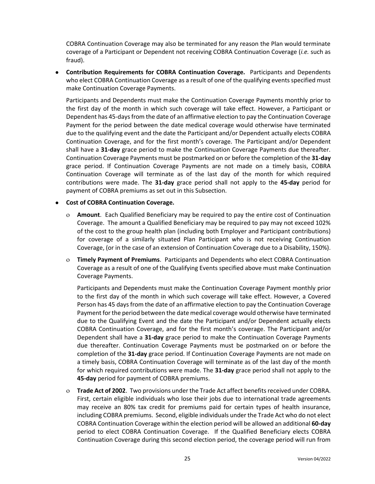COBRA Continuation Coverage may also be terminated for any reason the Plan would terminate coverage of a Participant or Dependent not receiving COBRA Continuation Coverage (*i.e.* such as fraud).

● **Contribution Requirements for COBRA Continuation Coverage.** Participants and Dependents who elect COBRA Continuation Coverage as a result of one of the qualifying events specified must make Continuation Coverage Payments.

Participants and Dependents must make the Continuation Coverage Payments monthly prior to the first day of the month in which such coverage will take effect. However, a Participant or Dependent has 45-days from the date of an affirmative election to pay the Continuation Coverage Payment for the period between the date medical coverage would otherwise have terminated due to the qualifying event and the date the Participant and/or Dependent actually elects COBRA Continuation Coverage, and for the first month's coverage. The Participant and/or Dependent shall have a **31-day** grace period to make the Continuation Coverage Payments due thereafter. Continuation Coverage Payments must be postmarked on or before the completion of the **31-day** grace period. If Continuation Coverage Payments are not made on a timely basis, COBRA Continuation Coverage will terminate as of the last day of the month for which required contributions were made. The **31-day** grace period shall not apply to the **45-day** period for payment of COBRA premiums as set out in this Subsection.

#### ● **Cost of COBRA Continuation Coverage.**

- **Amount**. Each Qualified Beneficiary may be required to pay the entire cost of Continuation Coverage. The amount a Qualified Beneficiary may be required to pay may not exceed 102% of the cost to the group health plan (including both Employer and Participant contributions) for coverage of a similarly situated Plan Participant who is not receiving Continuation Coverage, (or in the case of an extension of Continuation Coverage due to a Disability, 150%).
- **Timely Payment of Premiums**. Participants and Dependents who elect COBRA Continuation Coverage as a result of one of the Qualifying Events specified above must make Continuation Coverage Payments.

Participants and Dependents must make the Continuation Coverage Payment monthly prior to the first day of the month in which such coverage will take effect. However, a Covered Person has 45 days from the date of an affirmative election to pay the Continuation Coverage Payment for the period between the date medical coverage would otherwise have terminated due to the Qualifying Event and the date the Participant and/or Dependent actually elects COBRA Continuation Coverage, and for the first month's coverage. The Participant and/or Dependent shall have a **31-day** grace period to make the Continuation Coverage Payments due thereafter. Continuation Coverage Payments must be postmarked on or before the completion of the **31-day** grace period. If Continuation Coverage Payments are not made on a timely basis, COBRA Continuation Coverage will terminate as of the last day of the month for which required contributions were made. The **31-day** grace period shall not apply to the **45-day** period for payment of COBRA premiums.

 **Trade Act of 2002**. Two provisions under the Trade Act affect benefits received under COBRA. First, certain eligible individuals who lose their jobs due to international trade agreements may receive an 80% tax credit for premiums paid for certain types of health insurance, including COBRA premiums. Second, eligible individuals under the Trade Act who do not elect COBRA Continuation Coverage within the election period will be allowed an additional **60-day** period to elect COBRA Continuation Coverage. If the Qualified Beneficiary elects COBRA Continuation Coverage during this second election period, the coverage period will run from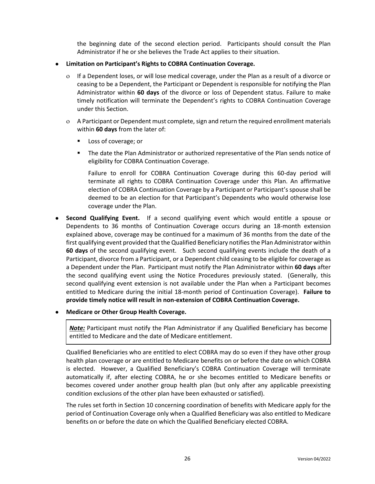the beginning date of the second election period. Participants should consult the Plan Administrator if he or she believes the Trade Act applies to their situation.

- **Limitation on Participant's Rights to COBRA Continuation Coverage.**
	- If a Dependent loses, or will lose medical coverage, under the Plan as a result of a divorce or ceasing to be a Dependent, the Participant or Dependent is responsible for notifying the Plan Administrator within **60 days** of the divorce or loss of Dependent status. Failure to make timely notification will terminate the Dependent's rights to COBRA Continuation Coverage under this Section.
	- A Participant or Dependent must complete, sign and return the required enrollment materials within **60 days** from the later of:
		- Loss of coverage; or
		- The date the Plan Administrator or authorized representative of the Plan sends notice of eligibility for COBRA Continuation Coverage.

Failure to enroll for COBRA Continuation Coverage during this 60-day period will terminate all rights to COBRA Continuation Coverage under this Plan. An affirmative election of COBRA Continuation Coverage by a Participant or Participant's spouse shall be deemed to be an election for that Participant's Dependents who would otherwise lose coverage under the Plan.

- **Second Qualifying Event.** If a second qualifying event which would entitle a spouse or Dependents to 36 months of Continuation Coverage occurs during an 18-month extension explained above, coverage may be continued for a maximum of 36 months from the date of the first qualifying event provided that the Qualified Beneficiary notifies the Plan Administrator within **60 days** of the second qualifying event. Such second qualifying events include the death of a Participant, divorce from a Participant, or a Dependent child ceasing to be eligible for coverage as a Dependent under the Plan. Participant must notify the Plan Administrator within **60 days** after the second qualifying event using the Notice Procedures previously stated. (Generally, this second qualifying event extension is not available under the Plan when a Participant becomes entitled to Medicare during the initial 18-month period of Continuation Coverage). **Failure to provide timely notice will result in non-extension of COBRA Continuation Coverage.**
- **Medicare or Other Group Health Coverage.**

*Note:* Participant must notify the Plan Administrator if any Qualified Beneficiary has become entitled to Medicare and the date of Medicare entitlement.

Qualified Beneficiaries who are entitled to elect COBRA may do so even if they have other group health plan coverage or are entitled to Medicare benefits on or before the date on which COBRA is elected. However, a Qualified Beneficiary's COBRA Continuation Coverage will terminate automatically if, after electing COBRA, he or she becomes entitled to Medicare benefits or becomes covered under another group health plan (but only after any applicable preexisting condition exclusions of the other plan have been exhausted or satisfied).

The rules set forth in Section 10 concerning coordination of benefits with Medicare apply for the period of Continuation Coverage only when a Qualified Beneficiary was also entitled to Medicare benefits on or before the date on which the Qualified Beneficiary elected COBRA.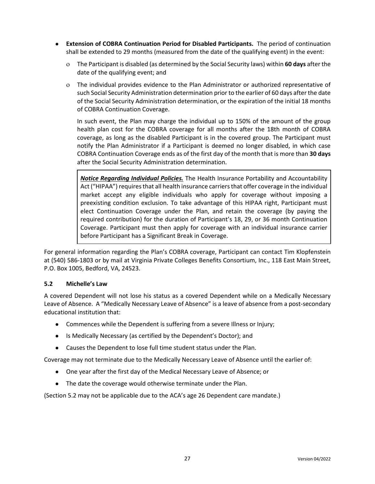- **Extension of COBRA Continuation Period for Disabled Participants.** The period of continuation shall be extended to 29 months (measured from the date of the qualifying event) in the event:
	- The Participant is disabled (as determined by the Social Security laws) within **60 days** after the date of the qualifying event; and
	- The individual provides evidence to the Plan Administrator or authorized representative of such Social Security Administration determination prior to the earlier of 60 days after the date of the Social Security Administration determination, or the expiration of the initial 18 months of COBRA Continuation Coverage.

In such event, the Plan may charge the individual up to 150% of the amount of the group health plan cost for the COBRA coverage for all months after the 18th month of COBRA coverage, as long as the disabled Participant is in the covered group. The Participant must notify the Plan Administrator if a Participant is deemed no longer disabled, in which case COBRA Continuation Coverage ends as of the first day of the month that is more than **30 days** after the Social Security Administration determination.

*Notice Regarding Individual Policies.* The Health Insurance Portability and Accountability Act ("HIPAA") requires that all health insurance carriers that offer coverage in the individual market accept any eligible individuals who apply for coverage without imposing a preexisting condition exclusion. To take advantage of this HIPAA right, Participant must elect Continuation Coverage under the Plan, and retain the coverage (by paying the required contribution) for the duration of Participant's 18, 29, or 36 month Continuation Coverage. Participant must then apply for coverage with an individual insurance carrier before Participant has a Significant Break in Coverage.

For general information regarding the Plan's COBRA coverage, Participant can contact Tim Klopfenstein at (540) 586-1803 or by mail at Virginia Private Colleges Benefits Consortium, Inc., 118 East Main Street, P.O. Box 1005, Bedford, VA, 24523.

#### **5.2 Michelle's Law**

A covered Dependent will not lose his status as a covered Dependent while on a Medically Necessary Leave of Absence. A "Medically Necessary Leave of Absence" is a leave of absence from a post-secondary educational institution that:

- Commences while the Dependent is suffering from a severe Illness or Injury;
- Is Medically Necessary (as certified by the Dependent's Doctor); and
- Causes the Dependent to lose full time student status under the Plan.

Coverage may not terminate due to the Medically Necessary Leave of Absence until the earlier of:

- One year after the first day of the Medical Necessary Leave of Absence; or
- The date the coverage would otherwise terminate under the Plan.

(Section 5.2 may not be applicable due to the ACA's age 26 Dependent care mandate.)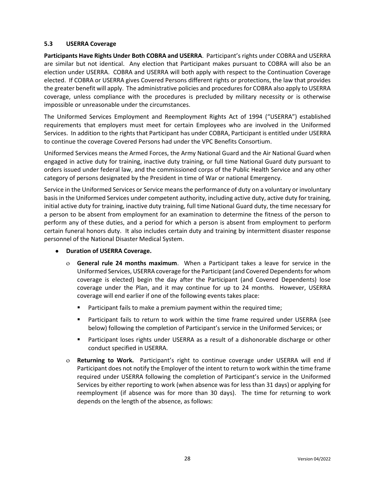## **5.3 USERRA Coverage**

**Participants Have Rights Under Both COBRA and USERRA**. Participant's rights under COBRA and USERRA are similar but not identical. Any election that Participant makes pursuant to COBRA will also be an election under USERRA. COBRA and USERRA will both apply with respect to the Continuation Coverage elected. If COBRA or USERRA gives Covered Persons different rights or protections, the law that provides the greater benefit will apply. The administrative policies and procedures for COBRA also apply to USERRA coverage, unless compliance with the procedures is precluded by military necessity or is otherwise impossible or unreasonable under the circumstances.

The Uniformed Services Employment and Reemployment Rights Act of 1994 ("USERRA") established requirements that employers must meet for certain Employees who are involved in the Uniformed Services. In addition to the rights that Participant has under COBRA, Participant is entitled under USERRA to continue the coverage Covered Persons had under the VPC Benefits Consortium.

Uniformed Services means the Armed Forces, the Army National Guard and the Air National Guard when engaged in active duty for training, inactive duty training, or full time National Guard duty pursuant to orders issued under federal law, and the commissioned corps of the Public Health Service and any other category of persons designated by the President in time of War or national Emergency.

Service in the Uniformed Services or Service means the performance of duty on a voluntary or involuntary basis in the Uniformed Services under competent authority, including active duty, active duty for training, initial active duty for training, inactive duty training, full time National Guard duty, the time necessary for a person to be absent from employment for an examination to determine the fitness of the person to perform any of these duties, and a period for which a person is absent from employment to perform certain funeral honors duty. It also includes certain duty and training by intermittent disaster response personnel of the National Disaster Medical System.

- **Duration of USERRA Coverage.**
	- **General rule 24 months maximum**. When a Participant takes a leave for service in the Uniformed Services, USERRA coverage for the Participant (and Covered Dependents for whom coverage is elected) begin the day after the Participant (and Covered Dependents) lose coverage under the Plan, and it may continue for up to 24 months. However, USERRA coverage will end earlier if one of the following events takes place:
		- Participant fails to make a premium payment within the required time;
		- **■** Participant fails to return to work within the time frame required under USERRA (see below) following the completion of Participant's service in the Uniformed Services; or
		- **■** Participant loses rights under USERRA as a result of a dishonorable discharge or other conduct specified in USERRA.
	- **Returning to Work.** Participant's right to continue coverage under USERRA will end if Participant does not notify the Employer of the intent to return to work within the time frame required under USERRA following the completion of Participant's service in the Uniformed Services by either reporting to work (when absence was for less than 31 days) or applying for reemployment (if absence was for more than 30 days). The time for returning to work depends on the length of the absence, as follows: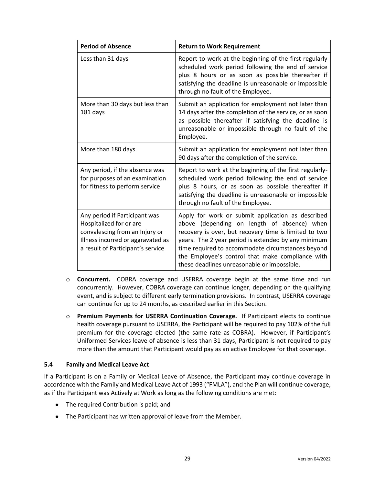| <b>Period of Absence</b>                                                                                                                                             | <b>Return to Work Requirement</b>                                                                                                                                                                                                                                                                                                                                        |
|----------------------------------------------------------------------------------------------------------------------------------------------------------------------|--------------------------------------------------------------------------------------------------------------------------------------------------------------------------------------------------------------------------------------------------------------------------------------------------------------------------------------------------------------------------|
| Less than 31 days                                                                                                                                                    | Report to work at the beginning of the first regularly<br>scheduled work period following the end of service<br>plus 8 hours or as soon as possible thereafter if<br>satisfying the deadline is unreasonable or impossible<br>through no fault of the Employee.                                                                                                          |
| More than 30 days but less than<br>181 days                                                                                                                          | Submit an application for employment not later than<br>14 days after the completion of the service, or as soon<br>as possible thereafter if satisfying the deadline is<br>unreasonable or impossible through no fault of the<br>Employee.                                                                                                                                |
| More than 180 days                                                                                                                                                   | Submit an application for employment not later than<br>90 days after the completion of the service.                                                                                                                                                                                                                                                                      |
| Any period, if the absence was<br>for purposes of an examination<br>for fitness to perform service                                                                   | Report to work at the beginning of the first regularly-<br>scheduled work period following the end of service<br>plus 8 hours, or as soon as possible thereafter if<br>satisfying the deadline is unreasonable or impossible<br>through no fault of the Employee.                                                                                                        |
| Any period if Participant was<br>Hospitalized for or are<br>convalescing from an Injury or<br>Illness incurred or aggravated as<br>a result of Participant's service | Apply for work or submit application as described<br>above (depending on length of absence) when<br>recovery is over, but recovery time is limited to two<br>years. The 2 year period is extended by any minimum<br>time required to accommodate circumstances beyond<br>the Employee's control that make compliance with<br>these deadlines unreasonable or impossible. |

- **Concurrent.** COBRA coverage and USERRA coverage begin at the same time and run concurrently. However, COBRA coverage can continue longer, depending on the qualifying event, and is subject to different early termination provisions. In contrast, USERRA coverage can continue for up to 24 months, as described earlier in this Section.
- **Premium Payments for USERRA Continuation Coverage.** If Participant elects to continue health coverage pursuant to USERRA, the Participant will be required to pay 102% of the full premium for the coverage elected (the same rate as COBRA). However, if Participant's Uniformed Services leave of absence is less than 31 days, Participant is not required to pay more than the amount that Participant would pay as an active Employee for that coverage.

#### **5.4 Family and Medical Leave Act**

If a Participant is on a Family or Medical Leave of Absence, the Participant may continue coverage in accordance with the Family and Medical Leave Act of 1993 ("FMLA"), and the Plan will continue coverage, as if the Participant was Actively at Work as long as the following conditions are met:

- The required Contribution is paid; and
- The Participant has written approval of leave from the Member.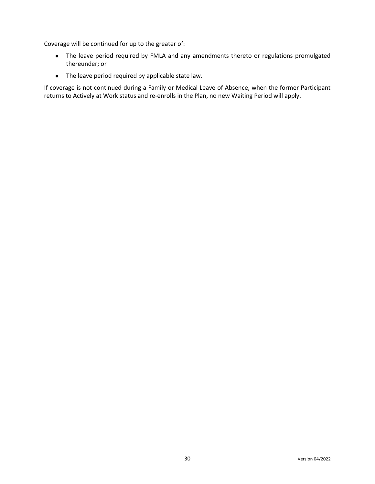Coverage will be continued for up to the greater of:

- The leave period required by FMLA and any amendments thereto or regulations promulgated thereunder; or
- The leave period required by applicable state law.

If coverage is not continued during a Family or Medical Leave of Absence, when the former Participant returns to Actively at Work status and re-enrolls in the Plan, no new Waiting Period will apply.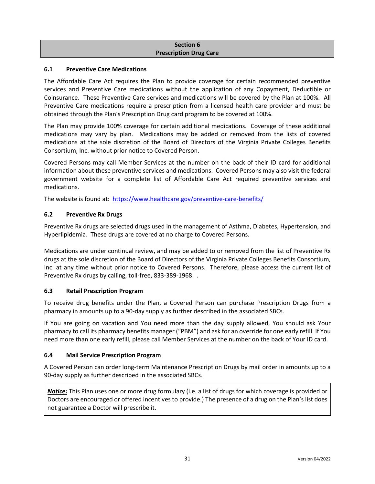#### **Section 6 Prescription Drug Care**

## **6.1 Preventive Care Medications**

The Affordable Care Act requires the Plan to provide coverage for certain recommended preventive services and Preventive Care medications without the application of any Copayment, Deductible or Coinsurance. These Preventive Care services and medications will be covered by the Plan at 100%. All Preventive Care medications require a prescription from a licensed health care provider and must be obtained through the Plan's Prescription Drug card program to be covered at 100%.

The Plan may provide 100% coverage for certain additional medications. Coverage of these additional medications may vary by plan. Medications may be added or removed from the lists of covered medications at the sole discretion of the Board of Directors of the Virginia Private Colleges Benefits Consortium, Inc. without prior notice to Covered Person.

Covered Persons may call Member Services at the number on the back of their ID card for additional information about these preventive services and medications. Covered Persons may also visit the federal government website for a complete list of Affordable Care Act required preventive services and medications.

The website is found at: <https://www.healthcare.gov/preventive-care-benefits/>

## **6.2 Preventive Rx Drugs**

Preventive Rx drugs are selected drugs used in the management of Asthma, Diabetes, Hypertension, and Hyperlipidemia. These drugs are covered at no charge to Covered Persons.

Medications are under continual review, and may be added to or removed from the list of Preventive Rx drugs at the sole discretion of the Board of Directors of the Virginia Private Colleges Benefits Consortium, Inc. at any time without prior notice to Covered Persons. Therefore, please access the current list of Preventive Rx drugs by calling, toll-free, 833-389-1968. .

#### **6.3 Retail Prescription Program**

To receive drug benefits under the Plan, a Covered Person can purchase Prescription Drugs from a pharmacy in amounts up to a 90-day supply as further described in the associated SBCs.

If You are going on vacation and You need more than the day supply allowed, You should ask Your pharmacy to call its pharmacy benefits manager ("PBM") and ask for an override for one early refill. If You need more than one early refill, please call Member Services at the number on the back of Your ID card.

## **6.4 Mail Service Prescription Program**

A Covered Person can order long-term Maintenance Prescription Drugs by mail order in amounts up to a 90-day supply as further described in the associated SBCs.

*Notice:* This Plan uses one or more drug formulary (i.e. a list of drugs for which coverage is provided or Doctors are encouraged or offered incentives to provide.) The presence of a drug on the Plan's list does not guarantee a Doctor will prescribe it.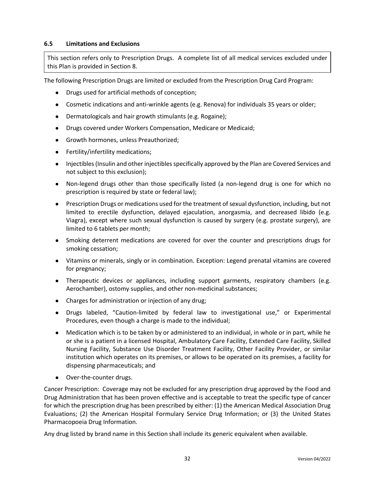## **6.5 Limitations and Exclusions**

This section refers only to Prescription Drugs. A complete list of all medical services excluded under this Plan is provided in Section 8.

The following Prescription Drugs are limited or excluded from the Prescription Drug Card Program:

- Drugs used for artificial methods of conception;
- Cosmetic indications and anti-wrinkle agents (e.g. Renova) for individuals 35 years or older;
- Dermatologicals and hair growth stimulants (e.g. Rogaine);
- Drugs covered under Workers Compensation, Medicare or Medicaid;
- Growth hormones, unless Preauthorized;
- Fertility/infertility medications;
- Injectibles (Insulin and other injectibles specifically approved by the Plan are Covered Services and not subject to this exclusion);
- Non-legend drugs other than those specifically listed (a non-legend drug is one for which no prescription is required by state or federal law);
- Prescription Drugs or medications used for the treatment of sexual dysfunction, including, but not limited to erectile dysfunction, delayed ejaculation, anorgasmia, and decreased libido (e.g. Viagra), except where such sexual dysfunction is caused by surgery (e.g. prostate surgery), are limited to 6 tablets per month;
- Smoking deterrent medications are covered for over the counter and prescriptions drugs for smoking cessation;
- Vitamins or minerals, singly or in combination. Exception: Legend prenatal vitamins are covered for pregnancy;
- Therapeutic devices or appliances, including support garments, respiratory chambers (e.g. Aerochamber), ostomy supplies, and other non-medicinal substances;
- Charges for administration or injection of any drug;
- Drugs labeled, "Caution-limited by federal law to investigational use," or Experimental Procedures, even though a charge is made to the individual;
- Medication which is to be taken by or administered to an individual, in whole or in part, while he or she is a patient in a licensed Hospital, Ambulatory Care Facility, Extended Care Facility, Skilled Nursing Facility, Substance Use Disorder Treatment Facility, Other Facility Provider, or similar institution which operates on its premises, or allows to be operated on its premises, a facility for dispensing pharmaceuticals; and
- Over-the-counter drugs.

Cancer Prescription: Coverage may not be excluded for any prescription drug approved by the Food and Drug Administration that has been proven effective and is acceptable to treat the specific type of cancer for which the prescription drug has been prescribed by either: (1) the American Medical Association Drug Evaluations; (2) the American Hospital Formulary Service Drug Information; or (3) the United States Pharmacopoeia Drug Information.

Any drug listed by brand name in this Section shall include its generic equivalent when available.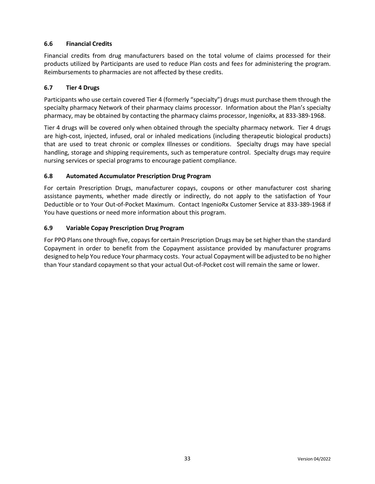# **6.6 Financial Credits**

Financial credits from drug manufacturers based on the total volume of claims processed for their products utilized by Participants are used to reduce Plan costs and fee*s* for administering the program. Reimbursements to pharmacies are not affected by these credits.

### **6.7 Tier 4 Drugs**

Participants who use certain covered Tier 4 (formerly "specialty") drugs must purchase them through the specialty pharmacy Network of their pharmacy claims processor. Information about the Plan's specialty pharmacy, may be obtained by contacting the pharmacy claims processor, IngenioRx, at 833-389-1968.

Tier 4 drugs will be covered only when obtained through the specialty pharmacy network. Tier 4 drugs are high-cost, injected, infused, oral or inhaled medications (including therapeutic biological products) that are used to treat chronic or complex Illnesses or conditions. Specialty drugs may have special handling, storage and shipping requirements, such as temperature control. Specialty drugs may require nursing services or special programs to encourage patient compliance.

### **6.8 Automated Accumulator Prescription Drug Program**

For certain Prescription Drugs, manufacturer copays, coupons or other manufacturer cost sharing assistance payments, whether made directly or indirectly, do not apply to the satisfaction of Your Deductible or to Your Out-of-Pocket Maximum. Contact IngenioRx Customer Service at 833-389-1968 if You have questions or need more information about this program.

#### **6.9 Variable Copay Prescription Drug Program**

For PPO Plans one through five, copays for certain Prescription Drugs may be set higher than the standard Copayment in order to benefit from the Copayment assistance provided by manufacturer programs designed to help You reduce Your pharmacy costs. Your actual Copayment will be adjusted to be no higher than Your standard copayment so that your actual Out-of-Pocket cost will remain the same or lower.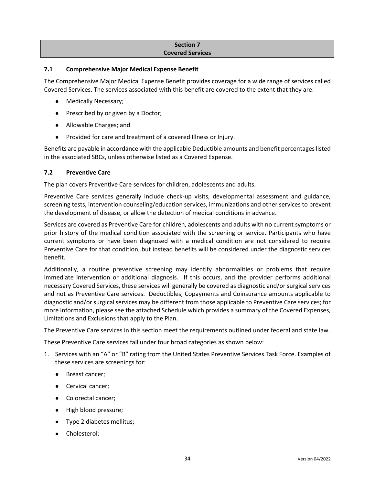### **Section 7 Covered Services**

### **7.1 Comprehensive Major Medical Expense Benefit**

The Comprehensive Major Medical Expense Benefit provides coverage for a wide range of services called Covered Services. The services associated with this benefit are covered to the extent that they are:

- Medically Necessary;
- Prescribed by or given by a Doctor;
- Allowable Charges; and
- Provided for care and treatment of a covered Illness or Injury.

Benefits are payable in accordance with the applicable Deductible amounts and benefit percentages listed in the associated SBCs, unless otherwise listed as a Covered Expense.

## **7.2 Preventive Care**

The plan covers Preventive Care services for children, adolescents and adults.

Preventive Care services generally include check-up visits, developmental assessment and guidance, screening tests, intervention counseling/education services, immunizations and other services to prevent the development of disease, or allow the detection of medical conditions in advance.

Services are covered as Preventive Care for children, adolescents and adults with no current symptoms or prior history of the medical condition associated with the screening or service. Participants who have current symptoms or have been diagnosed with a medical condition are not considered to require Preventive Care for that condition, but instead benefits will be considered under the diagnostic services benefit.

Additionally, a routine preventive screening may identify abnormalities or problems that require immediate intervention or additional diagnosis. If this occurs, and the provider performs additional necessary Covered Services, these services will generally be covered as diagnostic and/or surgical services and not as Preventive Care services. Deductibles, Copayments and Coinsurance amounts applicable to diagnostic and/or surgical services may be different from those applicable to Preventive Care services; for more information, please see the attached Schedule which provides a summary of the Covered Expenses, Limitations and Exclusions that apply to the Plan.

The Preventive Care services in this section meet the requirements outlined under federal and state law.

These Preventive Care services fall under four broad categories as shown below:

- 1. Services with an "A" or "B" rating from the United States Preventive Services Task Force. Examples of these services are screenings for:
	- Breast cancer;
	- Cervical cancer;
	- Colorectal cancer;
	- High blood pressure;
	- Type 2 diabetes mellitus;
	- Cholesterol;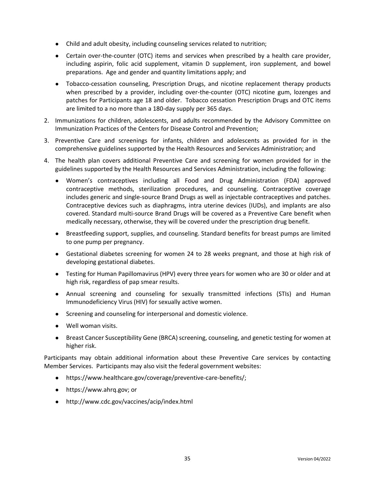- Child and adult obesity, including counseling services related to nutrition;
- Certain over-the-counter (OTC) items and services when prescribed by a health care provider, including aspirin, folic acid supplement, vitamin D supplement, iron supplement, and bowel preparations. Age and gender and quantity limitations apply; and
- Tobacco-cessation counseling, Prescription Drugs, and nicotine replacement therapy products when prescribed by a provider, including over-the-counter (OTC) nicotine gum, lozenges and patches for Participants age 18 and older. Tobacco cessation Prescription Drugs and OTC items are limited to a no more than a 180-day supply per 365 days.
- 2. Immunizations for children, adolescents, and adults recommended by the Advisory Committee on Immunization Practices of the Centers for Disease Control and Prevention;
- 3. Preventive Care and screenings for infants, children and adolescents as provided for in the comprehensive guidelines supported by the Health Resources and Services Administration; and
- 4. The health plan covers additional Preventive Care and screening for women provided for in the guidelines supported by the Health Resources and Services Administration, including the following:
	- Women's contraceptives including all Food and Drug Administration (FDA) approved contraceptive methods, sterilization procedures, and counseling. Contraceptive coverage includes generic and single-source Brand Drugs as well as injectable contraceptives and patches. Contraceptive devices such as diaphragms, intra uterine devices (IUDs), and implants are also covered. Standard multi-source Brand Drugs will be covered as a Preventive Care benefit when medically necessary, otherwise, they will be covered under the prescription drug benefit.
	- Breastfeeding support, supplies, and counseling. Standard benefits for breast pumps are limited to one pump per pregnancy.
	- Gestational diabetes screening for women 24 to 28 weeks pregnant, and those at high risk of developing gestational diabetes.
	- Testing for Human Papillomavirus (HPV) every three years for women who are 30 or older and at high risk, regardless of pap smear results.
	- Annual screening and counseling for sexually transmitted infections (STIs) and Human Immunodeficiency Virus (HIV) for sexually active women.
	- Screening and counseling for interpersonal and domestic violence.
	- Well woman visits.
	- Breast Cancer Susceptibility Gene (BRCA) screening, counseling, and genetic testing for women at higher risk.

Participants may obtain additional information about these Preventive Care services by contacting Member Services. Participants may also visit the federal government websites:

- https://www.healthcare.gov/coverage/preventive-care-benefits/;
- https://www.ahrq.gov; or
- http://www.cdc.gov/vaccines/acip/index.html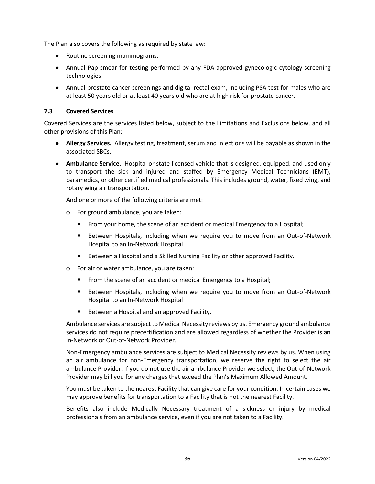The Plan also covers the following as required by state law:

- Routine screening mammograms.
- Annual Pap smear for testing performed by any FDA-approved gynecologic cytology screening technologies.
- Annual prostate cancer screenings and digital rectal exam, including PSA test for males who are at least 50 years old or at least 40 years old who are at high risk for prostate cancer.

### **7.3 Covered Services**

Covered Services are the services listed below, subject to the Limitations and Exclusions below, and all other provisions of this Plan:

- **Allergy Services.** Allergy testing, treatment, serum and injections will be payable as shown in the associated SBCs.
- **Ambulance Service.** Hospital or state licensed vehicle that is designed, equipped, and used only to transport the sick and injured and staffed by Emergency Medical Technicians (EMT), paramedics, or other certified medical professionals. This includes ground, water, fixed wing, and rotary wing air transportation.

And one or more of the following criteria are met:

- For ground ambulance, you are taken:
	- From your home, the scene of an accident or medical Emergency to a Hospital;
	- **E** Between Hospitals, including when we require you to move from an Out-of-Network Hospital to an In-Network Hospital
	- **E** Between a Hospital and a Skilled Nursing Facility or other approved Facility.
- For air or water ambulance, you are taken:
	- From the scene of an accident or medical Emergency to a Hospital;
	- **E** Between Hospitals, including when we require you to move from an Out-of-Network Hospital to an In-Network Hospital
	- Between a Hospital and an approved Facility.

Ambulance services are subject to Medical Necessity reviews by us. Emergency ground ambulance services do not require precertification and are allowed regardless of whether the Provider is an In-Network or Out-of-Network Provider.

Non-Emergency ambulance services are subject to Medical Necessity reviews by us. When using an air ambulance for non-Emergency transportation, we reserve the right to select the air ambulance Provider. If you do not use the air ambulance Provider we select, the Out-of-Network Provider may bill you for any charges that exceed the Plan's Maximum Allowed Amount.

You must be taken to the nearest Facility that can give care for your condition. In certain cases we may approve benefits for transportation to a Facility that is not the nearest Facility.

Benefits also include Medically Necessary treatment of a sickness or injury by medical professionals from an ambulance service, even if you are not taken to a Facility.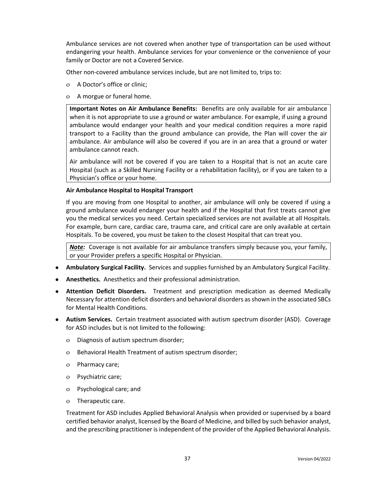Ambulance services are not covered when another type of transportation can be used without endangering your health. Ambulance services for your convenience or the convenience of your family or Doctor are not a Covered Service.

Other non-covered ambulance services include, but are not limited to, trips to:

- A Doctor's office or clinic;
- A morgue or funeral home.

**Important Notes on Air Ambulance Benefits:** Benefits are only available for air ambulance when it is not appropriate to use a ground or water ambulance. For example, if using a ground ambulance would endanger your health and your medical condition requires a more rapid transport to a Facility than the ground ambulance can provide, the Plan will cover the air ambulance. Air ambulance will also be covered if you are in an area that a ground or water ambulance cannot reach.

Air ambulance will not be covered if you are taken to a Hospital that is not an acute care Hospital (such as a Skilled Nursing Facility or a rehabilitation facility), or if you are taken to a Physician's office or your home.

## **Air Ambulance Hospital to Hospital Transport**

If you are moving from one Hospital to another, air ambulance will only be covered if using a ground ambulance would endanger your health and if the Hospital that first treats cannot give you the medical services you need. Certain specialized services are not available at all Hospitals. For example, burn care, cardiac care, trauma care, and critical care are only available at certain Hospitals. To be covered, you must be taken to the closest Hospital that can treat you.

*Note:* Coverage is not available for air ambulance transfers simply because you, your family, or your Provider prefers a specific Hospital or Physician.

- **Ambulatory Surgical Facility.** Services and supplies furnished by an Ambulatory Surgical Facility.
- **Anesthetics.** Anesthetics and their professional administration.
- **Attention Deficit Disorders.** Treatment and prescription medication as deemed Medically Necessary for attention deficit disorders and behavioral disorders as shown in the associated SBCs for Mental Health Conditions.
- **Autism Services.** Certain treatment associated with autism spectrum disorder (ASD). Coverage for ASD includes but is not limited to the following:
	- Diagnosis of autism spectrum disorder;
	- o Behavioral Health Treatment of autism spectrum disorder;
	- Pharmacy care;
	- Psychiatric care;
	- Psychological care; and
	- Therapeutic care.

Treatment for ASD includes Applied Behavioral Analysis when provided or supervised by a board certified behavior analyst, licensed by the Board of Medicine, and billed by such behavior analyst, and the prescribing practitioner is independent of the provider of the Applied Behavioral Analysis.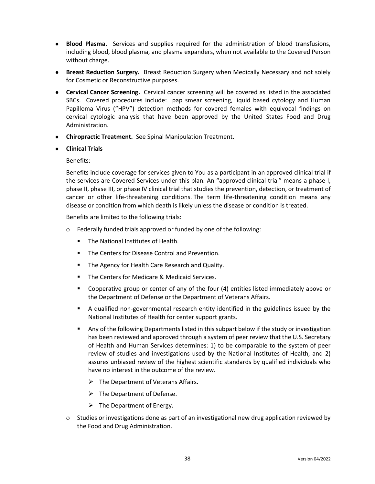- **Blood Plasma.** Services and supplies required for the administration of blood transfusions, including blood, blood plasma, and plasma expanders, when not available to the Covered Person without charge.
- **Breast Reduction Surgery.** Breast Reduction Surgery when Medically Necessary and not solely for Cosmetic or Reconstructive purposes.
- **Cervical Cancer Screening.** Cervical cancer screening will be covered as listed in the associated SBCs. Covered procedures include: pap smear screening, liquid based cytology and Human Papilloma Virus ("HPV") detection methods for covered females with equivocal findings on cervical cytologic analysis that have been approved by the United States Food and Drug Administration.
- **Chiropractic Treatment.** See Spinal Manipulation Treatment.
- **Clinical Trials**

### Benefits:

Benefits include coverage for services given to You as a participant in an approved clinical trial if the services are Covered Services under this plan. An "approved clinical trial" means a phase I, phase II, phase III, or phase IV clinical trial that studies the prevention, detection, or treatment of cancer or other life-threatening conditions. The term life-threatening condition means any disease or condition from which death is likely unless the disease or condition is treated.

Benefits are limited to the following trials:

- Federally funded trials approved or funded by one of the following:
	- The National Institutes of Health.
	- The Centers for Disease Control and Prevention.
	- **E** The Agency for Health Care Research and Quality.
	- The Centers for Medicare & Medicaid Services.
	- Cooperative group or center of any of the four (4) entities listed immediately above or the Department of Defense or the Department of Veterans Affairs.
	- A qualified non-governmental research entity identified in the guidelines issued by the National Institutes of Health for center support grants.
	- Any of the following Departments listed in this subpart below if the study or investigation has been reviewed and approved through a system of peer review that the U.S. Secretary of Health and Human Services determines: 1) to be comparable to the system of peer review of studies and investigations used by the National Institutes of Health, and 2) assures unbiased review of the highest scientific standards by qualified individuals who have no interest in the outcome of the review.
		- $\triangleright$  The Department of Veterans Affairs.
		- $\triangleright$  The Department of Defense.
		- $\triangleright$  The Department of Energy.
- Studies or investigations done as part of an investigational new drug application reviewed by the Food and Drug Administration.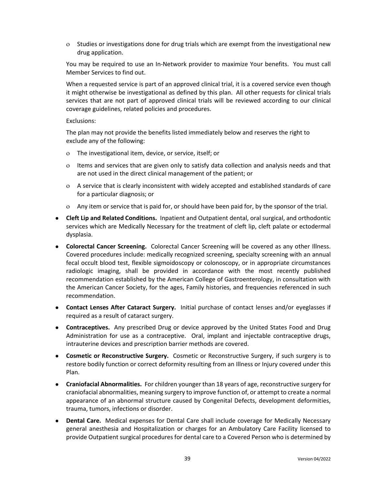Studies or investigations done for drug trials which are exempt from the investigational new drug application.

You may be required to use an In-Network provider to maximize Your benefits. You must call Member Services to find out.

When a requested service is part of an approved clinical trial, it is a covered service even though it might otherwise be investigational as defined by this plan. All other requests for clinical trials services that are not part of approved clinical trials will be reviewed according to our clinical coverage guidelines, related policies and procedures.

#### Exclusions:

The plan may not provide the benefits listed immediately below and reserves the right to exclude any of the following:

- The investigational item, device, or service, itself; or
- $\circ$  Items and services that are given only to satisfy data collection and analysis needs and that are not used in the direct clinical management of the patient; or
- A service that is clearly inconsistent with widely accepted and established standards of care for a particular diagnosis; or
- Any item or service that is paid for, or should have been paid for, by the sponsor of the trial.
- **Cleft Lip and Related Conditions.** Inpatient and Outpatient dental, oral surgical, and orthodontic services which are Medically Necessary for the treatment of cleft lip, cleft palate or ectodermal dysplasia.
- **Colorectal Cancer Screening.** Colorectal Cancer Screening will be covered as any other Illness. Covered procedures include: medically recognized screening, specialty screening with an annual fecal occult blood test, flexible sigmoidoscopy or colonoscopy, or in appropriate circumstances radiologic imaging, shall be provided in accordance with the most recently published recommendation established by the American College of Gastroenterology, in consultation with the American Cancer Society, for the ages, Family histories, and frequencies referenced in such recommendation.
- **Contact Lenses After Cataract Surgery.** Initial purchase of contact lenses and/or eyeglasses if required as a result of cataract surgery.
- **Contraceptives.** Any prescribed Drug or device approved by the United States Food and Drug Administration for use as a contraceptive. Oral, implant and injectable contraceptive drugs, intrauterine devices and prescription barrier methods are covered.
- **Cosmetic or Reconstructive Surgery.** Cosmetic or Reconstructive Surgery, if such surgery is to restore bodily function or correct deformity resulting from an Illness or Injury covered under this Plan.
- **Craniofacial Abnormalities.** For children younger than 18 years of age, reconstructive surgery for craniofacial abnormalities, meaning surgery to improve function of, or attempt to create a normal appearance of an abnormal structure caused by Congenital Defects, development deformities, trauma, tumors, infections or disorder.
- **Dental Care.** Medical expenses for Dental Care shall include coverage for Medically Necessary general anesthesia and Hospitalization or charges for an Ambulatory Care Facility licensed to provide Outpatient surgical procedures for dental care to a Covered Person who is determined by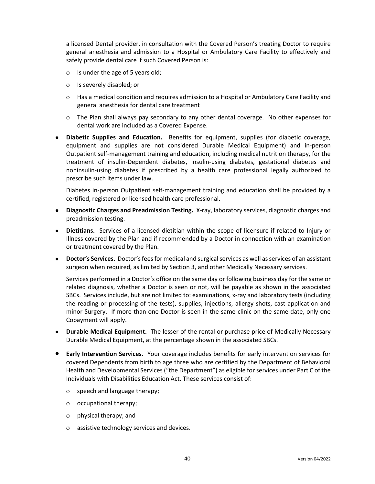a licensed Dental provider, in consultation with the Covered Person's treating Doctor to require general anesthesia and admission to a Hospital or Ambulatory Care Facility to effectively and safely provide dental care if such Covered Person is:

- $\circ$  Is under the age of 5 years old;
- Is severely disabled; or
- Has a medical condition and requires admission to a Hospital or Ambulatory Care Facility and general anesthesia for dental care treatment
- The Plan shall always pay secondary to any other dental coverage. No other expenses for dental work are included as a Covered Expense.
- **Diabetic Supplies and Education.** Benefits for equipment, supplies (for diabetic coverage, equipment and supplies are not considered Durable Medical Equipment) and in-person Outpatient self-management training and education, including medical nutrition therapy, for the treatment of insulin-Dependent diabetes, insulin-using diabetes, gestational diabetes and noninsulin-using diabetes if prescribed by a health care professional legally authorized to prescribe such items under law.

Diabetes in-person Outpatient self-management training and education shall be provided by a certified, registered or licensed health care professional.

- **Diagnostic Charges and Preadmission Testing.** X-ray, laboratory services, diagnostic charges and preadmission testing.
- **Dietitians.** Services of a licensed dietitian within the scope of licensure if related to Injury or Illness covered by the Plan and if recommended by a Doctor in connection with an examination or treatment covered by the Plan.
- **Doctor's Services.** Doctor's fees for medical and surgical services as well as services of an assistant surgeon when required, as limited by Section 3, and other Medically Necessary services.

Services performed in a Doctor's office on the same day or following business day for the same or related diagnosis, whether a Doctor is seen or not, will be payable as shown in the associated SBCs. Services include, but are not limited to: examinations, x-ray and laboratory tests (including the reading or processing of the tests), supplies, injections, allergy shots, cast application and minor Surgery. If more than one Doctor is seen in the same clinic on the same date, only one Copayment will apply.

- **Durable Medical Equipment.** The lesser of the rental or purchase price of Medically Necessary Durable Medical Equipment, at the percentage shown in the associated SBCs.
- **Early Intervention Services.** Your coverage includes benefits for early intervention services for covered Dependents from birth to age three who are certified by the Department of Behavioral Health and Developmental Services ("the Department") as eligible for services under Part C of the Individuals with Disabilities Education Act. These services consist of:
	- o speech and language therapy;
	- occupational therapy;
	- physical therapy; and
	- assistive technology services and devices.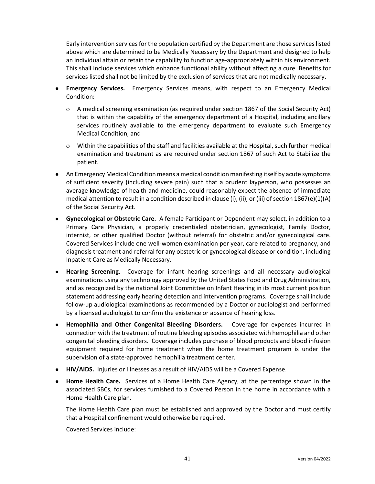Early intervention services for the population certified by the Department are those services listed above which are determined to be Medically Necessary by the Department and designed to help an individual attain or retain the capability to function age-appropriately within his environment. This shall include services which enhance functional ability without affecting a cure. Benefits for services listed shall not be limited by the exclusion of services that are not medically necessary.

- **Emergency Services.** Emergency Services means, with respect to an Emergency Medical Condition:
	- A medical screening examination (as required under section 1867 of the Social Security Act) that is within the capability of the emergency department of a Hospital, including ancillary services routinely available to the emergency department to evaluate such Emergency Medical Condition, and
	- Within the capabilities of the staff and facilities available at the Hospital, such further medical examination and treatment as are required under section 1867 of such Act to Stabilize the patient.
- An Emergency Medical Condition means a medical condition manifesting itself by acute symptoms of sufficient severity (including severe pain) such that a prudent layperson, who possesses an average knowledge of health and medicine, could reasonably expect the absence of immediate medical attention to result in a condition described in clause (i), (ii), or (iii) of section 1867(e)(1)(A) of the Social Security Act.
- **Gynecological or Obstetric Care.** A female Participant or Dependent may select, in addition to a Primary Care Physician, a properly credentialed obstetrician, gynecologist, Family Doctor, internist, or other qualified Doctor (without referral) for obstetric and/or gynecological care. Covered Services include one well-women examination per year, care related to pregnancy, and diagnosis treatment and referral for any obstetric or gynecological disease or condition, including Inpatient Care as Medically Necessary.
- **Hearing Screening.** Coverage for infant hearing screenings and all necessary audiological examinations using any technology approved by the United States Food and Drug Administration, and as recognized by the national Joint Committee on Infant Hearing in its most current position statement addressing early hearing detection and intervention programs. Coverage shall include follow-up audiological examinations as recommended by a Doctor or audiologist and performed by a licensed audiologist to confirm the existence or absence of hearing loss.
- **Hemophilia and Other Congenital Bleeding Disorders.** Coverage for expenses incurred in connection with the treatment of routine bleeding episodes associated with hemophilia and other congenital bleeding disorders. Coverage includes purchase of blood products and blood infusion equipment required for home treatment when the home treatment program is under the supervision of a state-approved hemophilia treatment center.
- **HIV/AIDS.** Injuries or Illnesses as a result of HIV/AIDS will be a Covered Expense.
- **Home Health Care.** Services of a Home Health Care Agency, at the percentage shown in the associated SBCs, for services furnished to a Covered Person in the home in accordance with a Home Health Care plan.

The Home Health Care plan must be established and approved by the Doctor and must certify that a Hospital confinement would otherwise be required.

Covered Services include: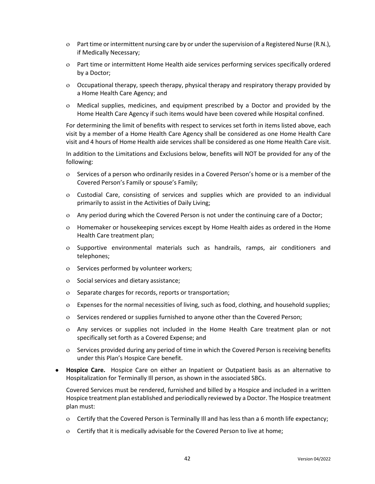- Part time or intermittent nursing care by or under the supervision of a Registered Nurse (R.N.), if Medically Necessary;
- Part time or intermittent Home Health aide services performing services specifically ordered by a Doctor;
- Occupational therapy, speech therapy, physical therapy and respiratory therapy provided by a Home Health Care Agency; and
- Medical supplies, medicines, and equipment prescribed by a Doctor and provided by the Home Health Care Agency if such items would have been covered while Hospital confined.

For determining the limit of benefits with respect to services set forth in items listed above, each visit by a member of a Home Health Care Agency shall be considered as one Home Health Care visit and 4 hours of Home Health aide services shall be considered as one Home Health Care visit.

In addition to the Limitations and Exclusions below, benefits will NOT be provided for any of the following:

- Services of a person who ordinarily resides in a Covered Person's home or is a member of the Covered Person's Family or spouse's Family;
- Custodial Care, consisting of services and supplies which are provided to an individual primarily to assist in the Activities of Daily Living;
- Any period during which the Covered Person is not under the continuing care of a Doctor;
- Homemaker or housekeeping services except by Home Health aides as ordered in the Home Health Care treatment plan;
- Supportive environmental materials such as handrails, ramps, air conditioners and telephones;
- o Services performed by volunteer workers;
- o Social services and dietary assistance;
- o Separate charges for records, reports or transportation;
- Expenses for the normal necessities of living, such as food, clothing, and household supplies;
- o Services rendered or supplies furnished to anyone other than the Covered Person;
- Any services or supplies not included in the Home Health Care treatment plan or not specifically set forth as a Covered Expense; and
- Services provided during any period of time in which the Covered Person is receiving benefits under this Plan's Hospice Care benefit.
- **Hospice Care.** Hospice Care on either an Inpatient or Outpatient basis as an alternative to Hospitalization for Terminally Ill person, as shown in the associated SBCs.

Covered Services must be rendered, furnished and billed by a Hospice and included in a written Hospice treatment plan established and periodically reviewed by a Doctor. The Hospice treatment plan must:

- Certify that the Covered Person is Terminally Ill and has less than a 6 month life expectancy;
- Certify that it is medically advisable for the Covered Person to live at home;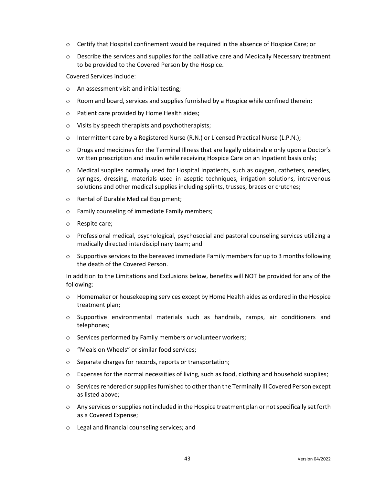- Certify that Hospital confinement would be required in the absence of Hospice Care; or
- Describe the services and supplies for the palliative care and Medically Necessary treatment to be provided to the Covered Person by the Hospice.

Covered Services include:

- An assessment visit and initial testing;
- Room and board, services and supplies furnished by a Hospice while confined therein;
- Patient care provided by Home Health aides;
- Visits by speech therapists and psychotherapists;
- o Intermittent care by a Registered Nurse (R.N.) or Licensed Practical Nurse (L.P.N.);
- Drugs and medicines for the Terminal Illness that are legally obtainable only upon a Doctor's written prescription and insulin while receiving Hospice Care on an Inpatient basis only;
- Medical supplies normally used for Hospital Inpatients, such as oxygen, catheters, needles, syringes, dressing, materials used in aseptic techniques, irrigation solutions, intravenous solutions and other medical supplies including splints, trusses, braces or crutches;
- o Rental of Durable Medical Equipment;
- Family counseling of immediate Family members;
- Respite care;
- Professional medical, psychological, psychosocial and pastoral counseling services utilizing a medically directed interdisciplinary team; and
- Supportive services to the bereaved immediate Family members for up to 3 months following the death of the Covered Person.

In addition to the Limitations and Exclusions below, benefits will NOT be provided for any of the following:

- Homemaker or housekeeping services except by Home Health aides as ordered in the Hospice treatment plan;
- Supportive environmental materials such as handrails, ramps, air conditioners and telephones;
- o Services performed by Family members or volunteer workers;
- "Meals on Wheels" or similar food services;
- o Separate charges for records, reports or transportation;
- Expenses for the normal necessities of living, such as food, clothing and household supplies;
- Services rendered or supplies furnished to other than the Terminally Ill Covered Person except as listed above;
- Any services or supplies not included in the Hospice treatment plan or not specifically set forth as a Covered Expense;
- Legal and financial counseling services; and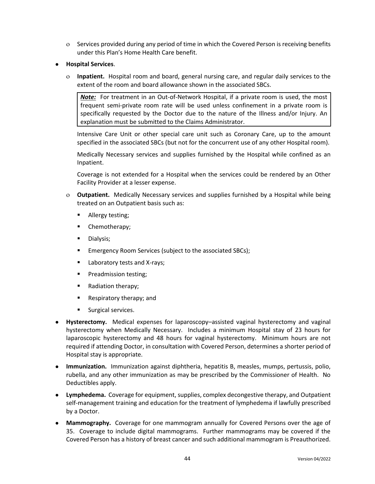- Services provided during any period of time in which the Covered Person is receiving benefits under this Plan's Home Health Care benefit.
- **Hospital Services**.
	- **Inpatient.** Hospital room and board, general nursing care, and regular daily services to the extent of the room and board allowance shown in the associated SBCs.

*Note:* For treatment in an Out-of-Network Hospital, if a private room is used, the most frequent semi-private room rate will be used unless confinement in a private room is specifically requested by the Doctor due to the nature of the Illness and/or Injury. An explanation must be submitted to the Claims Administrator.

Intensive Care Unit or other special care unit such as Coronary Care, up to the amount specified in the associated SBCs (but not for the concurrent use of any other Hospital room).

Medically Necessary services and supplies furnished by the Hospital while confined as an Inpatient.

Coverage is not extended for a Hospital when the services could be rendered by an Other Facility Provider at a lesser expense.

- **Outpatient.** Medically Necessary services and supplies furnished by a Hospital while being treated on an Outpatient basis such as:
	- **■** Allergy testing;
	- Chemotherapy;
	- Dialysis;
	- Emergency Room Services (subject to the associated SBCs);
	- Laboratory tests and X-rays;
	- **•** Preadmission testing;
	- Radiation therapy;
	- Respiratory therapy; and
	- Surgical services.
- **Hysterectomy.** Medical expenses for laparoscopy–assisted vaginal hysterectomy and vaginal hysterectomy when Medically Necessary. Includes a minimum Hospital stay of 23 hours for laparoscopic hysterectomy and 48 hours for vaginal hysterectomy. Minimum hours are not required if attending Doctor, in consultation with Covered Person, determines a shorter period of Hospital stay is appropriate.
- **Immunization.** Immunization against diphtheria, hepatitis B, measles, mumps, pertussis, polio, rubella, and any other immunization as may be prescribed by the Commissioner of Health. No Deductibles apply.
- **Lymphedema.** Coverage for equipment, supplies, complex decongestive therapy, and Outpatient self-management training and education for the treatment of lymphedema if lawfully prescribed by a Doctor.
- **Mammography.** Coverage for one mammogram annually for Covered Persons over the age of 35. Coverage to include digital mammograms. Further mammograms may be covered if the Covered Person has a history of breast cancer and such additional mammogram is Preauthorized.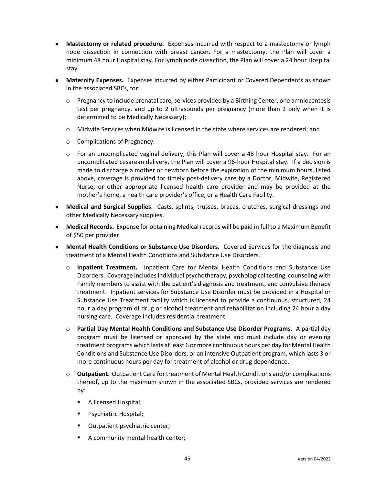- **Mastectomy or related procedure.** Expenses incurred with respect to a mastectomy or lymph node dissection in connection with breast cancer. For a mastectomy, the Plan will cover a minimum 48 hour Hospital stay. For lymph node dissection, the Plan will cover a 24 hour Hospital stay
- **Maternity Expenses.** Expenses incurred by either Participant or Covered Dependents as shown in the associated SBCs, for:
	- Pregnancy to include prenatal care, services provided by a Birthing Center, one amniocentesis test per pregnancy, and up to 2 ultrasounds per pregnancy (more than 2 only when it is determined to be Medically Necessary);
	- Midwife Services when Midwife is licensed in the state where services are rendered; and
	- o Complications of Pregnancy.
	- For an uncomplicated vaginal delivery, this Plan will cover a 48 hour Hospital stay. For an uncomplicated cesarean delivery, the Plan will cover a 96-hour Hospital stay. If a decision is made to discharge a mother or newborn before the expiration of the minimum hours, listed above, coverage is provided for timely post-delivery care by a Doctor, Midwife, Registered Nurse, or other appropriate licensed health care provider and may be provided at the mother's home, a health care provider's office, or a Health Care Facility.
- **Medical and Surgical Supplies**. Casts, splints, trusses, braces, crutches, surgical dressings and other Medically Necessary supplies.
- **Medical Records.** Expense for obtaining Medical records will be paid in full to a Maximum Benefit of \$50 per provider.
- **Mental Health Conditions or Substance Use Disorders.** Covered Services for the diagnosis and treatment of a Mental Health Conditions and Substance Use Disorders.
	- **Inpatient Treatment.** Inpatient Care for Mental Health Conditions and Substance Use Disorders. Coverage includes individual psychotherapy, psychological testing, counseling with Family members to assist with the patient's diagnosis and treatment, and convulsive therapy treatment. Inpatient services for Substance Use Disorder must be provided in a Hospital or Substance Use Treatment facility which is licensed to provide a continuous, structured, 24 hour a day program of drug or alcohol treatment and rehabilitation including 24 hour a day nursing care. Coverage includes residential treatment.
	- **Partial Day Mental Health Conditions and Substance Use Disorder Programs.** A partial day program must be licensed or approved by the state and must include day or evening treatment programs which lasts at least 6 or more continuous hours per day for Mental Health Conditions and Substance Use Disorders, or an intensive Outpatient program, which lasts 3 or more continuous hours per day for treatment of alcohol or drug dependence.
	- **Outpatient**. Outpatient Care for treatment of Mental Health Conditions and/or complications thereof, up to the maximum shown in the associated SBCs, provided services are rendered by:
		- A licensed Hospital;
		- Psychiatric Hospital;
		- Outpatient psychiatric center;
		- A community mental health center;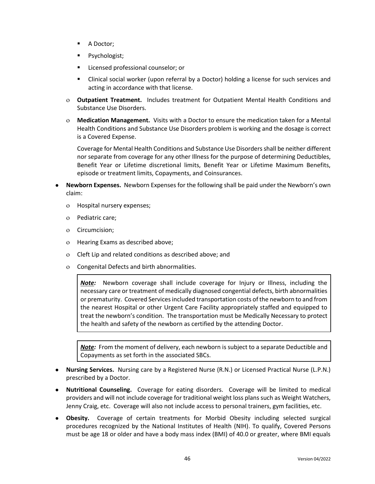- A Doctor;
- Psychologist;
- Licensed professional counselor; or
- Clinical social worker (upon referral by a Doctor) holding a license for such services and acting in accordance with that license.
- **Outpatient Treatment.** Includes treatment for Outpatient Mental Health Conditions and Substance Use Disorders.
- **Medication Management.** Visits with a Doctor to ensure the medication taken for a Mental Health Conditions and Substance Use Disorders problem is working and the dosage is correct is a Covered Expense.

Coverage for Mental Health Conditions and Substance Use Disorders shall be neither different nor separate from coverage for any other Illness for the purpose of determining Deductibles, Benefit Year or Lifetime discretional limits, Benefit Year or Lifetime Maximum Benefits, episode or treatment limits, Copayments, and Coinsurances.

- **Newborn Expenses.** Newborn Expenses for the following shall be paid under the Newborn's own claim:
	- Hospital nursery expenses;
	- Pediatric care;
	- o Circumcision;
	- Hearing Exams as described above;
	- Cleft Lip and related conditions as described above; and
	- Congenital Defects and birth abnormalities.

*Note:* Newborn coverage shall include coverage for Injury or Illness, including the necessary care or treatment of medically diagnosed congential defects, birth abnormalities or prematurity. Covered Servicesincluded transportation costs of the newborn to and from the nearest Hospital or other Urgent Care Facility appropriately staffed and equipped to treat the newborn's condition. The transportation must be Medically Necessary to protect the health and safety of the newborn as certified by the attending Doctor.

*Note:* From the moment of delivery, each newborn is subject to a separate Deductible and Copayments as set forth in the associated SBCs.

- **Nursing Services.** Nursing care by a Registered Nurse (R.N.) or Licensed Practical Nurse (L.P.N.) prescribed by a Doctor.
- **Nutritional Counseling.** Coverage for eating disorders. Coverage will be limited to medical providers and will not include coverage for traditional weight loss plans such as Weight Watchers, Jenny Craig, etc. Coverage will also not include access to personal trainers, gym facilities, etc.
- **Obesity.** Coverage of certain treatments for Morbid Obesity including selected surgical procedures recognized by the National Institutes of Health (NIH). To qualify, Covered Persons must be age 18 or older and have a body mass index (BMI) of 40.0 or greater, where BMI equals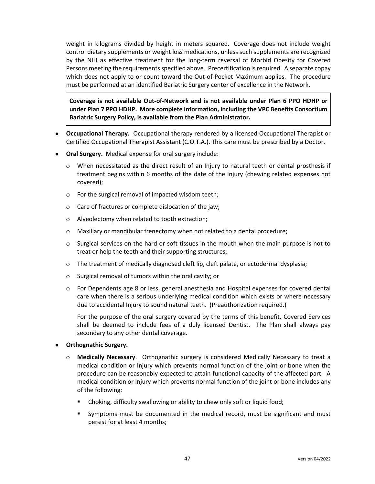weight in kilograms divided by height in meters squared. Coverage does not include weight control dietary supplements or weight loss medications, unless such supplements are recognized by the NIH as effective treatment for the long-term reversal of Morbid Obesity for Covered Persons meeting the requirements specified above. Precertification is required. A separate copay which does not apply to or count toward the Out-of-Pocket Maximum applies. The procedure must be performed at an identified Bariatric Surgery center of excellence in the Network.

**Coverage is not available Out-of-Network and is not available under Plan 6 PPO HDHP or under Plan 7 PPO HDHP. More complete information, including the VPC Benefits Consortium Bariatric Surgery Policy, is available from the Plan Administrator.**

- **Occupational Therapy.** Occupational therapy rendered by a licensed Occupational Therapist or Certified Occupational Therapist Assistant (C.O.T.A.). This care must be prescribed by a Doctor.
- **Oral Surgery.** Medical expense for oral surgery include:
	- When necessitated as the direct result of an Injury to natural teeth or dental prosthesis if treatment begins within 6 months of the date of the Injury (chewing related expenses not covered);
	- For the surgical removal of impacted wisdom teeth;
	- Care of fractures or complete dislocation of the jaw;
	- Alveolectomy when related to tooth extraction;
	- Maxillary or mandibular frenectomy when not related to a dental procedure;
	- Surgical services on the hard or soft tissues in the mouth when the main purpose is not to treat or help the teeth and their supporting structures;
	- The treatment of medically diagnosed cleft lip, cleft palate, or ectodermal dysplasia;
	- Surgical removal of tumors within the oral cavity; or
	- For Dependents age 8 or less, general anesthesia and Hospital expenses for covered dental care when there is a serious underlying medical condition which exists or where necessary due to accidental Injury to sound natural teeth. (Preauthorization required.)

For the purpose of the oral surgery covered by the terms of this benefit, Covered Services shall be deemed to include fees of a duly licensed Dentist. The Plan shall always pay secondary to any other dental coverage.

#### **Orthognathic Surgery.**

- **Medically Necessary**. Orthognathic surgery is considered Medically Necessary to treat a medical condition or Injury which prevents normal function of the joint or bone when the procedure can be reasonably expected to attain functional capacity of the affected part. A medical condition or Injury which prevents normal function of the joint or bone includes any of the following:
	- Choking, difficulty swallowing or ability to chew only soft or liquid food;
	- Symptoms must be documented in the medical record, must be significant and must persist for at least 4 months;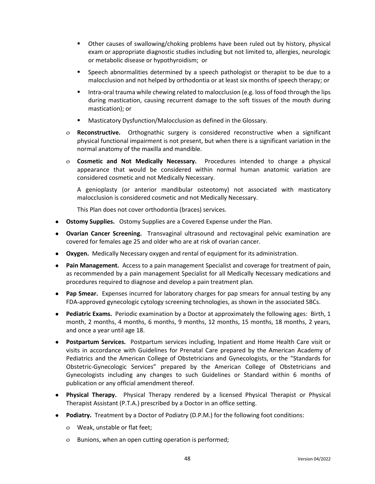- **■** Other causes of swallowing/choking problems have been ruled out by history, physical exam or appropriate diagnostic studies including but not limited to, allergies, neurologic or metabolic disease or hypothyroidism; or
- **•** Speech abnormalities determined by a speech pathologist or therapist to be due to a malocclusion and not helped by orthodontia or at least six months of speech therapy; or
- **■** Intra-oral trauma while chewing related to malocclusion (e.g. loss of food through the lips during mastication, causing recurrent damage to the soft tissues of the mouth during mastication); or
- Masticatory Dysfunction/Malocclusion as defined in the Glossary.
- **Reconstructive.** Orthognathic surgery is considered reconstructive when a significant physical functional impairment is not present, but when there is a significant variation in the normal anatomy of the maxilla and mandible.
- **Cosmetic and Not Medically Necessary.** Procedures intended to change a physical appearance that would be considered within normal human anatomic variation are considered cosmetic and not Medically Necessary.

A genioplasty (or anterior mandibular osteotomy) not associated with masticatory malocclusion is considered cosmetic and not Medically Necessary.

This Plan does not cover orthodontia (braces) services.

- **Ostomy Supplies.** Ostomy Supplies are a Covered Expense under the Plan.
- **Ovarian Cancer Screening.** Transvaginal ultrasound and rectovaginal pelvic examination are covered for females age 25 and older who are at risk of ovarian cancer.
- **Oxygen.** Medically Necessary oxygen and rental of equipment for its administration.
- **Pain Management.** Access to a pain management Specialist and coverage for treatment of pain, as recommended by a pain management Specialist for all Medically Necessary medications and procedures required to diagnose and develop a pain treatment plan.
- **Pap Smear.** Expenses incurred for laboratory charges for pap smears for annual testing by any FDA-approved gynecologic cytology screening technologies, as shown in the associated SBCs.
- **Pediatric Exams.** Periodic examination by a Doctor at approximately the following ages: Birth, 1 month, 2 months, 4 months, 6 months, 9 months, 12 months, 15 months, 18 months, 2 years, and once a year until age 18.
- **Postpartum Services.** Postpartum services including, Inpatient and Home Health Care visit or visits in accordance with Guidelines for Prenatal Care prepared by the American Academy of Pediatrics and the American College of Obstetricians and Gynecologists, or the "Standards for Obstetric-Gynecologic Services" prepared by the American College of Obstetricians and Gynecologists including any changes to such Guidelines or Standard within 6 months of publication or any official amendment thereof.
- **Physical Therapy.** Physical Therapy rendered by a licensed Physical Therapist or Physical Therapist Assistant (P.T.A.) prescribed by a Doctor in an office setting.
- **Podiatry.** Treatment by a Doctor of Podiatry (D.P.M.) for the following foot conditions:
	- Weak, unstable or flat feet;
	- Bunions, when an open cutting operation is performed;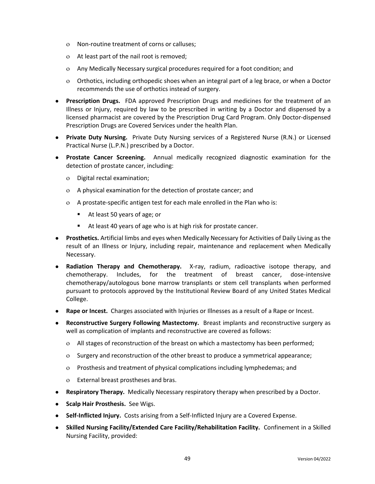- Non-routine treatment of corns or calluses;
- At least part of the nail root is removed;
- Any Medically Necessary surgical procedures required for a foot condition; and
- Orthotics, including orthopedic shoes when an integral part of a leg brace, or when a Doctor recommends the use of orthotics instead of surgery.
- **Prescription Drugs.** FDA approved Prescription Drugs and medicines for the treatment of an Illness or Injury, required by law to be prescribed in writing by a Doctor and dispensed by a licensed pharmacist are covered by the Prescription Drug Card Program. Only Doctor-dispensed Prescription Drugs are Covered Services under the health Plan.
- **Private Duty Nursing.** Private Duty Nursing services of a Registered Nurse (R.N.) or Licensed Practical Nurse (L.P.N.) prescribed by a Doctor.
- **Prostate Cancer Screening.** Annual medically recognized diagnostic examination for the detection of prostate cancer, including:
	- Digital rectal examination;
	- A physical examination for the detection of prostate cancer; and
	- A prostate-specific antigen test for each male enrolled in the Plan who is:
		- At least 50 years of age; or
		- At least 40 years of age who is at high risk for prostate cancer.
- **Prosthetics.** Artificial limbs and eyes when Medically Necessary for Activities of Daily Living as the result of an Illness or Injury, including repair, maintenance and replacement when Medically Necessary.
- **Radiation Therapy and Chemotherapy.** X-ray, radium, radioactive isotope therapy, and chemotherapy. Includes, for the treatment of breast cancer, dose-intensive chemotherapy/autologous bone marrow transplants or stem cell transplants when performed pursuant to protocols approved by the Institutional Review Board of any United States Medical College.
- **Rape or Incest.** Charges associated with Injuries or Illnesses as a result of a Rape or Incest.
- **Reconstructive Surgery Following Mastectomy.** Breast implants and reconstructive surgery as well as complication of implants and reconstructive are covered as follows:
	- All stages of reconstruction of the breast on which a mastectomy has been performed;
	- o Surgery and reconstruction of the other breast to produce a symmetrical appearance;
	- Prosthesis and treatment of physical complications including lymphedemas; and
	- External breast prostheses and bras.
- **Respiratory Therapy.** Medically Necessary respiratory therapy when prescribed by a Doctor.
- **Scalp Hair Prosthesis.** See Wigs.
- **Self-Inflicted Injury.** Costs arising from a Self-Inflicted Injury are a Covered Expense.
- **Skilled Nursing Facility/Extended Care Facility/Rehabilitation Facility.** Confinement in a Skilled Nursing Facility, provided: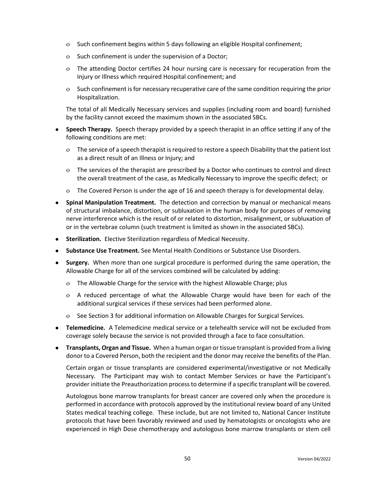- Such confinement begins within 5 days following an eligible Hospital confinement;
- o Such confinement is under the supervision of a Doctor;
- The attending Doctor certifies 24 hour nursing care is necessary for recuperation from the Injury or Illness which required Hospital confinement; and
- o Such confinement is for necessary recuperative care of the same condition requiring the prior Hospitalization.

The total of all Medically Necessary services and supplies (including room and board) furnished by the facility cannot exceed the maximum shown in the associated SBCs.

- **Speech Therapy.** Speech therapy provided by a speech therapist in an office setting if any of the following conditions are met:
	- The service of a speech therapist is required to restore a speech Disability that the patient lost as a direct result of an Illness or Injury; and
	- The services of the therapist are prescribed by a Doctor who continues to control and direct the overall treatment of the case, as Medically Necessary to improve the specific defect; or
	- The Covered Person is under the age of 16 and speech therapy is for developmental delay.
- **Spinal Manipulation Treatment.** The detection and correction by manual or mechanical means of structural imbalance, distortion, or subluxation in the human body for purposes of removing nerve interference which is the result of or related to distortion, misalignment, or subluxation of or in the vertebrae column (such treatment is limited as shown in the associated SBCs).
- **Sterilization.** Elective Sterilization regardless of Medical Necessity.
- **Substance Use Treatment.** See Mental Health Conditions or Substance Use Disorders.
- **Surgery.** When more than one surgical procedure is performed during the same operation, the Allowable Charge for all of the services combined will be calculated by adding:
	- The Allowable Charge for the service with the highest Allowable Charge; plus
	- A reduced percentage of what the Allowable Charge would have been for each of the additional surgical services if these services had been performed alone.
	- See Section 3 for additional information on Allowable Charges for Surgical Services.
- **Telemedicine.** A Telemedicine medical service or a telehealth service will not be excluded from coverage solely because the service is not provided through a face to face consultation.
- **Transplants, Organ and Tissue.** When a human organ or tissue transplant is provided from a living donor to a Covered Person, both the recipient and the donor may receive the benefits of the Plan.

Certain organ or tissue transplants are considered experimental/investigative or not Medically Necessary. The Participant may wish to contact Member Services or have the Participant's provider initiate the Preauthorization process to determine if a specific transplant will be covered.

Autologous bone marrow transplants for breast cancer are covered only when the procedure is performed in accordance with protocols approved by the institutional review board of any United States medical teaching college. These include, but are not limited to, National Cancer Institute protocols that have been favorably reviewed and used by hematologists or oncologists who are experienced in High Dose chemotherapy and autologous bone marrow transplants or stem cell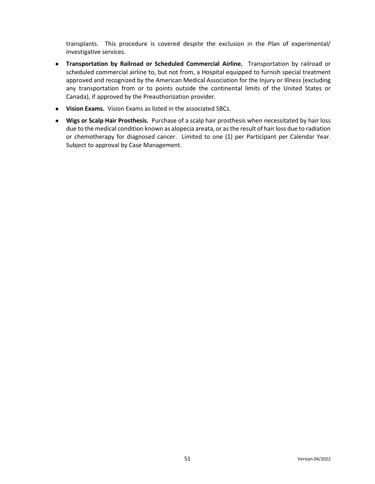transplants. This procedure is covered despite the exclusion in the Plan of experimental/ investigative services.

- **Transportation by Railroad or Scheduled Commercial Airline.** Transportation by railroad or scheduled commercial airline to, but not from, a Hospital equipped to furnish special treatment approved and recognized by the American Medical Association for the Injury or Illness (excluding any transportation from or to points outside the continental limits of the United States or Canada), if approved by the Preauthorization provider.
- **Vision Exams.** Vision Exams as listed in the associated SBCs.
- **Wigs or Scalp Hair Prosthesis.** Purchase of a scalp hair prosthesis when necessitated by hair loss due to the medical condition known as alopecia areata, or as the result of hair loss due to radiation or chemotherapy for diagnosed cancer. Limited to one (1) per Participant per Calendar Year. Subject to approval by Case Management.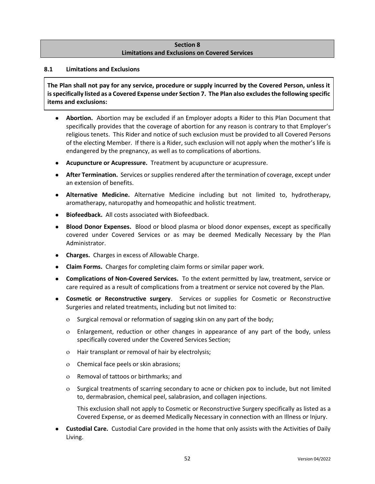### **Section 8 Limitations and Exclusions on Covered Services**

### **8.1 Limitations and Exclusions**

**The Plan shall not pay for any service, procedure or supply incurred by the Covered Person, unless it is specifically listed as a Covered Expense under Section 7. The Plan also excludes the following specific items and exclusions:**

- **Abortion.** Abortion may be excluded if an Employer adopts a Rider to this Plan Document that specifically provides that the coverage of abortion for any reason is contrary to that Employer's religious tenets. This Rider and notice of such exclusion must be provided to all Covered Persons of the electing Member. If there is a Rider, such exclusion will not apply when the mother's life is endangered by the pregnancy, as well as to complications of abortions.
- **Acupuncture or Acupressure.** Treatment by acupuncture or acupressure.
- **After Termination.** Services or supplies rendered after the termination of coverage, except under an extension of benefits.
- **Alternative Medicine.** Alternative Medicine including but not limited to, hydrotherapy, aromatherapy, naturopathy and homeopathic and holistic treatment.
- **Biofeedback.** All costs associated with Biofeedback.
- **Blood Donor Expenses.** Blood or blood plasma or blood donor expenses, except as specifically covered under Covered Services or as may be deemed Medically Necessary by the Plan Administrator.
- **Charges.** Charges in excess of Allowable Charge.
- **Claim Forms.** Charges for completing claim forms or similar paper work.
- **Complications of Non-Covered Services.** To the extent permitted by law, treatment, service or care required as a result of complications from a treatment or service not covered by the Plan.
- **Cosmetic or Reconstructive surgery**. Services or supplies for Cosmetic or Reconstructive Surgeries and related treatments, including but not limited to:
	- o Surgical removal or reformation of sagging skin on any part of the body;
	- Enlargement, reduction or other changes in appearance of any part of the body, unless specifically covered under the Covered Services Section;
	- Hair transplant or removal of hair by electrolysis;
	- Chemical face peels or skin abrasions;
	- Removal of tattoos or birthmarks; and
	- o Surgical treatments of scarring secondary to acne or chicken pox to include, but not limited to, dermabrasion, chemical peel, salabrasion, and collagen injections.

This exclusion shall not apply to Cosmetic or Reconstructive Surgery specifically as listed as a Covered Expense, or as deemed Medically Necessary in connection with an Illness or Injury.

● **Custodial Care.** Custodial Care provided in the home that only assists with the Activities of Daily Living.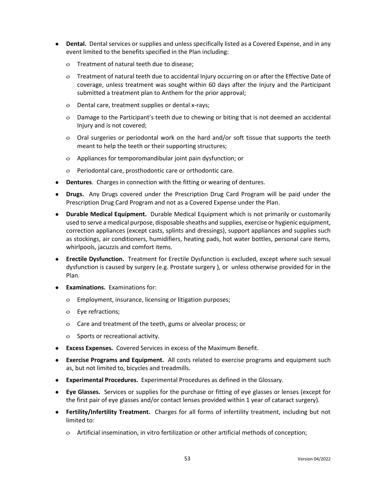- **Dental.** Dental services or supplies and unless specifically listed as a Covered Expense, and in any event limited to the benefits specified in the Plan including:
	- Treatment of natural teeth due to disease;
	- Treatment of natural teeth due to accidental Injury occurring on or after the Effective Date of coverage, unless treatment was sought within 60 days after the Injury and the Participant submitted a treatment plan to Anthem for the prior approval;
	- Dental care, treatment supplies or dental x-rays;
	- Damage to the Participant's teeth due to chewing or biting that is not deemed an accidental Injury and is not covered;
	- Oral surgeries or periodontal work on the hard and/or soft tissue that supports the teeth meant to help the teeth or their supporting structures;
	- Appliances for temporomandibular joint pain dysfunction; or
	- Periodontal care, prosthodontic care or orthodontic care.
- **Dentures**. Charges in connection with the fitting or wearing of dentures.
- **Drugs.** Any Drugs covered under the Prescription Drug Card Program will be paid under the Prescription Drug Card Program and not as a Covered Expense under the Plan.
- **Durable Medical Equipment.** Durable Medical Equipment which is not primarily or customarily used to serve a medical purpose, disposable sheaths and supplies, exercise or hygienic equipment, correction appliances (except casts, splints and dressings), support appliances and supplies such as stockings, air conditioners, humidifiers, heating pads, hot water bottles, personal care items, whirlpools, jacuzzis and comfort items.
- **Erectile Dysfunction.** Treatment for Erectile Dysfunction is excluded, except where such sexual dysfunction is caused by surgery (e.g. Prostate surgery ), or unless otherwise provided for in the Plan.
- **Examinations.** Examinations for:
	- Employment, insurance, licensing or litigation purposes;
	- Eye refractions;
	- Care and treatment of the teeth, gums or alveolar process; or
	- o Sports or recreational activity.
- **Excess Expenses.** Covered Services in excess of the Maximum Benefit.
- **Exercise Programs and Equipment.** All costs related to exercise programs and equipment such as, but not limited to, bicycles and treadmills.
- **Experimental Procedures.** Experimental Procedures as defined in the Glossary.
- **Eye Glasses.** Services or supplies for the purchase or fitting of eye glasses or lenses (except for the first pair of eye glasses and/or contact lenses provided within 1 year of cataract surgery).
- **Fertility/Infertility Treatment.** Charges for all forms of infertility treatment, including but not limited to:
	- Artificial insemination, in vitro fertilization or other artificial methods of conception;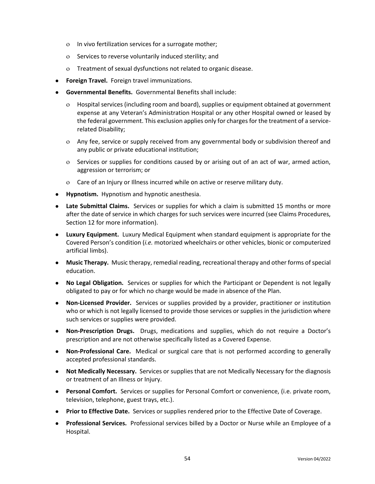- In vivo fertilization services for a surrogate mother;
- o Services to reverse voluntarily induced sterility; and
- Treatment of sexual dysfunctions not related to organic disease.
- **Foreign Travel.** Foreign travel immunizations.
- **Governmental Benefits.** Governmental Benefits shall include:
	- Hospital services (including room and board), supplies or equipment obtained at government expense at any Veteran's Administration Hospital or any other Hospital owned or leased by the federal government. This exclusion applies only for charges for the treatment of a servicerelated Disability;
	- Any fee, service or supply received from any governmental body or subdivision thereof and any public or private educational institution;
	- o Services or supplies for conditions caused by or arising out of an act of war, armed action, aggression or terrorism; or
	- Care of an Injury or Illness incurred while on active or reserve military duty.
- **Hypnotism.** Hypnotism and hypnotic anesthesia.
- **Late Submittal Claims.** Services or supplies for which a claim is submitted 15 months or more after the date of service in which charges for such services were incurred (see Claims Procedures, Section 12 for more information).
- **Luxury Equipment.** Luxury Medical Equipment when standard equipment is appropriate for the Covered Person's condition (*i.e.* motorized wheelchairs or other vehicles, bionic or computerized artificial limbs).
- **Music Therapy.** Music therapy, remedial reading, recreational therapy and other forms of special education.
- **No Legal Obligation.** Services or supplies for which the Participant or Dependent is not legally obligated to pay or for which no charge would be made in absence of the Plan.
- **Non-Licensed Provider.** Services or supplies provided by a provider, practitioner or institution who or which is not legally licensed to provide those services or supplies in the jurisdiction where such services or supplies were provided.
- **Non-Prescription Drugs.** Drugs, medications and supplies, which do not require a Doctor's prescription and are not otherwise specifically listed as a Covered Expense.
- **Non-Professional Care.** Medical or surgical care that is not performed according to generally accepted professional standards.
- **Not Medically Necessary.** Services or supplies that are not Medically Necessary for the diagnosis or treatment of an Illness or Injury.
- **Personal Comfort.** Services or supplies for Personal Comfort or convenience, (i.e. private room, television, telephone, guest trays, etc.).
- **Prior to Effective Date.** Services or supplies rendered prior to the Effective Date of Coverage.
- **Professional Services.** Professional services billed by a Doctor or Nurse while an Employee of a Hospital.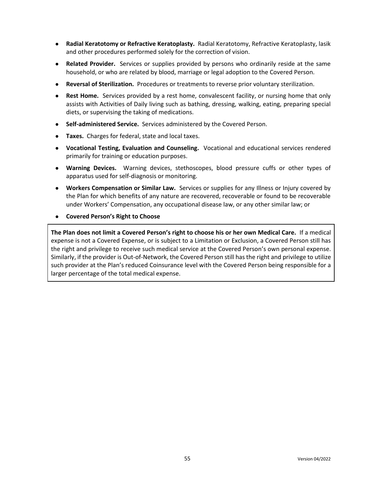- **Radial Keratotomy or Refractive Keratoplasty.** Radial Keratotomy, Refractive Keratoplasty, lasik and other procedures performed solely for the correction of vision.
- **Related Provider.** Services or supplies provided by persons who ordinarily reside at the same household, or who are related by blood, marriage or legal adoption to the Covered Person.
- **Reversal of Sterilization.** Procedures or treatments to reverse prior voluntary sterilization.
- **Rest Home.** Services provided by a rest home, convalescent facility, or nursing home that only assists with Activities of Daily living such as bathing, dressing, walking, eating, preparing special diets, or supervising the taking of medications.
- **Self-administered Service.** Services administered by the Covered Person.
- **Taxes.** Charges for federal, state and local taxes.
- **Vocational Testing, Evaluation and Counseling.** Vocational and educational services rendered primarily for training or education purposes.
- **Warning Devices.** Warning devices, stethoscopes, blood pressure cuffs or other types of apparatus used for self-diagnosis or monitoring.
- **Workers Compensation or Similar Law.** Services or supplies for any Illness or Injury covered by the Plan for which benefits of any nature are recovered, recoverable or found to be recoverable under Workers' Compensation, any occupational disease law, or any other similar law; or
- **Covered Person's Right to Choose**

**The Plan does not limit a Covered Person's right to choose his or her own Medical Care.** If a medical expense is not a Covered Expense, or is subject to a Limitation or Exclusion, a Covered Person still has the right and privilege to receive such medical service at the Covered Person's own personal expense. Similarly, if the provider is Out-of-Network, the Covered Person still has the right and privilege to utilize such provider at the Plan's reduced Coinsurance level with the Covered Person being responsible for a larger percentage of the total medical expense.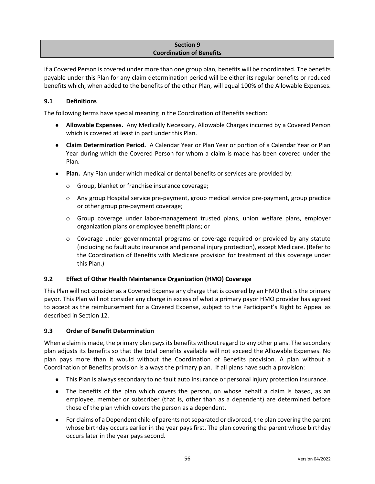### **Section 9 Coordination of Benefits**

If a Covered Person is covered under more than one group plan, benefits will be coordinated. The benefits payable under this Plan for any claim determination period will be either its regular benefits or reduced benefits which, when added to the benefits of the other Plan, will equal 100% of the Allowable Expenses.

# **9.1 Definitions**

The following terms have special meaning in the Coordination of Benefits section:

- **Allowable Expenses.** Any Medically Necessary, Allowable Charges incurred by a Covered Person which is covered at least in part under this Plan.
- **Claim Determination Period.** A Calendar Year or Plan Year or portion of a Calendar Year or Plan Year during which the Covered Person for whom a claim is made has been covered under the Plan.
- **Plan.** Any Plan under which medical or dental benefits or services are provided by:
	- Group, blanket or franchise insurance coverage;
	- Any group Hospital service pre-payment, group medical service pre-payment, group practice or other group pre-payment coverage;
	- Group coverage under labor-management trusted plans, union welfare plans, employer organization plans or employee benefit plans; or
	- Coverage under governmental programs or coverage required or provided by any statute (including no fault auto insurance and personal injury protection), except Medicare. (Refer to the Coordination of Benefits with Medicare provision for treatment of this coverage under this Plan.)

### **9.2 Effect of Other Health Maintenance Organization (HMO) Coverage**

This Plan will not consider as a Covered Expense any charge that is covered by an HMO that is the primary payor. This Plan will not consider any charge in excess of what a primary payor HMO provider has agreed to accept as the reimbursement for a Covered Expense, subject to the Participant's Right to Appeal as described in Section 12.

### **9.3 Order of Benefit Determination**

When a claim is made, the primary plan pays its benefits without regard to any other plans. The secondary plan adjusts its benefits so that the total benefits available will not exceed the Allowable Expenses. No plan pays more than it would without the Coordination of Benefits provision. A plan without a Coordination of Benefits provision is always the primary plan. If all plans have such a provision:

- This Plan is always secondary to no fault auto insurance or personal injury protection insurance.
- The benefits of the plan which covers the person, on whose behalf a claim is based, as an employee, member or subscriber (that is, other than as a dependent) are determined before those of the plan which covers the person as a dependent.
- For claims of a Dependent child of parents not separated or divorced, the plan covering the parent whose birthday occurs earlier in the year pays first. The plan covering the parent whose birthday occurs later in the year pays second.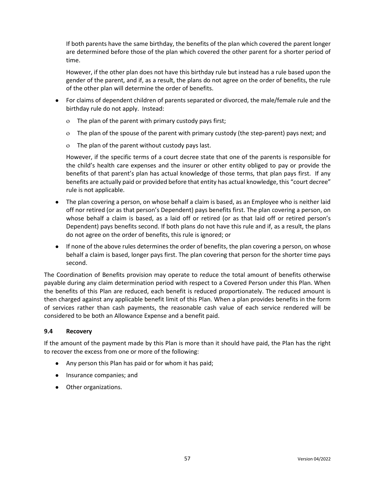If both parents have the same birthday, the benefits of the plan which covered the parent longer are determined before those of the plan which covered the other parent for a shorter period of time.

However, if the other plan does not have this birthday rule but instead has a rule based upon the gender of the parent, and if, as a result, the plans do not agree on the order of benefits, the rule of the other plan will determine the order of benefits.

- For claims of dependent children of parents separated or divorced, the male/female rule and the birthday rule do not apply. Instead:
	- The plan of the parent with primary custody pays first;
	- The plan of the spouse of the parent with primary custody (the step-parent) pays next; and
	- The plan of the parent without custody pays last.

However, if the specific terms of a court decree state that one of the parents is responsible for the child's health care expenses and the insurer or other entity obliged to pay or provide the benefits of that parent's plan has actual knowledge of those terms, that plan pays first. If any benefits are actually paid or provided before that entity has actual knowledge, this "court decree" rule is not applicable.

- The plan covering a person, on whose behalf a claim is based, as an Employee who is neither laid off nor retired (or as that person's Dependent) pays benefits first. The plan covering a person, on whose behalf a claim is based, as a laid off or retired (or as that laid off or retired person's Dependent) pays benefits second. If both plans do not have this rule and if, as a result, the plans do not agree on the order of benefits, this rule is ignored; or
- If none of the above rules determines the order of benefits, the plan covering a person, on whose behalf a claim is based, longer pays first. The plan covering that person for the shorter time pays second.

The Coordination of Benefits provision may operate to reduce the total amount of benefits otherwise payable during any claim determination period with respect to a Covered Person under this Plan. When the benefits of this Plan are reduced, each benefit is reduced proportionately. The reduced amount is then charged against any applicable benefit limit of this Plan. When a plan provides benefits in the form of services rather than cash payments, the reasonable cash value of each service rendered will be considered to be both an Allowance Expense and a benefit paid.

### **9.4 Recovery**

If the amount of the payment made by this Plan is more than it should have paid, the Plan has the right to recover the excess from one or more of the following:

- Any person this Plan has paid or for whom it has paid;
- Insurance companies; and
- Other organizations.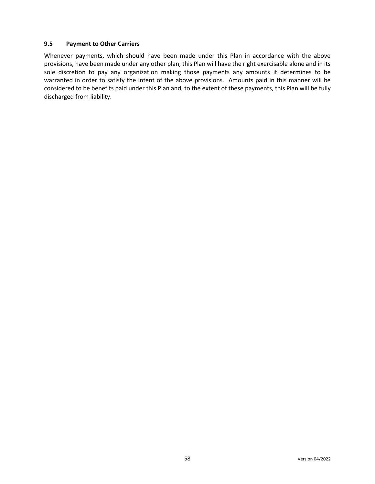#### **9.5 Payment to Other Carriers**

Whenever payments, which should have been made under this Plan in accordance with the above provisions, have been made under any other plan, this Plan will have the right exercisable alone and in its sole discretion to pay any organization making those payments any amounts it determines to be warranted in order to satisfy the intent of the above provisions. Amounts paid in this manner will be considered to be benefits paid under this Plan and, to the extent of these payments, this Plan will be fully discharged from liability.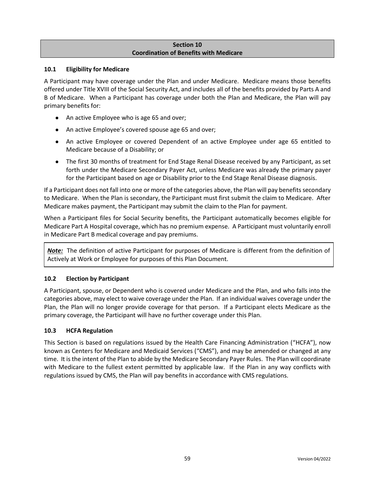## **Section 10 Coordination of Benefits with Medicare**

### **10.1 Eligibility for Medicare**

A Participant may have coverage under the Plan and under Medicare. Medicare means those benefits offered under Title XVIII of the Social Security Act, and includes all of the benefits provided by Parts A and B of Medicare. When a Participant has coverage under both the Plan and Medicare, the Plan will pay primary benefits for:

- An active Employee who is age 65 and over;
- An active Employee's covered spouse age 65 and over;
- An active Employee or covered Dependent of an active Employee under age 65 entitled to Medicare because of a Disability; or
- The first 30 months of treatment for End Stage Renal Disease received by any Participant, as set forth under the Medicare Secondary Payer Act, unless Medicare was already the primary payer for the Participant based on age or Disability prior to the End Stage Renal Disease diagnosis.

If a Participant does not fall into one or more of the categories above, the Plan will pay benefits secondary to Medicare. When the Plan is secondary, the Participant must first submit the claim to Medicare. After Medicare makes payment, the Participant may submit the claim to the Plan for payment.

When a Participant files for Social Security benefits, the Participant automatically becomes eligible for Medicare Part A Hospital coverage, which has no premium expense. A Participant must voluntarily enroll in Medicare Part B medical coverage and pay premiums.

*Note:* The definition of active Participant for purposes of Medicare is different from the definition of Actively at Work or Employee for purposes of this Plan Document.

# **10.2 Election by Participant**

A Participant, spouse, or Dependent who is covered under Medicare and the Plan, and who falls into the categories above, may elect to waive coverage under the Plan. If an individual waives coverage under the Plan, the Plan will no longer provide coverage for that person. If a Participant elects Medicare as the primary coverage, the Participant will have no further coverage under this Plan.

### **10.3 HCFA Regulation**

This Section is based on regulations issued by the Health Care Financing Administration ("HCFA"), now known as Centers for Medicare and Medicaid Services ("CMS"), and may be amended or changed at any time. It is the intent of the Plan to abide by the Medicare Secondary Payer Rules. The Plan will coordinate with Medicare to the fullest extent permitted by applicable law. If the Plan in any way conflicts with regulations issued by CMS, the Plan will pay benefits in accordance with CMS regulations.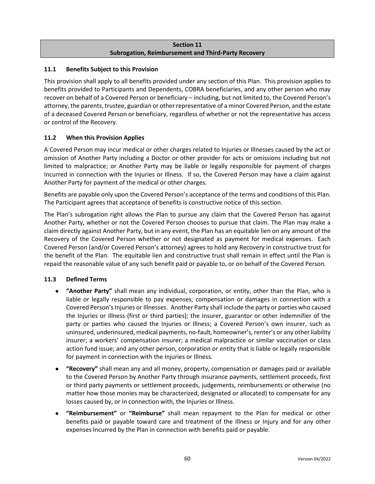## **Section 11 Subrogation, Reimbursement and Third-Party Recovery**

## **11.1 Benefits Subject to this Provision**

This provision shall apply to all benefits provided under any section of this Plan. This provision applies to benefits provided to Participants and Dependents, COBRA beneficiaries, and any other person who may recover on behalf of a Covered Person or beneficiary – including, but not limited to, the Covered Person's attorney, the parents, trustee, guardian or other representative of a minor Covered Person, and the estate of a deceased Covered Person or beneficiary, regardless of whether or not the representative has access or control of the Recovery.

# **11.2 When this Provision Applies**

A Covered Person may incur medical or other charges related to Injuries or Illnesses caused by the act or omission of Another Party including a Doctor or other provider for acts or omissions including but not limited to malpractice; or Another Party may be liable or legally responsible for payment of charges Incurred in connection with the Injuries or Illness. If so, the Covered Person may have a claim against Another Party for payment of the medical or other charges.

Benefits are payable only upon the Covered Person's acceptance of the terms and conditions of this Plan. The Participant agrees that acceptance of benefits is constructive notice of this section.

The Plan's subrogation right allows the Plan to pursue any claim that the Covered Person has against Another Party, whether or not the Covered Person chooses to pursue that claim. The Plan may make a claim directly against Another Party, but in any event, the Plan has an equitable lien on any amount of the Recovery of the Covered Person whether or not designated as payment for medical expenses. Each Covered Person (and/or Covered Person's attorney) agrees to hold any Recovery in constructive trust for the benefit of the Plan. The equitable lien and constructive trust shall remain in effect until the Plan is repaid the reasonable value of any such benefit paid or payable to, or on behalf of the Covered Person.

### **11.3 Defined Terms**

- **"Another Party"** shall mean any individual, corporation, or entity, other than the Plan, who is liable or legally responsible to pay expenses, compensation or damages in connection with a Covered Person's Injuries or Illnesses. Another Party shall include the party or parties who caused the Injuries or Illness (first or third parties); the insurer, guarantor or other indemnifier of the party or parties who caused the Injuries or Illness; a Covered Person's own insurer, such as uninsured, underinsured, medical payments, no-fault, homeowner's, renter's or any other liability insurer; a workers' compensation insurer; a medical malpractice or similar vaccination or class action fund issue; and any other person, corporation or entity that is liable or legally responsible for payment in connection with the Injuries or Illness.
- **"Recovery"** shall mean any and all money, property, compensation or damages paid or available to the Covered Person by Another Party through insurance payments, settlement proceeds, first or third party payments or settlement proceeds, judgements, reimbursements or otherwise (no matter how those monies may be characterized, designated or allocated) to compensate for any losses caused by, or in connection with, the Injuries or Illness.
- **"Reimbursement"** or **"Reimburse"** shall mean repayment to the Plan for medical or other benefits paid or payable toward care and treatment of the Illness or Injury and for any other expenses Incurred by the Plan in connection with benefits paid or payable.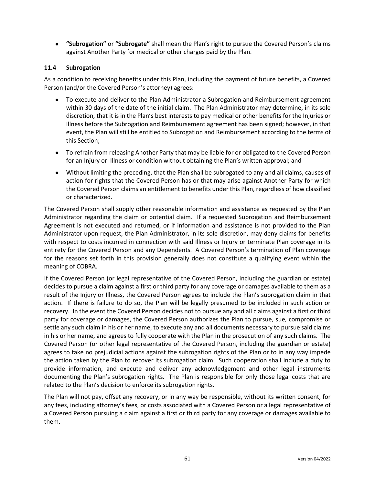● **"Subrogation"** or **"Subrogate"** shall mean the Plan's right to pursue the Covered Person's claims against Another Party for medical or other charges paid by the Plan.

### **11.4 Subrogation**

As a condition to receiving benefits under this Plan, including the payment of future benefits, a Covered Person (and/or the Covered Person's attorney) agrees:

- To execute and deliver to the Plan Administrator a Subrogation and Reimbursement agreement within 30 days of the date of the initial claim. The Plan Administrator may determine, in its sole discretion, that it is in the Plan's best interests to pay medical or other benefits for the Injuries or Illness before the Subrogation and Reimbursement agreement has been signed; however, in that event, the Plan will still be entitled to Subrogation and Reimbursement according to the terms of this Section;
- To refrain from releasing Another Party that may be liable for or obligated to the Covered Person for an Injury or Illness or condition without obtaining the Plan's written approval; and
- Without limiting the preceding, that the Plan shall be subrogated to any and all claims, causes of action for rights that the Covered Person has or that may arise against Another Party for which the Covered Person claims an entitlement to benefits under this Plan, regardless of how classified or characterized.

The Covered Person shall supply other reasonable information and assistance as requested by the Plan Administrator regarding the claim or potential claim. If a requested Subrogation and Reimbursement Agreement is not executed and returned, or if information and assistance is not provided to the Plan Administrator upon request, the Plan Administrator, in its sole discretion, may deny claims for benefits with respect to costs incurred in connection with said Illness or Injury or terminate Plan coverage in its entirety for the Covered Person and any Dependents. A Covered Person's termination of Plan coverage for the reasons set forth in this provision generally does not constitute a qualifying event within the meaning of COBRA.

If the Covered Person (or legal representative of the Covered Person, including the guardian or estate) decides to pursue a claim against a first or third party for any coverage or damages available to them as a result of the Injury or Illness, the Covered Person agrees to include the Plan's subrogation claim in that action. If there is failure to do so, the Plan will be legally presumed to be included in such action or recovery. In the event the Covered Person decides not to pursue any and all claims against a first or third party for coverage or damages, the Covered Person authorizes the Plan to pursue, sue, compromise or settle any such claim in his or her name, to execute any and all documents necessary to pursue said claims in his or her name, and agrees to fully cooperate with the Plan in the prosecution of any such claims. The Covered Person (or other legal representative of the Covered Person, including the guardian or estate) agrees to take no prejudicial actions against the subrogation rights of the Plan or to in any way impede the action taken by the Plan to recover its subrogation claim. Such cooperation shall include a duty to provide information, and execute and deliver any acknowledgement and other legal instruments documenting the Plan's subrogation rights. The Plan is responsible for only those legal costs that are related to the Plan's decision to enforce its subrogation rights.

The Plan will not pay, offset any recovery, or in any way be responsible, without its written consent, for any fees, including attorney's fees, or costs associated with a Covered Person or a legal representative of a Covered Person pursuing a claim against a first or third party for any coverage or damages available to them.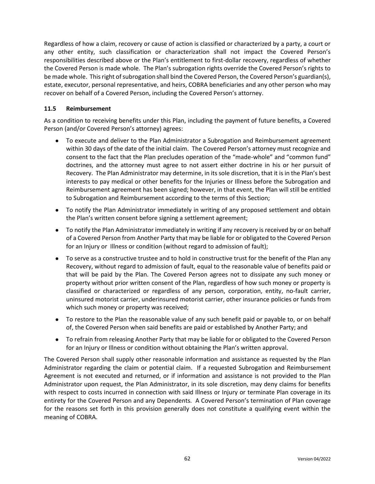Regardless of how a claim, recovery or cause of action is classified or characterized by a party, a court or any other entity, such classification or characterization shall not impact the Covered Person's responsibilities described above or the Plan's entitlement to first-dollar recovery, regardless of whether the Covered Person is made whole. The Plan's subrogation rights override the Covered Person's rights to be made whole. This right of subrogation shall bind the Covered Person, the Covered Person's guardian(s), estate, executor, personal representative, and heirs, COBRA beneficiaries and any other person who may recover on behalf of a Covered Person, including the Covered Person's attorney.

### **11.5 Reimbursement**

As a condition to receiving benefits under this Plan, including the payment of future benefits, a Covered Person (and/or Covered Person's attorney) agrees:

- To execute and deliver to the Plan Administrator a Subrogation and Reimbursement agreement within 30 days of the date of the initial claim. The Covered Person's attorney must recognize and consent to the fact that the Plan precludes operation of the "made-whole" and "common fund" doctrines, and the attorney must agree to not assert either doctrine in his or her pursuit of Recovery. The Plan Administrator may determine, in its sole discretion, that it is in the Plan's best interests to pay medical or other benefits for the Injuries or Illness before the Subrogation and Reimbursement agreement has been signed; however, in that event, the Plan will still be entitled to Subrogation and Reimbursement according to the terms of this Section;
- To notify the Plan Administrator immediately in writing of any proposed settlement and obtain the Plan's written consent before signing a settlement agreement;
- To notify the Plan Administrator immediately in writing if any recovery is received by or on behalf of a Covered Person from Another Party that may be liable for or obligated to the Covered Person for an Injury or Illness or condition (without regard to admission of fault);
- To serve as a constructive trustee and to hold in constructive trust for the benefit of the Plan any Recovery, without regard to admission of fault, equal to the reasonable value of benefits paid or that will be paid by the Plan. The Covered Person agrees not to dissipate any such money or property without prior written consent of the Plan, regardless of how such money or property is classified or characterized or regardless of any person, corporation, entity, no-fault carrier, uninsured motorist carrier, underinsured motorist carrier, other insurance policies or funds from which such money or property was received;
- To restore to the Plan the reasonable value of any such benefit paid or payable to, or on behalf of, the Covered Person when said benefits are paid or established by Another Party; and
- To refrain from releasing Another Party that may be liable for or obligated to the Covered Person for an Injury or Illness or condition without obtaining the Plan's written approval.

The Covered Person shall supply other reasonable information and assistance as requested by the Plan Administrator regarding the claim or potential claim. If a requested Subrogation and Reimbursement Agreement is not executed and returned, or if information and assistance is not provided to the Plan Administrator upon request, the Plan Administrator, in its sole discretion, may deny claims for benefits with respect to costs incurred in connection with said Illness or Injury or terminate Plan coverage in its entirety for the Covered Person and any Dependents. A Covered Person's termination of Plan coverage for the reasons set forth in this provision generally does not constitute a qualifying event within the meaning of COBRA.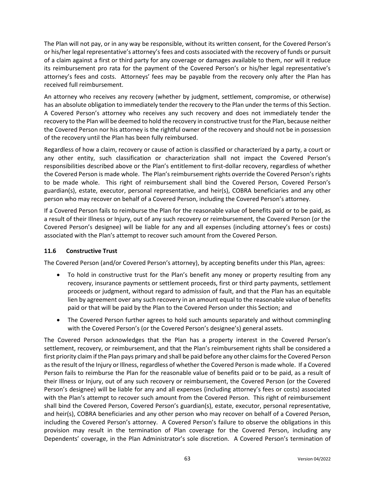The Plan will not pay, or in any way be responsible, without its written consent, for the Covered Person's or his/her legal representative's attorney's fees and costs associated with the recovery of funds or pursuit of a claim against a first or third party for any coverage or damages available to them, nor will it reduce its reimbursement pro rata for the payment of the Covered Person's or his/her legal representative's attorney's fees and costs. Attorneys' fees may be payable from the recovery only after the Plan has received full reimbursement.

An attorney who receives any recovery (whether by judgment, settlement, compromise, or otherwise) has an absolute obligation to immediately tender the recovery to the Plan under the terms of this Section. A Covered Person's attorney who receives any such recovery and does not immediately tender the recovery to the Plan will be deemed to hold the recovery in constructive trust for the Plan, because neither the Covered Person nor his attorney is the rightful owner of the recovery and should not be in possession of the recovery until the Plan has been fully reimbursed.

Regardless of how a claim, recovery or cause of action is classified or characterized by a party, a court or any other entity, such classification or characterization shall not impact the Covered Person's responsibilities described above or the Plan's entitlement to first-dollar recovery, regardless of whether the Covered Person is made whole. The Plan's reimbursement rights override the Covered Person's rights to be made whole. This right of reimbursement shall bind the Covered Person, Covered Person's guardian(s), estate, executor, personal representative, and heir(s), COBRA beneficiaries and any other person who may recover on behalf of a Covered Person, including the Covered Person's attorney.

If a Covered Person fails to reimburse the Plan for the reasonable value of benefits paid or to be paid, as a result of their Illness or Injury, out of any such recovery or reimbursement, the Covered Person (or the Covered Person's designee) will be liable for any and all expenses (including attorney's fees or costs) associated with the Plan's attempt to recover such amount from the Covered Person.

# **11.6 Constructive Trust**

The Covered Person (and/or Covered Person's attorney), by accepting benefits under this Plan, agrees:

- To hold in constructive trust for the Plan's benefit any money or property resulting from any recovery, insurance payments or settlement proceeds, first or third party payments, settlement proceeds or judgment, without regard to admission of fault, and that the Plan has an equitable lien by agreement over any such recovery in an amount equal to the reasonable value of benefits paid or that will be paid by the Plan to the Covered Person under this Section; and
- The Covered Person further agrees to hold such amounts separately and without commingling with the Covered Person's (or the Covered Person's designee's) general assets.

The Covered Person acknowledges that the Plan has a property interest in the Covered Person's settlement, recovery, or reimbursement, and that the Plan's reimbursement rights shall be considered a first priority claim if the Plan pays primary and shall be paid before any other claims for the Covered Person as the result of the Injury or Illness, regardless of whether the Covered Person is made whole. If a Covered Person fails to reimburse the Plan for the reasonable value of benefits paid or to be paid, as a result of their Illness or Injury, out of any such recovery or reimbursement, the Covered Person (or the Covered Person's designee) will be liable for any and all expenses (including attorney's fees or costs) associated with the Plan's attempt to recover such amount from the Covered Person. This right of reimbursement shall bind the Covered Person, Covered Person's guardian(s), estate, executor, personal representative, and heir(s), COBRA beneficiaries and any other person who may recover on behalf of a Covered Person, including the Covered Person's attorney. A Covered Person's failure to observe the obligations in this provision may result in the termination of Plan coverage for the Covered Person, including any Dependents' coverage, in the Plan Administrator's sole discretion. A Covered Person's termination of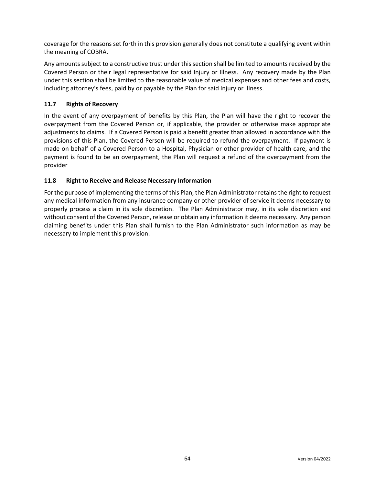coverage for the reasons set forth in this provision generally does not constitute a qualifying event within the meaning of COBRA.

Any amounts subject to a constructive trust under this section shall be limited to amounts received by the Covered Person or their legal representative for said Injury or Illness. Any recovery made by the Plan under this section shall be limited to the reasonable value of medical expenses and other fees and costs, including attorney's fees, paid by or payable by the Plan for said Injury or Illness.

## **11.7 Rights of Recovery**

In the event of any overpayment of benefits by this Plan, the Plan will have the right to recover the overpayment from the Covered Person or, if applicable, the provider or otherwise make appropriate adjustments to claims. If a Covered Person is paid a benefit greater than allowed in accordance with the provisions of this Plan, the Covered Person will be required to refund the overpayment. If payment is made on behalf of a Covered Person to a Hospital, Physician or other provider of health care, and the payment is found to be an overpayment, the Plan will request a refund of the overpayment from the provider

## **11.8 Right to Receive and Release Necessary Information**

For the purpose of implementing the terms of this Plan, the Plan Administrator retains the right to request any medical information from any insurance company or other provider of service it deems necessary to properly process a claim in its sole discretion. The Plan Administrator may, in its sole discretion and without consent of the Covered Person, release or obtain any information it deems necessary. Any person claiming benefits under this Plan shall furnish to the Plan Administrator such information as may be necessary to implement this provision.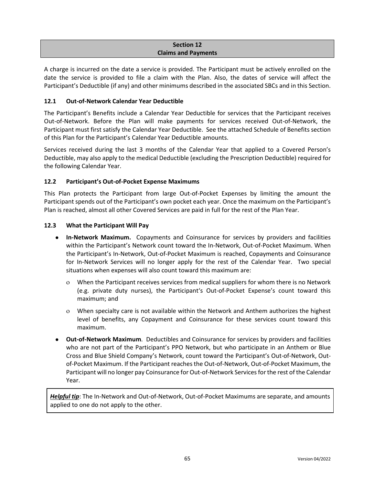### **Section 12 Claims and Payments**

A charge is incurred on the date a service is provided. The Participant must be actively enrolled on the date the service is provided to file a claim with the Plan. Also, the dates of service will affect the Participant's Deductible (if any) and other minimums described in the associated SBCs and in this Section.

# **12.1 Out-of-Network Calendar Year Deductible**

The Participant's Benefits include a Calendar Year Deductible for services that the Participant receives Out-of-Network. Before the Plan will make payments for services received Out-of-Network, the Participant must first satisfy the Calendar Year Deductible. See the attached Schedule of Benefits section of this Plan for the Participant's Calendar Year Deductible amounts.

Services received during the last 3 months of the Calendar Year that applied to a Covered Person's Deductible, may also apply to the medical Deductible (excluding the Prescription Deductible) required for the following Calendar Year.

# **12.2 Participant's Out-of-Pocket Expense Maximums**

This Plan protects the Participant from large Out-of-Pocket Expenses by limiting the amount the Participant spends out of the Participant's own pocket each year. Once the maximum on the Participant's Plan is reached, almost all other Covered Services are paid in full for the rest of the Plan Year.

# **12.3 What the Participant Will Pay**

- **In-Network Maximum.** Copayments and Coinsurance for services by providers and facilities within the Participant's Network count toward the In-Network, Out-of-Pocket Maximum. When the Participant's In-Network, Out-of-Pocket Maximum is reached, Copayments and Coinsurance for In-Network Services will no longer apply for the rest of the Calendar Year. Two special situations when expenses will also count toward this maximum are:
	- When the Participant receives services from medical suppliers for whom there is no Network (e.g. private duty nurses), the Participant's Out-of-Pocket Expense's count toward this maximum; and
	- When specialty care is not available within the Network and Anthem authorizes the highest level of benefits, any Copayment and Coinsurance for these services count toward this maximum.
- **Out-of-Network Maximum**. Deductibles and Coinsurance for services by providers and facilities who are not part of the Participant's PPO Network, but who participate in an Anthem or Blue Cross and Blue Shield Company's Network, count toward the Participant's Out-of-Network, Outof-Pocket Maximum. If the Participant reachesthe Out-of-Network, Out-of-Pocket Maximum, the Participant will no longer pay Coinsurance for Out-of-Network Servicesfor the rest of the Calendar Year.

*Helpful tip*: The In-Network and Out-of-Network, Out-of-Pocket Maximums are separate, and amounts applied to one do not apply to the other.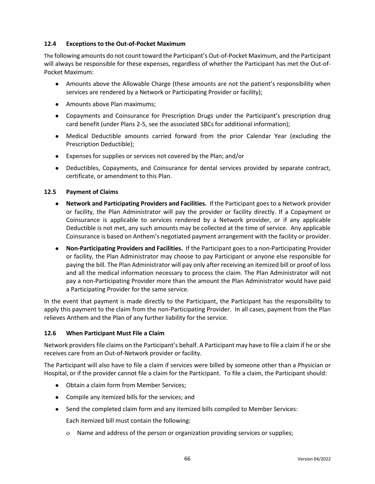## **12.4 Exceptions to the Out-of-Pocket Maximum**

The following amounts do not count toward the Participant's Out-of-Pocket Maximum, and the Participant will always be responsible for these expenses, regardless of whether the Participant has met the Out-of-Pocket Maximum:

- Amounts above the Allowable Charge (these amounts are not the patient's responsibility when services are rendered by a Network or Participating Provider or facility);
- Amounts above Plan maximums;
- Copayments and Coinsurance for Prescription Drugs under the Participant's prescription drug card benefit (under Plans 2-5, see the associated SBCs for additional information);
- Medical Deductible amounts carried forward from the prior Calendar Year (excluding the Prescription Deductible);
- Expenses for supplies or services not covered by the Plan; and/or
- Deductibles, Copayments, and Coinsurance for dental services provided by separate contract, certificate, or amendment to this Plan.

### **12.5 Payment of Claims**

- **Network and Participating Providers and Facilities.** If the Participant goes to a Network provider or facility, the Plan Administrator will pay the provider or facility directly. If a Copayment or Coinsurance is applicable to services rendered by a Network provider, or if any applicable Deductible is not met, any such amounts may be collected at the time of service. Any applicable Coinsurance is based on Anthem's negotiated payment arrangement with the facility or provider.
- **Non-Participating Providers and Facilities.** If the Participant goes to a non-Participating Provider or facility, the Plan Administrator may choose to pay Participant or anyone else responsible for paying the bill. The Plan Administrator will pay only after receiving an itemized bill or proof of loss and all the medical information necessary to process the claim. The Plan Administrator will not pay a non-Participating Provider more than the amount the Plan Administrator would have paid a Participating Provider for the same service.

In the event that payment is made directly to the Participant, the Participant has the responsibility to apply this payment to the claim from the non-Participating Provider. In all cases, payment from the Plan relieves Anthem and the Plan of any further liability for the service.

### **12.6 When Participant Must File a Claim**

Network providers file claims on the Participant's behalf. A Participant may have to file a claim if he or she receives care from an Out-of-Network provider or facility.

The Participant will also have to file a claim if services were billed by someone other than a Physician or Hospital, or if the provider cannot file a claim for the Participant. To file a claim, the Participant should:

- Obtain a claim form from Member Services;
- Compile any itemized bills for the services; and
- Send the completed claim form and any itemized bills compiled to Member Services:

Each itemized bill must contain the following:

Name and address of the person or organization providing services or supplies;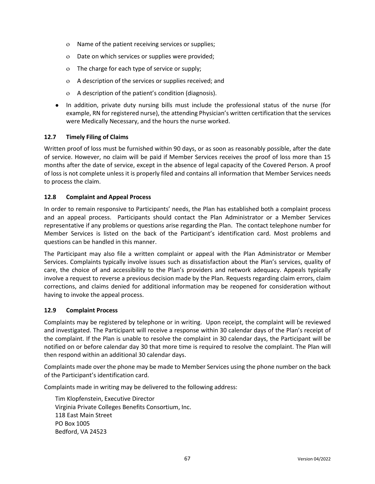- Name of the patient receiving services or supplies;
- Date on which services or supplies were provided;
- The charge for each type of service or supply;
- A description of the services or supplies received; and
- A description of the patient's condition (diagnosis).
- In addition, private duty nursing bills must include the professional status of the nurse (for example, RN for registered nurse), the attending Physician's written certification that the services were Medically Necessary, and the hours the nurse worked.

## **12.7 Timely Filing of Claims**

Written proof of loss must be furnished within 90 days, or as soon as reasonably possible, after the date of service. However, no claim will be paid if Member Services receives the proof of loss more than 15 months after the date of service, except in the absence of legal capacity of the Covered Person. A proof of loss is not complete unless it is properly filed and contains all information that Member Services needs to process the claim.

### **12.8 Complaint and Appeal Process**

In order to remain responsive to Participants' needs, the Plan has established both a complaint process and an appeal process. Participants should contact the Plan Administrator or a Member Services representative if any problems or questions arise regarding the Plan. The contact telephone number for Member Services is listed on the back of the Participant's identification card. Most problems and questions can be handled in this manner.

The Participant may also file a written complaint or appeal with the Plan Administrator or Member Services. Complaints typically involve issues such as dissatisfaction about the Plan's services, quality of care, the choice of and accessibility to the Plan's providers and network adequacy. Appeals typically involve a request to reverse a previous decision made by the Plan. Requests regarding claim errors, claim corrections, and claims denied for additional information may be reopened for consideration without having to invoke the appeal process.

### **12.9 Complaint Process**

Complaints may be registered by telephone or in writing. Upon receipt, the complaint will be reviewed and investigated. The Participant will receive a response within 30 calendar days of the Plan's receipt of the complaint. If the Plan is unable to resolve the complaint in 30 calendar days, the Participant will be notified on or before calendar day 30 that more time is required to resolve the complaint. The Plan will then respond within an additional 30 calendar days.

Complaints made over the phone may be made to Member Services using the phone number on the back of the Participant's identification card.

Complaints made in writing may be delivered to the following address:

Tim Klopfenstein, Executive Director Virginia Private Colleges Benefits Consortium, Inc. 118 East Main Street PO Box 1005 Bedford, VA 24523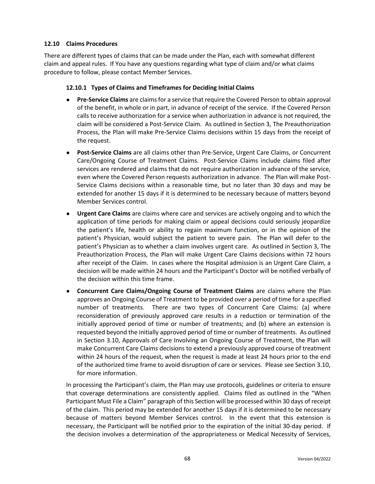## **12.10 Claims Procedures**

There are different types of claims that can be made under the Plan, each with somewhat different claim and appeal rules. If You have any questions regarding what type of claim and/or what claims procedure to follow, please contact Member Services.

### **12.10.1 Types of Claims and Timeframes for Deciding Initial Claims**

- **Pre-Service Claims** are claims for a service that require the Covered Person to obtain approval of the benefit, in whole or in part, in advance of receipt of the service. If the Covered Person calls to receive authorization for a service when authorization in advance is not required, the claim will be considered a Post-Service Claim. As outlined in Section 3, The Preauthorization Process, the Plan will make Pre-Service Claims decisions within 15 days from the receipt of the request.
- **Post-Service Claims** are all claims other than Pre-Service, Urgent Care Claims, or Concurrent Care/Ongoing Course of Treatment Claims. Post-Service Claims include claims filed after services are rendered and claims that do not require authorization in advance of the service, even where the Covered Person requests authorization in advance. The Plan will make Post-Service Claims decisions within a reasonable time, but no later than 30 days and may be extended for another 15 days if it is determined to be necessary because of matters beyond Member Services control.
- **Urgent Care Claims** are claims where care and services are actively ongoing and to which the application of time periods for making claim or appeal decisions could seriously jeopardize the patient's life, health or ability to regain maximum function, or in the opinion of the patient's Physician, would subject the patient to severe pain. The Plan will defer to the patient's Physician as to whether a claim involves urgent care. As outlined in Section 3, The Preauthorization Process, the Plan will make Urgent Care Claims decisions within 72 hours after receipt of the Claim. In cases where the Hospital admission is an Urgent Care Claim, a decision will be made within 24 hours and the Participant's Doctor will be notified verbally of the decision within this time frame.
- **Concurrent Care Claims/Ongoing Course of Treatment Claims** are claims where the Plan approves an Ongoing Course of Treatment to be provided over a period of time for a specified number of treatments. There are two types of Concurrent Care Claims: (a) where reconsideration of previously approved care results in a reduction or termination of the initially approved period of time or number of treatments; and (b) where an extension is requested beyond the initially approved period of time or number of treatments. As outlined in Section 3.10, Approvals of Care Involving an Ongoing Course of Treatment, the Plan will make Concurrent Care Claims decisions to extend a previously approved course of treatment within 24 hours of the request, when the request is made at least 24 hours prior to the end of the authorized time frame to avoid disruption of care or services. Please see Section 3.10, for more information.

In processing the Participant's claim, the Plan may use protocols, guidelines or criteria to ensure that coverage determinations are consistently applied. Claims filed as outlined in the "When Participant Must File a Claim" paragraph of this Section will be processed within 30 days of receipt of the claim. This period may be extended for another 15 days if it is determined to be necessary because of matters beyond Member Services control. In the event that this extension is necessary, the Participant will be notified prior to the expiration of the initial 30-day period. If the decision involves a determination of the appropriateness or Medical Necessity of Services,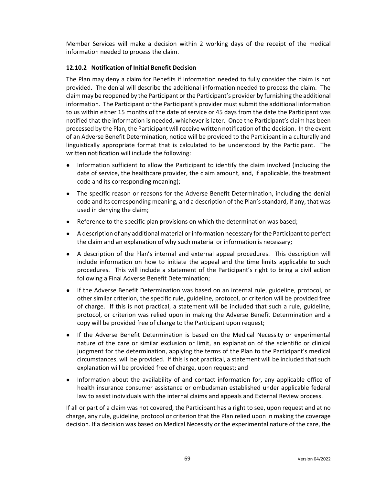Member Services will make a decision within 2 working days of the receipt of the medical information needed to process the claim.

# **12.10.2 Notification of Initial Benefit Decision**

The Plan may deny a claim for Benefits if information needed to fully consider the claim is not provided. The denial will describe the additional information needed to process the claim. The claim may be reopened by the Participant or the Participant's provider by furnishing the additional information. The Participant or the Participant's provider must submit the additional information to us within either 15 months of the date of service or 45 days from the date the Participant was notified that the information is needed, whichever is later. Once the Participant's claim has been processed by the Plan, the Participant will receive written notification of the decision. In the event of an Adverse Benefit Determination, notice will be provided to the Participant in a culturally and linguistically appropriate format that is calculated to be understood by the Participant. The written notification will include the following:

- Information sufficient to allow the Participant to identify the claim involved (including the date of service, the healthcare provider, the claim amount, and, if applicable, the treatment code and its corresponding meaning);
- The specific reason or reasons for the Adverse Benefit Determination, including the denial code and its corresponding meaning, and a description of the Plan's standard, if any, that was used in denying the claim;
- Reference to the specific plan provisions on which the determination was based;
- A description of any additional material or information necessary for the Participant to perfect the claim and an explanation of why such material or information is necessary;
- A description of the Plan's internal and external appeal procedures. This description will include information on how to initiate the appeal and the time limits applicable to such procedures. This will include a statement of the Participant's right to bring a civil action following a Final Adverse Benefit Determination;
- If the Adverse Benefit Determination was based on an internal rule, guideline, protocol, or other similar criterion, the specific rule, guideline, protocol, or criterion will be provided free of charge. If this is not practical, a statement will be included that such a rule, guideline, protocol, or criterion was relied upon in making the Adverse Benefit Determination and a copy will be provided free of charge to the Participant upon request;
- If the Adverse Benefit Determination is based on the Medical Necessity or experimental nature of the care or similar exclusion or limit, an explanation of the scientific or clinical judgment for the determination, applying the terms of the Plan to the Participant's medical circumstances, will be provided. If this is not practical, a statement will be included that such explanation will be provided free of charge, upon request; and
- Information about the availability of and contact information for, any applicable office of health insurance consumer assistance or ombudsman established under applicable federal law to assist individuals with the internal claims and appeals and External Review process.

If all or part of a claim was not covered, the Participant has a right to see, upon request and at no charge, any rule, guideline, protocol or criterion that the Plan relied upon in making the coverage decision. If a decision was based on Medical Necessity or the experimental nature of the care, the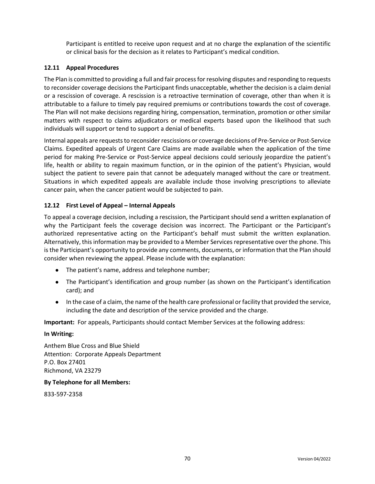Participant is entitled to receive upon request and at no charge the explanation of the scientific or clinical basis for the decision as it relates to Participant's medical condition.

### **12.11 Appeal Procedures**

The Plan is committed to providing a full and fair process for resolving disputes and responding to requests to reconsider coverage decisions the Participant finds unacceptable, whether the decision is a claim denial or a rescission of coverage. A rescission is a retroactive termination of coverage, other than when it is attributable to a failure to timely pay required premiums or contributions towards the cost of coverage. The Plan will not make decisions regarding hiring, compensation, termination, promotion or other similar matters with respect to claims adjudicators or medical experts based upon the likelihood that such individuals will support or tend to support a denial of benefits.

Internal appeals are requests to reconsider rescissions or coverage decisions of Pre-Service or Post-Service Claims. Expedited appeals of Urgent Care Claims are made available when the application of the time period for making Pre-Service or Post-Service appeal decisions could seriously jeopardize the patient's life, health or ability to regain maximum function, or in the opinion of the patient's Physician, would subject the patient to severe pain that cannot be adequately managed without the care or treatment. Situations in which expedited appeals are available include those involving prescriptions to alleviate cancer pain, when the cancer patient would be subjected to pain.

# **12.12 First Level of Appeal – Internal Appeals**

To appeal a coverage decision, including a rescission, the Participant should send a written explanation of why the Participant feels the coverage decision was incorrect. The Participant or the Participant's authorized representative acting on the Participant's behalf must submit the written explanation. Alternatively, this information may be provided to a Member Services representative over the phone. This is the Participant's opportunity to provide any comments, documents, or information that the Plan should consider when reviewing the appeal. Please include with the explanation:

- The patient's name, address and telephone number;
- The Participant's identification and group number (as shown on the Participant's identification card); and
- In the case of a claim, the name of the health care professional or facility that provided the service, including the date and description of the service provided and the charge.

**Important:** For appeals, Participants should contact Member Services at the following address:

### **In Writing:**

Anthem Blue Cross and Blue Shield Attention: Corporate Appeals Department P.O. Box 27401 Richmond, VA 23279

### **By Telephone for all Members:**

833-597-2358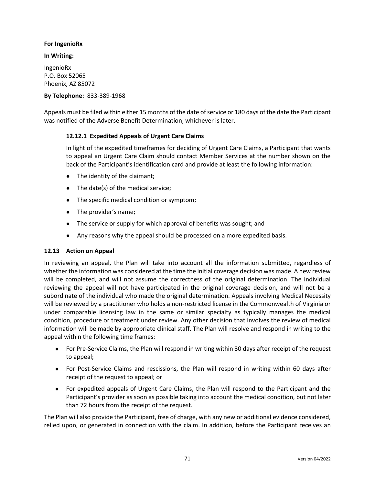# **For IngenioRx**

# **In Writing:**

IngenioRx P.O. Box 52065 Phoenix, AZ 85072

# **By Telephone:** 833-389-1968

Appeals must be filed within either 15 months of the date of service or 180 days of the date the Participant was notified of the Adverse Benefit Determination, whichever is later.

# **12.12.1 Expedited Appeals of Urgent Care Claims**

In light of the expedited timeframes for deciding of Urgent Care Claims, a Participant that wants to appeal an Urgent Care Claim should contact Member Services at the number shown on the back of the Participant's identification card and provide at least the following information:

- The identity of the claimant;
- The date(s) of the medical service;
- The specific medical condition or symptom;
- The provider's name;
- The service or supply for which approval of benefits was sought; and
- Any reasons why the appeal should be processed on a more expedited basis.

### **12.13 Action on Appeal**

In reviewing an appeal, the Plan will take into account all the information submitted, regardless of whether the information was considered at the time the initial coverage decision was made. A new review will be completed, and will not assume the correctness of the original determination. The individual reviewing the appeal will not have participated in the original coverage decision, and will not be a subordinate of the individual who made the original determination. Appeals involving Medical Necessity will be reviewed by a practitioner who holds a non-restricted license in the Commonwealth of Virginia or under comparable licensing law in the same or similar specialty as typically manages the medical condition, procedure or treatment under review. Any other decision that involves the review of medical information will be made by appropriate clinical staff. The Plan will resolve and respond in writing to the appeal within the following time frames:

- For Pre-Service Claims, the Plan will respond in writing within 30 days after receipt of the request to appeal;
- For Post-Service Claims and rescissions, the Plan will respond in writing within 60 days after receipt of the request to appeal; or
- For expedited appeals of Urgent Care Claims, the Plan will respond to the Participant and the Participant's provider as soon as possible taking into account the medical condition, but not later than 72 hours from the receipt of the request.

The Plan will also provide the Participant, free of charge, with any new or additional evidence considered, relied upon, or generated in connection with the claim. In addition, before the Participant receives an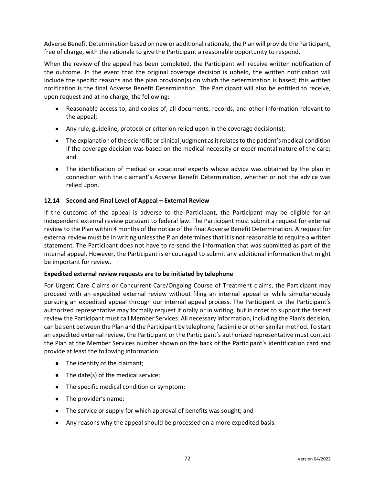Adverse Benefit Determination based on new or additional rationale, the Plan will provide the Participant, free of charge, with the rationale to give the Participant a reasonable opportunity to respond.

When the review of the appeal has been completed, the Participant will receive written notification of the outcome. In the event that the original coverage decision is upheld, the written notification will include the specific reasons and the plan provision(s) on which the determination is based; this written notification is the final Adverse Benefit Determination. The Participant will also be entitled to receive, upon request and at no charge, the following:

- Reasonable access to, and copies of, all documents, records, and other information relevant to the appeal;
- Any rule, guideline, protocol or criterion relied upon in the coverage decision(s);
- The explanation of the scientific or clinical judgment as it relates to the patient's medical condition if the coverage decision was based on the medical necessity or experimental nature of the care; and
- The identification of medical or vocational experts whose advice was obtained by the plan in connection with the claimant's Adverse Benefit Determination, whether or not the advice was relied upon.

### **12.14 Second and Final Level of Appeal – External Review**

If the outcome of the appeal is adverse to the Participant, the Participant may be eligible for an independent external review pursuant to federal law. The Participant must submit a request for external review to the Plan within 4 months of the notice of the final Adverse Benefit Determination. A request for external review must be in writing unless the Plan determinesthat it is not reasonable to require a written statement. The Participant does not have to re-send the information that was submitted as part of the internal appeal. However, the Participant is encouraged to submit any additional information that might be important for review.

#### **Expedited external review requests are to be initiated by telephone**

For Urgent Care Claims or Concurrent Care/Ongoing Course of Treatment claims, the Participant may proceed with an expedited external review without filing an internal appeal or while simultaneously pursuing an expedited appeal through our internal appeal process. The Participant or the Participant's authorized representative may formally request it orally or in writing, but in order to support the fastest review the Participant must call Member Services. All necessary information, including the Plan's decision, can be sent between the Plan and the Participant by telephone, facsimile or other similar method. To start an expedited external review, the Participant or the Participant's authorized representative must contact the Plan at the Member Services number shown on the back of the Participant's identification card and provide at least the following information:

- The identity of the claimant;
- The date(s) of the medical service;
- The specific medical condition or symptom;
- The provider's name;
- The service or supply for which approval of benefits was sought; and
- Any reasons why the appeal should be processed on a more expedited basis.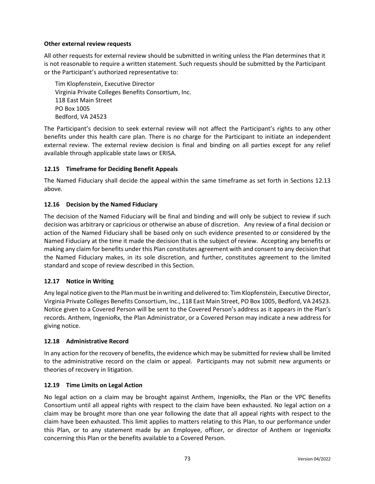# **Other external review requests**

All other requests for external review should be submitted in writing unless the Plan determines that it is not reasonable to require a written statement. Such requests should be submitted by the Participant or the Participant's authorized representative to:

Tim Klopfenstein, Executive Director Virginia Private Colleges Benefits Consortium, Inc. 118 East Main Street PO Box 1005 Bedford, VA 24523

The Participant's decision to seek external review will not affect the Participant's rights to any other benefits under this health care plan. There is no charge for the Participant to initiate an independent external review. The external review decision is final and binding on all parties except for any relief available through applicable state laws or ERISA.

# **12.15 Timeframe for Deciding Benefit Appeals**

The Named Fiduciary shall decide the appeal within the same timeframe as set forth in Sections 12.13 above.

# **12.16 Decision by the Named Fiduciary**

The decision of the Named Fiduciary will be final and binding and will only be subject to review if such decision was arbitrary or capricious or otherwise an abuse of discretion. Any review of a final decision or action of the Named Fiduciary shall be based only on such evidence presented to or considered by the Named Fiduciary at the time it made the decision that is the subject of review. Accepting any benefits or making any claim for benefits under this Plan constitutes agreement with and consent to any decision that the Named Fiduciary makes, in its sole discretion, and further, constitutes agreement to the limited standard and scope of review described in this Section.

### **12.17 Notice in Writing**

Any legal notice given to the Plan must be in writing and delivered to: Tim Klopfenstein, Executive Director, Virginia Private Colleges Benefits Consortium, Inc., 118 East Main Street, PO Box 1005, Bedford, VA 24523. Notice given to a Covered Person will be sent to the Covered Person's address as it appears in the Plan's records. Anthem, IngenioRx, the Plan Administrator, or a Covered Person may indicate a new address for giving notice.

### **12.18 Administrative Record**

In any action for the recovery of benefits, the evidence which may be submitted for review shall be limited to the administrative record on the claim or appeal. Participants may not submit new arguments or theories of recovery in litigation.

### **12.19 Time Limits on Legal Action**

No legal action on a claim may be brought against Anthem, IngenioRx, the Plan or the VPC Benefits Consortium until all appeal rights with respect to the claim have been exhausted. No legal action on a claim may be brought more than one year following the date that all appeal rights with respect to the claim have been exhausted. This limit applies to matters relating to this Plan, to our performance under this Plan, or to any statement made by an Employee, officer, or director of Anthem or IngenioRx concerning this Plan or the benefits available to a Covered Person.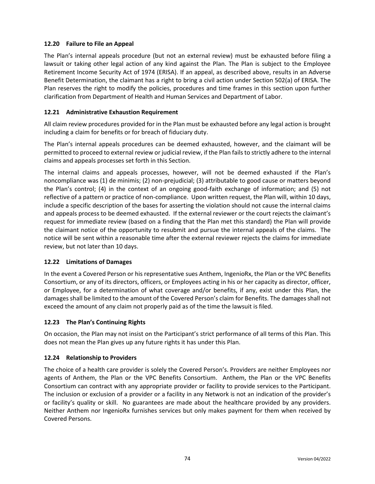# **12.20 Failure to File an Appeal**

The Plan's internal appeals procedure (but not an external review) must be exhausted before filing a lawsuit or taking other legal action of any kind against the Plan. The Plan is subject to the Employee Retirement Income Security Act of 1974 (ERISA). If an appeal, as described above, results in an Adverse Benefit Determination, the claimant has a right to bring a civil action under Section 502(a) of ERISA. The Plan reserves the right to modify the policies, procedures and time frames in this section upon further clarification from Department of Health and Human Services and Department of Labor.

# **12.21 Administrative Exhaustion Requirement**

All claim review procedures provided for in the Plan must be exhausted before any legal action is brought including a claim for benefits or for breach of fiduciary duty.

The Plan's internal appeals procedures can be deemed exhausted, however, and the claimant will be permitted to proceed to external review or judicial review, if the Plan fails to strictly adhere to the internal claims and appeals processes set forth in this Section.

The internal claims and appeals processes, however, will not be deemed exhausted if the Plan's noncompliance was (1) de minimis; (2) non-prejudicial; (3) attributable to good cause or matters beyond the Plan's control; (4) in the context of an ongoing good-faith exchange of information; and (5) not reflective of a pattern or practice of non-compliance. Upon written request, the Plan will, within 10 days, include a specific description of the bases for asserting the violation should not cause the internal claims and appeals process to be deemed exhausted. If the external reviewer or the court rejects the claimant's request for immediate review (based on a finding that the Plan met this standard) the Plan will provide the claimant notice of the opportunity to resubmit and pursue the internal appeals of the claims. The notice will be sent within a reasonable time after the external reviewer rejects the claims for immediate review, but not later than 10 days.

### **12.22 Limitations of Damages**

In the event a Covered Person or his representative sues Anthem, IngenioRx, the Plan or the VPC Benefits Consortium, or any of its directors, officers, or Employees acting in his or her capacity as director, officer, or Employee, for a determination of what coverage and/or benefits, if any, exist under this Plan, the damages shall be limited to the amount of the Covered Person's claim for Benefits. The damages shall not exceed the amount of any claim not properly paid as of the time the lawsuit is filed.

### **12.23 The Plan's Continuing Rights**

On occasion, the Plan may not insist on the Participant's strict performance of all terms of this Plan. This does not mean the Plan gives up any future rights it has under this Plan.

### **12.24 Relationship to Providers**

The choice of a health care provider is solely the Covered Person's. Providers are neither Employees nor agents of Anthem, the Plan or the VPC Benefits Consortium. Anthem, the Plan or the VPC Benefits Consortium can contract with any appropriate provider or facility to provide services to the Participant. The inclusion or exclusion of a provider or a facility in any Network is not an indication of the provider's or facility's quality or skill. No guarantees are made about the healthcare provided by any providers. Neither Anthem nor IngenioRx furnishes services but only makes payment for them when received by Covered Persons.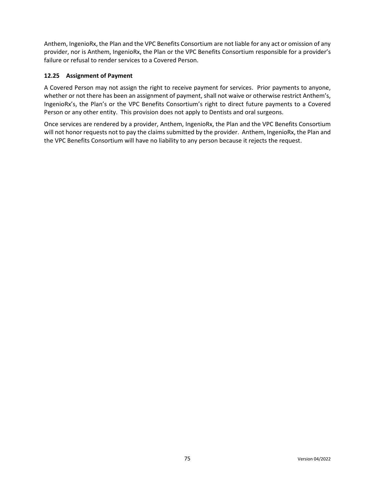Anthem, IngenioRx, the Plan and the VPC Benefits Consortium are not liable for any act or omission of any provider, nor is Anthem, IngenioRx, the Plan or the VPC Benefits Consortium responsible for a provider's failure or refusal to render services to a Covered Person.

# **12.25 Assignment of Payment**

A Covered Person may not assign the right to receive payment for services. Prior payments to anyone, whether or not there has been an assignment of payment, shall not waive or otherwise restrict Anthem's, IngenioRx's, the Plan's or the VPC Benefits Consortium's right to direct future payments to a Covered Person or any other entity. This provision does not apply to Dentists and oral surgeons.

Once services are rendered by a provider, Anthem, IngenioRx, the Plan and the VPC Benefits Consortium will not honor requests not to pay the claims submitted by the provider. Anthem, IngenioRx, the Plan and the VPC Benefits Consortium will have no liability to any person because it rejects the request.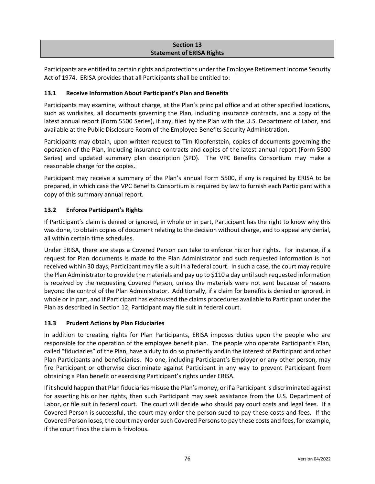# **Section 13 Statement of ERISA Rights**

Participants are entitled to certain rights and protections under the Employee Retirement Income Security Act of 1974. ERISA provides that all Participants shall be entitled to:

# **13.1 Receive Information About Participant's Plan and Benefits**

Participants may examine, without charge, at the Plan's principal office and at other specified locations, such as worksites, all documents governing the Plan, including insurance contracts, and a copy of the latest annual report (Form 5500 Series), if any, filed by the Plan with the U.S. Department of Labor, and available at the Public Disclosure Room of the Employee Benefits Security Administration.

Participants may obtain, upon written request to Tim Klopfenstein, copies of documents governing the operation of the Plan, including insurance contracts and copies of the latest annual report (Form 5500 Series) and updated summary plan description (SPD). The VPC Benefits Consortium may make a reasonable charge for the copies.

Participant may receive a summary of the Plan's annual Form 5500, if any is required by ERISA to be prepared, in which case the VPC Benefits Consortium is required by law to furnish each Participant with a copy of this summary annual report.

# **13.2 Enforce Participant's Rights**

If Participant's claim is denied or ignored, in whole or in part, Participant has the right to know why this was done, to obtain copies of document relating to the decision without charge, and to appeal any denial, all within certain time schedules.

Under ERISA, there are steps a Covered Person can take to enforce his or her rights. For instance, if a request for Plan documents is made to the Plan Administrator and such requested information is not received within 30 days, Participant may file a suit in a federal court. In such a case, the court may require the Plan Administrator to provide the materials and pay up to \$110 a day until such requested information is received by the requesting Covered Person, unless the materials were not sent because of reasons beyond the control of the Plan Administrator. Additionally, if a claim for benefits is denied or ignored, in whole or in part, and if Participant has exhausted the claims procedures available to Participant under the Plan as described in Section 12, Participant may file suit in federal court.

### **13.3 Prudent Actions by Plan Fiduciaries**

In addition to creating rights for Plan Participants, ERISA imposes duties upon the people who are responsible for the operation of the employee benefit plan. The people who operate Participant's Plan, called "fiduciaries" of the Plan, have a duty to do so prudently and in the interest of Participant and other Plan Participants and beneficiaries. No one, including Participant's Employer or any other person, may fire Participant or otherwise discriminate against Participant in any way to prevent Participant from obtaining a Plan benefit or exercising Participant's rights under ERISA.

If it should happen that Plan fiduciaries misuse the Plan's money, or if a Participant is discriminated against for asserting his or her rights, then such Participant may seek assistance from the U.S. Department of Labor, or file suit in federal court. The court will decide who should pay court costs and legal fees. If a Covered Person is successful, the court may order the person sued to pay these costs and fees. If the Covered Person loses, the court may order such Covered Persons to pay these costs and fees, for example, if the court finds the claim is frivolous.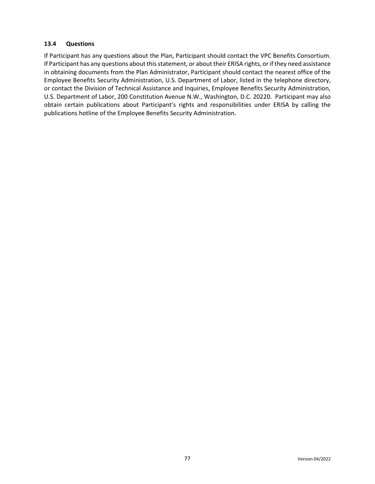# **13.4 Questions**

If Participant has any questions about the Plan, Participant should contact the VPC Benefits Consortium. If Participant has any questions about this statement, or about their ERISA rights, or if they need assistance in obtaining documents from the Plan Administrator, Participant should contact the nearest office of the Employee Benefits Security Administration, U.S. Department of Labor, listed in the telephone directory, or contact the Division of Technical Assistance and Inquiries, Employee Benefits Security Administration, U.S. Department of Labor, 200 Constitution Avenue N.W., Washington, D.C. 20220. Participant may also obtain certain publications about Participant's rights and responsibilities under ERISA by calling the publications hotline of the Employee Benefits Security Administration.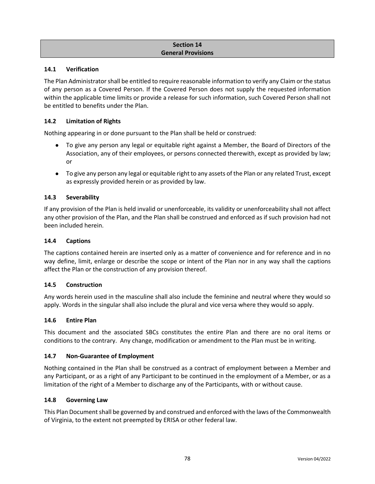# **Section 14 General Provisions**

### **14.1 Verification**

The Plan Administrator shall be entitled to require reasonable information to verify any Claim or the status of any person as a Covered Person. If the Covered Person does not supply the requested information within the applicable time limits or provide a release for such information, such Covered Person shall not be entitled to benefits under the Plan.

#### **14.2 Limitation of Rights**

Nothing appearing in or done pursuant to the Plan shall be held or construed:

- To give any person any legal or equitable right against a Member, the Board of Directors of the Association, any of their employees, or persons connected therewith, except as provided by law; or
- To give any person any legal or equitable right to any assets of the Plan or any related Trust, except as expressly provided herein or as provided by law.

#### **14.3 Severability**

If any provision of the Plan is held invalid or unenforceable, its validity or unenforceability shall not affect any other provision of the Plan, and the Plan shall be construed and enforced as if such provision had not been included herein.

#### **14.4 Captions**

The captions contained herein are inserted only as a matter of convenience and for reference and in no way define, limit, enlarge or describe the scope or intent of the Plan nor in any way shall the captions affect the Plan or the construction of any provision thereof.

#### **14.5 Construction**

Any words herein used in the masculine shall also include the feminine and neutral where they would so apply. Words in the singular shall also include the plural and vice versa where they would so apply.

#### **14.6 Entire Plan**

This document and the associated SBCs constitutes the entire Plan and there are no oral items or conditions to the contrary. Any change, modification or amendment to the Plan must be in writing.

#### **14.7 Non-Guarantee of Employment**

Nothing contained in the Plan shall be construed as a contract of employment between a Member and any Participant, or as a right of any Participant to be continued in the employment of a Member, or as a limitation of the right of a Member to discharge any of the Participants, with or without cause.

#### **14.8 Governing Law**

This Plan Document shall be governed by and construed and enforced with the laws of the Commonwealth of Virginia, to the extent not preempted by ERISA or other federal law.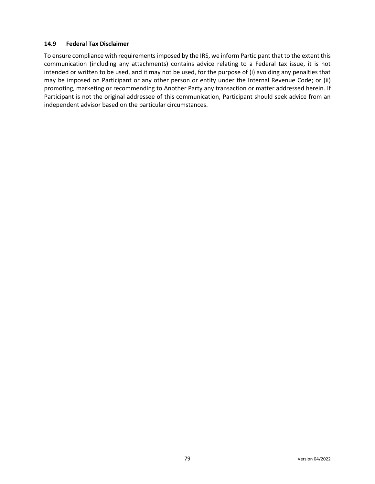#### **14.9 Federal Tax Disclaimer**

To ensure compliance with requirements imposed by the IRS, we inform Participant that to the extent this communication (including any attachments) contains advice relating to a Federal tax issue, it is not intended or written to be used, and it may not be used, for the purpose of (i) avoiding any penalties that may be imposed on Participant or any other person or entity under the Internal Revenue Code; or (ii) promoting, marketing or recommending to Another Party any transaction or matter addressed herein. If Participant is not the original addressee of this communication, Participant should seek advice from an independent advisor based on the particular circumstances.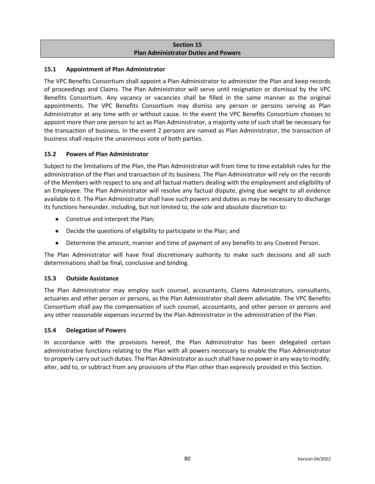# **Section 15 Plan Administrator Duties and Powers**

# **15.1 Appointment of Plan Administrator**

The VPC Benefits Consortium shall appoint a Plan Administrator to administer the Plan and keep records of proceedings and Claims. The Plan Administrator will serve until resignation or dismissal by the VPC Benefits Consortium. Any vacancy or vacancies shall be filled in the same manner as the original appointments. The VPC Benefits Consortium may dismiss any person or persons serving as Plan Administrator at any time with or without cause. In the event the VPC Benefits Consortium chooses to appoint more than one person to act as Plan Administrator, a majority vote of such shall be necessary for the transaction of business. In the event 2 persons are named as Plan Administrator, the transaction of business shall require the unanimous vote of both parties.

# **15.2 Powers of Plan Administrator**

Subject to the limitations of the Plan, the Plan Administrator will from time to time establish rules for the administration of the Plan and transaction of its business. The Plan Administrator will rely on the records of the Members with respect to any and all factual matters dealing with the employment and eligibility of an Employee. The Plan Administrator will resolve any factual dispute, giving due weight to all evidence available to it. The Plan Administrator shall have such powers and duties as may be necessary to discharge its functions hereunder, including, but not limited to, the sole and absolute discretion to:

- Construe and interpret the Plan;
- Decide the questions of eligibility to participate in the Plan; and
- Determine the amount, manner and time of payment of any benefits to any Covered Person.

The Plan Administrator will have final discretionary authority to make such decisions and all such determinations shall be final, conclusive and binding.

### **15.3 Outside Assistance**

The Plan Administrator may employ such counsel, accountants, Claims Administrators, consultants, actuaries and other person or persons, as the Plan Administrator shall deem advisable. The VPC Benefits Consortium shall pay the compensation of such counsel, accountants, and other person or persons and any other reasonable expenses incurred by the Plan Administrator in the administration of the Plan.

### **15.4 Delegation of Powers**

In accordance with the provisions hereof, the Plan Administrator has been delegated certain administrative functions relating to the Plan with all powers necessary to enable the Plan Administrator to properly carry out such duties. The Plan Administrator as such shall have no power in any way to modify, alter, add to, or subtract from any provisions of the Plan other than expressly provided in this Section.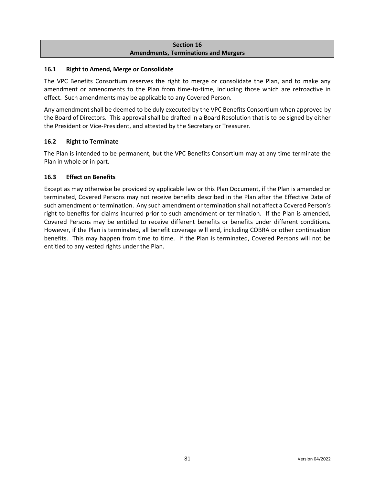# **Section 16 Amendments, Terminations and Mergers**

# **16.1 Right to Amend, Merge or Consolidate**

The VPC Benefits Consortium reserves the right to merge or consolidate the Plan, and to make any amendment or amendments to the Plan from time-to-time, including those which are retroactive in effect. Such amendments may be applicable to any Covered Person.

Any amendment shall be deemed to be duly executed by the VPC Benefits Consortium when approved by the Board of Directors. This approval shall be drafted in a Board Resolution that is to be signed by either the President or Vice-President, and attested by the Secretary or Treasurer.

# **16.2 Right to Terminate**

The Plan is intended to be permanent, but the VPC Benefits Consortium may at any time terminate the Plan in whole or in part.

# **16.3 Effect on Benefits**

Except as may otherwise be provided by applicable law or this Plan Document, if the Plan is amended or terminated, Covered Persons may not receive benefits described in the Plan after the Effective Date of such amendment or termination. Any such amendment or termination shall not affect a Covered Person's right to benefits for claims incurred prior to such amendment or termination. If the Plan is amended, Covered Persons may be entitled to receive different benefits or benefits under different conditions. However, if the Plan is terminated, all benefit coverage will end, including COBRA or other continuation benefits. This may happen from time to time. If the Plan is terminated, Covered Persons will not be entitled to any vested rights under the Plan.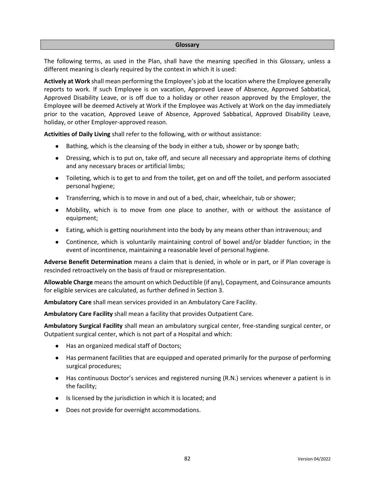#### **Glossary**

The following terms, as used in the Plan, shall have the meaning specified in this Glossary, unless a different meaning is clearly required by the context in which it is used:

**Actively at Work** shall mean performing the Employee's job at the location where the Employee generally reports to work. If such Employee is on vacation, Approved Leave of Absence, Approved Sabbatical, Approved Disability Leave, or is off due to a holiday or other reason approved by the Employer, the Employee will be deemed Actively at Work if the Employee was Actively at Work on the day immediately prior to the vacation, Approved Leave of Absence, Approved Sabbatical, Approved Disability Leave, holiday, or other Employer-approved reason.

**Activities of Daily Living** shall refer to the following, with or without assistance:

- Bathing, which is the cleansing of the body in either a tub, shower or by sponge bath;
- Dressing, which is to put on, take off, and secure all necessary and appropriate items of clothing and any necessary braces or artificial limbs;
- Toileting, which is to get to and from the toilet, get on and off the toilet, and perform associated personal hygiene;
- Transferring, which is to move in and out of a bed, chair, wheelchair, tub or shower;
- Mobility, which is to move from one place to another, with or without the assistance of equipment;
- Eating, which is getting nourishment into the body by any means other than intravenous; and
- Continence, which is voluntarily maintaining control of bowel and/or bladder function; in the event of incontinence, maintaining a reasonable level of personal hygiene.

**Adverse Benefit Determination** means a claim that is denied, in whole or in part, or if Plan coverage is rescinded retroactively on the basis of fraud or misrepresentation.

**Allowable Charge** meansthe amount on which Deductible (if any), Copayment, and Coinsurance amounts for eligible services are calculated, as further defined in Section 3.

**Ambulatory Care** shall mean services provided in an Ambulatory Care Facility.

**Ambulatory Care Facility** shall mean a facility that provides Outpatient Care.

**Ambulatory Surgical Facility** shall mean an ambulatory surgical center, free-standing surgical center, or Outpatient surgical center, which is not part of a Hospital and which:

- Has an organized medical staff of Doctors;
- Has permanent facilities that are equipped and operated primarily for the purpose of performing surgical procedures;
- Has continuous Doctor's services and registered nursing (R.N.) services whenever a patient is in the facility;
- Is licensed by the jurisdiction in which it is located; and
- Does not provide for overnight accommodations.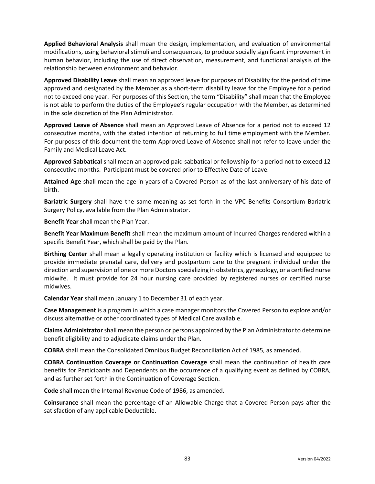**Applied Behavioral Analysis** shall mean the design, implementation, and evaluation of environmental modifications, using behavioral stimuli and consequences, to produce socially significant improvement in human behavior, including the use of direct observation, measurement, and functional analysis of the relationship between environment and behavior.

**Approved Disability Leave** shall mean an approved leave for purposes of Disability for the period of time approved and designated by the Member as a short-term disability leave for the Employee for a period not to exceed one year. For purposes of this Section, the term "Disability" shall mean that the Employee is not able to perform the duties of the Employee's regular occupation with the Member, as determined in the sole discretion of the Plan Administrator.

**Approved Leave of Absence** shall mean an Approved Leave of Absence for a period not to exceed 12 consecutive months, with the stated intention of returning to full time employment with the Member. For purposes of this document the term Approved Leave of Absence shall not refer to leave under the Family and Medical Leave Act.

**Approved Sabbatical** shall mean an approved paid sabbatical or fellowship for a period not to exceed 12 consecutive months. Participant must be covered prior to Effective Date of Leave.

**Attained Age** shall mean the age in years of a Covered Person as of the last anniversary of his date of birth.

**Bariatric Surgery** shall have the same meaning as set forth in the VPC Benefits Consortium Bariatric Surgery Policy, available from the Plan Administrator.

**Benefit Year** shall mean the Plan Year.

**Benefit Year Maximum Benefit** shall mean the maximum amount of Incurred Charges rendered within a specific Benefit Year, which shall be paid by the Plan.

**Birthing Center** shall mean a legally operating institution or facility which is licensed and equipped to provide immediate prenatal care, delivery and postpartum care to the pregnant individual under the direction and supervision of one or more Doctors specializing in obstetrics, gynecology, or a certified nurse midwife. It must provide for 24 hour nursing care provided by registered nurses or certified nurse midwives.

**Calendar Year** shall mean January 1 to December 31 of each year.

**Case Management** is a program in which a case manager monitors the Covered Person to explore and/or discuss alternative or other coordinated types of Medical Care available.

**Claims Administrator**shall mean the person or persons appointed by the Plan Administrator to determine benefit eligibility and to adjudicate claims under the Plan.

**COBRA** shall mean the Consolidated Omnibus Budget Reconciliation Act of 1985, as amended.

**COBRA Continuation Coverage or Continuation Coverage** shall mean the continuation of health care benefits for Participants and Dependents on the occurrence of a qualifying event as defined by COBRA, and as further set forth in the Continuation of Coverage Section.

**Code** shall mean the Internal Revenue Code of 1986, as amended.

**Coinsurance** shall mean the percentage of an Allowable Charge that a Covered Person pays after the satisfaction of any applicable Deductible.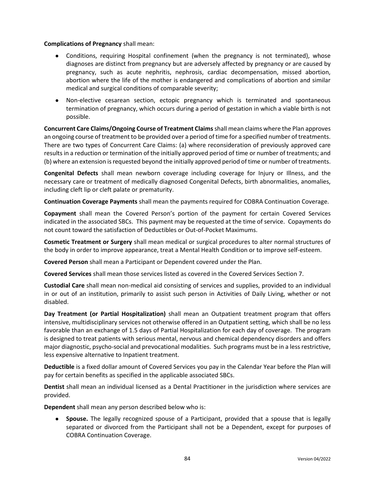#### **Complications of Pregnancy** shall mean:

- Conditions, requiring Hospital confinement (when the pregnancy is not terminated), whose diagnoses are distinct from pregnancy but are adversely affected by pregnancy or are caused by pregnancy, such as acute nephritis, nephrosis, cardiac decompensation, missed abortion, abortion where the life of the mother is endangered and complications of abortion and similar medical and surgical conditions of comparable severity;
- Non-elective cesarean section, ectopic pregnancy which is terminated and spontaneous termination of pregnancy, which occurs during a period of gestation in which a viable birth is not possible.

**Concurrent Care Claims/Ongoing Course of Treatment Claims**shall mean claims where the Plan approves an ongoing course of treatment to be provided over a period of time for a specified number of treatments. There are two types of Concurrent Care Claims: (a) where reconsideration of previously approved care results in a reduction or termination of the initially approved period of time or number of treatments; and (b) where an extension is requested beyond the initially approved period of time or number of treatments.

**Congenital Defects** shall mean newborn coverage including coverage for Injury or Illness, and the necessary care or treatment of medically diagnosed Congenital Defects, birth abnormalities, anomalies, including cleft lip or cleft palate or prematurity.

**Continuation Coverage Payments** shall mean the payments required for COBRA Continuation Coverage.

**Copayment** shall mean the Covered Person's portion of the payment for certain Covered Services indicated in the associated SBCs. This payment may be requested at the time of service. Copayments do not count toward the satisfaction of Deductibles or Out-of-Pocket Maximums.

**Cosmetic Treatment or Surgery** shall mean medical or surgical procedures to alter normal structures of the body in order to improve appearance, treat a Mental Health Condition or to improve self-esteem.

**Covered Person** shall mean a Participant or Dependent covered under the Plan.

**Covered Services** shall mean those services listed as covered in the Covered Services Section 7.

**Custodial Care** shall mean non-medical aid consisting of services and supplies, provided to an individual in or out of an institution, primarily to assist such person in Activities of Daily Living, whether or not disabled.

**Day Treatment (or Partial Hospitalization)** shall mean an Outpatient treatment program that offers intensive, multidisciplinary services not otherwise offered in an Outpatient setting, which shall be no less favorable than an exchange of 1.5 days of Partial Hospitalization for each day of coverage. The program is designed to treat patients with serious mental, nervous and chemical dependency disorders and offers major diagnostic, psycho-social and prevocational modalities. Such programs must be in a less restrictive, less expensive alternative to Inpatient treatment.

**Deductible** is a fixed dollar amount of Covered Services you pay in the Calendar Year before the Plan will pay for certain benefits as specified in the applicable associated SBCs.

**Dentist** shall mean an individual licensed as a Dental Practitioner in the jurisdiction where services are provided.

**Dependent** shall mean any person described below who is:

● **Spouse.** The legally recognized spouse of a Participant, provided that a spouse that is legally separated or divorced from the Participant shall not be a Dependent, except for purposes of COBRA Continuation Coverage.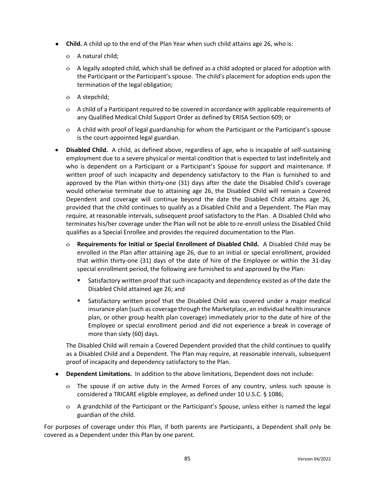- **Child.** A child up to the end of the Plan Year when such child attains age 26, who is:
	- A natural child;
	- A legally adopted child, which shall be defined as a child adopted or placed for adoption with the Participant or the Participant's spouse. The child's placement for adoption ends upon the termination of the legal obligation;
	- A stepchild;
	- A child of a Participant required to be covered in accordance with applicable requirements of any Qualified Medical Child Support Order as defined by ERISA Section 609; or
	- A child with proof of legal guardianship for whom the Participant or the Participant's spouse is the court-appointed legal guardian.
- **Disabled Child.** A child, as defined above, regardless of age, who is incapable of self-sustaining employment due to a severe physical or mental condition that is expected to last indefinitely and who is dependent on a Participant or a Participant's Spouse for support and maintenance. If written proof of such incapacity and dependency satisfactory to the Plan is furnished to and approved by the Plan within thirty-one (31) days after the date the Disabled Child's coverage would otherwise terminate due to attaining age 26, the Disabled Child will remain a Covered Dependent and coverage will continue beyond the date the Disabled Child attains age 26, provided that the child continues to qualify as a Disabled Child and a Dependent. The Plan may require, at reasonable intervals, subsequent proof satisfactory to the Plan. A Disabled Child who terminates his/her coverage under the Plan will not be able to re-enroll unless the Disabled Child qualifies as a Special Enrollee and provides the required documentation to the Plan.
	- **Requirements for Initial or Special Enrollment of Disabled Child.** A Disabled Child may be enrolled in the Plan after attaining age 26, due to an initial or special enrollment, provided that within thirty-one (31) days of the date of hire of the Employee or within the 31-day special enrollment period, the following are furnished to and approved by the Plan:
		- Satisfactory written proof that such incapacity and dependency existed as of the date the Disabled Child attained age 26; and
		- **■** Satisfactory written proof that the Disabled Child was covered under a major medical insurance plan (such as coverage through the Marketplace, an individual health insurance plan, or other group health plan coverage) immediately prior to the date of hire of the Employee or special enrollment period and did not experience a break in coverage of more than sixty (60) days.

The Disabled Child will remain a Covered Dependent provided that the child continues to qualify as a Disabled Child and a Dependent. The Plan may require, at reasonable intervals, subsequent proof of incapacity and dependency satisfactory to the Plan.

- **Dependent Limitations.** In addition to the above limitations, Dependent does not include:
	- The spouse if on active duty in the Armed Forces of any country, unless such spouse is considered a TRICARE eligible employee, as defined under 10 U.S.C. § 1086;
	- A grandchild of the Participant or the Participant's Spouse, unless either is named the legal guardian of the child.

For purposes of coverage under this Plan, if both parents are Participants, a Dependent shall only be covered as a Dependent under this Plan by one parent.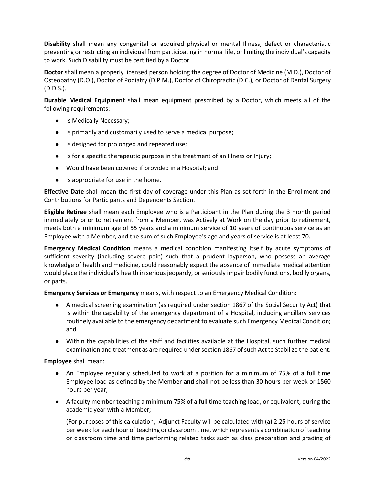**Disability** shall mean any congenital or acquired physical or mental Illness, defect or characteristic preventing or restricting an individual from participating in normal life, or limiting the individual's capacity to work. Such Disability must be certified by a Doctor.

**Doctor** shall mean a properly licensed person holding the degree of Doctor of Medicine (M.D.), Doctor of Osteopathy (D.O.), Doctor of Podiatry (D.P.M.), Doctor of Chiropractic (D.C.), or Doctor of Dental Surgery (D.D.S.).

**Durable Medical Equipment** shall mean equipment prescribed by a Doctor, which meets all of the following requirements:

- Is Medically Necessary;
- Is primarily and customarily used to serve a medical purpose;
- Is designed for prolonged and repeated use;
- Is for a specific therapeutic purpose in the treatment of an Illness or Injury;
- Would have been covered if provided in a Hospital; and
- Is appropriate for use in the home.

**Effective Date** shall mean the first day of coverage under this Plan as set forth in the Enrollment and Contributions for Participants and Dependents Section.

**Eligible Retiree** shall mean each Employee who is a Participant in the Plan during the 3 month period immediately prior to retirement from a Member, was Actively at Work on the day prior to retirement, meets both a minimum age of 55 years and a minimum service of 10 years of continuous service as an Employee with a Member, and the sum of such Employee's age and years of service is at least 70.

**Emergency Medical Condition** means a medical condition manifesting itself by acute symptoms of sufficient severity (including severe pain) such that a prudent layperson, who possess an average knowledge of health and medicine, could reasonably expect the absence of immediate medical attention would place the individual's health in serious jeopardy, or seriously impair bodily functions, bodily organs, or parts.

**Emergency Services or Emergency** means, with respect to an Emergency Medical Condition:

- A medical screening examination (as required under section 1867 of the Social Security Act) that is within the capability of the emergency department of a Hospital, including ancillary services routinely available to the emergency department to evaluate such Emergency Medical Condition; and
- Within the capabilities of the staff and facilities available at the Hospital, such further medical examination and treatment as are required under section 1867 of such Act to Stabilize the patient.

**Employee** shall mean:

- An Employee regularly scheduled to work at a position for a minimum of 75% of a full time Employee load as defined by the Member **and** shall not be less than 30 hours per week or 1560 hours per year;
- A faculty member teaching a minimum 75% of a full time teaching load, or equivalent, during the academic year with a Member;

(For purposes of this calculation, Adjunct Faculty will be calculated with (a) 2.25 hours of service per week for each hour of teaching or classroom time, which represents a combination of teaching or classroom time and time performing related tasks such as class preparation and grading of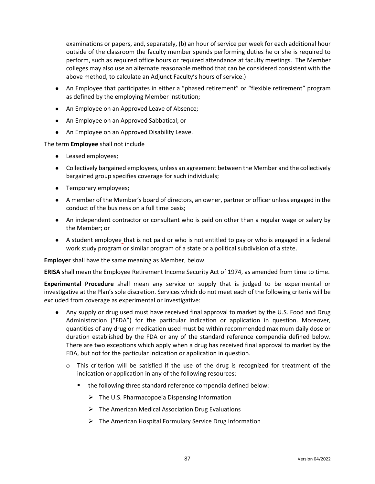examinations or papers, and, separately, (b) an hour of service per week for each additional hour outside of the classroom the faculty member spends performing duties he or she is required to perform, such as required office hours or required attendance at faculty meetings. The Member colleges may also use an alternate reasonable method that can be considered consistent with the above method, to calculate an Adjunct Faculty's hours of service.)

- An Employee that participates in either a "phased retirement" or "flexible retirement" program as defined by the employing Member institution;
- An Employee on an Approved Leave of Absence;
- An Employee on an Approved Sabbatical; or
- An Employee on an Approved Disability Leave.

The term **Employee** shall not include

- Leased employees;
- Collectively bargained employees, unless an agreement between the Member and the collectively bargained group specifies coverage for such individuals;
- Temporary employees;
- A member of the Member's board of directors, an owner, partner or officer unless engaged in the conduct of the business on a full time basis;
- An independent contractor or consultant who is paid on other than a regular wage or salary by the Member; or
- A student employee that is not paid or who is not entitled to pay or who is engaged in a federal work study program or similar program of a state or a political subdivision of a state.

**Employer** shall have the same meaning as Member, below.

**ERISA** shall mean the Employee Retirement Income Security Act of 1974, as amended from time to time.

**Experimental Procedure** shall mean any service or supply that is judged to be experimental or investigative at the Plan's sole discretion. Services which do not meet each of the following criteria will be excluded from coverage as experimental or investigative:

- Any supply or drug used must have received final approval to market by the U.S. Food and Drug Administration ("FDA") for the particular indication or application in question. Moreover, quantities of any drug or medication used must be within recommended maximum daily dose or duration established by the FDA or any of the standard reference compendia defined below. There are two exceptions which apply when a drug has received final approval to market by the FDA, but not for the particular indication or application in question.
	- This criterion will be satisfied if the use of the drug is recognized for treatment of the indication or application in any of the following resources:
		- the following three standard reference compendia defined below:
			- $\triangleright$  The U.S. Pharmacopoeia Dispensing Information
			- $\triangleright$  The American Medical Association Drug Evaluations
			- ➢ The American Hospital Formulary Service Drug Information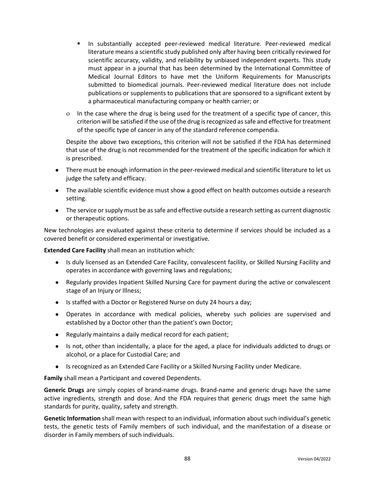- In substantially accepted peer-reviewed medical literature. Peer-reviewed medical literature means a scientific study published only after having been critically reviewed for scientific accuracy, validity, and reliability by unbiased independent experts. This study must appear in a journal that has been determined by the International Committee of Medical Journal Editors to have met the Uniform Requirements for Manuscripts submitted to biomedical journals. Peer-reviewed medical literature does not include publications or supplements to publications that are sponsored to a significant extent by a pharmaceutical manufacturing company or health carrier; or
- $\circ$  In the case where the drug is being used for the treatment of a specific type of cancer, this criterion will be satisfied if the use of the drug is recognized as safe and effective for treatment of the specific type of cancer in any of the standard reference compendia.

Despite the above two exceptions, this criterion will not be satisfied if the FDA has determined that use of the drug is not recommended for the treatment of the specific indication for which it is prescribed.

- There must be enough information in the peer-reviewed medical and scientific literature to let us judge the safety and efficacy.
- The available scientific evidence must show a good effect on health outcomes outside a research setting.
- The service or supply must be as safe and effective outside a research setting as current diagnostic or therapeutic options.

New technologies are evaluated against these criteria to determine if services should be included as a covered benefit or considered experimental or investigative*.*

**Extended Care Facility** shall mean an institution which:

- Is duly licensed as an Extended Care Facility, convalescent facility, or Skilled Nursing Facility and operates in accordance with governing laws and regulations;
- Regularly provides Inpatient Skilled Nursing Care for payment during the active or convalescent stage of an Injury or Illness;
- Is staffed with a Doctor or Registered Nurse on duty 24 hours a day;
- Operates in accordance with medical policies, whereby such policies are supervised and established by a Doctor other than the patient's own Doctor;
- Regularly maintains a daily medical record for each patient;
- Is not, other than incidentally, a place for the aged, a place for individuals addicted to drugs or alcohol, or a place for Custodial Care; and
- Is recognized as an Extended Care Facility or a Skilled Nursing Facility under Medicare.

**Family** shall mean a Participant and covered Dependents.

**Generic Drugs** are simply copies of brand-name drugs. Brand-name and generic drugs have the same active ingredients, strength and dose. And the FDA requires that generic drugs meet the same high standards for purity, quality, safety and strength.

**Genetic Information** shall mean with respect to an individual, information about such individual's genetic tests, the genetic tests of Family members of such individual, and the manifestation of a disease or disorder in Family members of such individuals.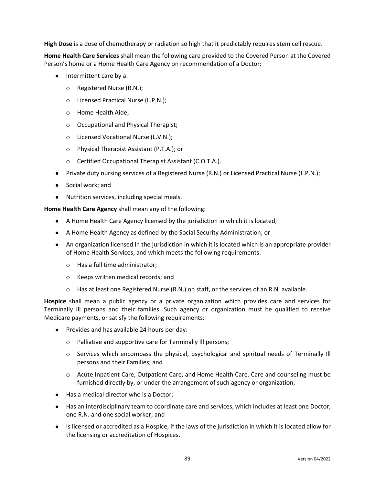**High Dose** is a dose of chemotherapy or radiation so high that it predictably requires stem cell rescue.

**Home Health Care Services** shall mean the following care provided to the Covered Person at the Covered Person's home or a Home Health Care Agency on recommendation of a Doctor:

- Intermittent care by a:
	- o Registered Nurse (R.N.);
	- Licensed Practical Nurse (L.P.N.);
	- o Home Health Aide;
	- Occupational and Physical Therapist;
	- Licensed Vocational Nurse (L.V.N.);
	- Physical Therapist Assistant (P.T.A.); or
	- Certified Occupational Therapist Assistant (C.O.T.A.).
- Private duty nursing services of a Registered Nurse (R.N.) or Licensed Practical Nurse (L.P.N.);
- Social work; and
- Nutrition services, including special meals.

**Home Health Care Agency** shall mean any of the following:

- A Home Health Care Agency licensed by the jurisdiction in which it is located;
- A Home Health Agency as defined by the Social Security Administration; or
- An organization licensed in the jurisdiction in which it is located which is an appropriate provider of Home Health Services, and which meets the following requirements:
	- Has a full time administrator;
	- Keeps written medical records; and
	- Has at least one Registered Nurse (R.N.) on staff, or the services of an R.N. available.

**Hospice** shall mean a public agency or a private organization which provides care and services for Terminally Ill persons and their families. Such agency or organization must be qualified to receive Medicare payments, or satisfy the following requirements:

- Provides and has available 24 hours per day:
	- Palliative and supportive care for Terminally Ill persons;
	- Services which encompass the physical, psychological and spiritual needs of Terminally Ill persons and their Families; and
	- Acute Inpatient Care, Outpatient Care, and Home Health Care. Care and counseling must be furnished directly by, or under the arrangement of such agency or organization;
- Has a medical director who is a Doctor;
- Has an interdisciplinary team to coordinate care and services, which includes at least one Doctor, one R.N. and one social worker; and
- Is licensed or accredited as a Hospice, if the laws of the jurisdiction in which it is located allow for the licensing or accreditation of Hospices.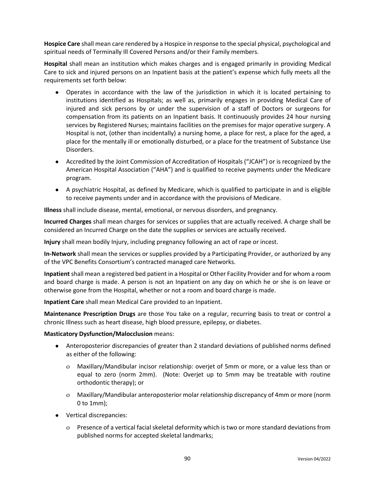**Hospice Care** shall mean care rendered by a Hospice in response to the special physical, psychological and spiritual needs of Terminally Ill Covered Persons and/or their Family members.

**Hospital** shall mean an institution which makes charges and is engaged primarily in providing Medical Care to sick and injured persons on an Inpatient basis at the patient's expense which fully meets all the requirements set forth below:

- Operates in accordance with the law of the jurisdiction in which it is located pertaining to institutions identified as Hospitals; as well as, primarily engages in providing Medical Care of injured and sick persons by or under the supervision of a staff of Doctors or surgeons for compensation from its patients on an Inpatient basis. It continuously provides 24 hour nursing services by Registered Nurses; maintains facilities on the premises for major operative surgery. A Hospital is not, (other than incidentally) a nursing home, a place for rest, a place for the aged, a place for the mentally ill or emotionally disturbed, or a place for the treatment of Substance Use Disorders.
- Accredited by the Joint Commission of Accreditation of Hospitals ("JCAH") or is recognized by the American Hospital Association ("AHA") and is qualified to receive payments under the Medicare program.
- A psychiatric Hospital, as defined by Medicare, which is qualified to participate in and is eligible to receive payments under and in accordance with the provisions of Medicare.

**Illness** shall include disease, mental, emotional, or nervous disorders, and pregnancy.

**Incurred Charges** shall mean charges for services or supplies that are actually received. A charge shall be considered an Incurred Charge on the date the supplies or services are actually received.

**Injury** shall mean bodily Injury, including pregnancy following an act of rape or incest.

**In-Network** shall mean the services or supplies provided by a Participating Provider, or authorized by any of the VPC Benefits Consortium's contracted managed care Networks.

**Inpatient** shall mean a registered bed patient in a Hospital or Other Facility Provider and for whom a room and board charge is made. A person is not an Inpatient on any day on which he or she is on leave or otherwise gone from the Hospital, whether or not a room and board charge is made.

**Inpatient Care** shall mean Medical Care provided to an Inpatient.

**Maintenance Prescription Drugs** are those You take on a regular, recurring basis to treat or control a chronic Illness such as heart disease, high blood pressure, epilepsy, or diabetes.

### **Masticatory Dysfunction/Malocclusion** means:

- Anteroposterior discrepancies of greater than 2 standard deviations of published norms defined as either of the following:
	- Maxillary/Mandibular incisor relationship: overjet of 5mm or more, or a value less than or equal to zero (norm 2mm). (Note: Overjet up to 5mm may be treatable with routine orthodontic therapy); or
	- Maxillary/Mandibular anteroposterior molar relationship discrepancy of 4mm or more (norm 0 to 1mm);
- Vertical discrepancies:
	- Presence of a vertical facial skeletal deformity which is two or more standard deviations from published norms for accepted skeletal landmarks;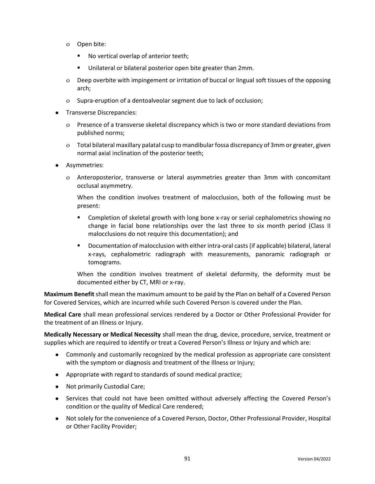- o Open bite:
	- No vertical overlap of anterior teeth;
	- Unilateral or bilateral posterior open bite greater than 2mm.
- Deep overbite with impingement or irritation of buccal or lingual soft tissues of the opposing arch;
- o Supra-eruption of a dentoalveolar segment due to lack of occlusion;
- Transverse Discrepancies:
	- Presence of a transverse skeletal discrepancy which is two or more standard deviations from published norms;
	- Total bilateral maxillary palatal cusp to mandibular fossa discrepancy of 3mm or greater, given normal axial inclination of the posterior teeth;
- Asymmetries:
	- Anteroposterior, transverse or lateral asymmetries greater than 3mm with concomitant occlusal asymmetry.

When the condition involves treatment of malocclusion, both of the following must be present:

- Completion of skeletal growth with long bone x-ray or serial cephalometrics showing no change in facial bone relationships over the last three to six month period (Class II malocclusions do not require this documentation); and
- Documentation of malocclusion with either intra-oral casts (if applicable) bilateral, lateral x-rays, cephalometric radiograph with measurements, panoramic radiograph or tomograms.

When the condition involves treatment of skeletal deformity, the deformity must be documented either by CT, MRI or x-ray.

**Maximum Benefit** shall mean the maximum amount to be paid by the Plan on behalf of a Covered Person for Covered Services, which are incurred while such Covered Person is covered under the Plan.

**Medical Care** shall mean professional services rendered by a Doctor or Other Professional Provider for the treatment of an Illness or Injury.

**Medically Necessary or Medical Necessity** shall mean the drug, device, procedure, service, treatment or supplies which are required to identify or treat a Covered Person's Illness or Injury and which are:

- Commonly and customarily recognized by the medical profession as appropriate care consistent with the symptom or diagnosis and treatment of the Illness or Injury;
- Appropriate with regard to standards of sound medical practice;
- Not primarily Custodial Care;
- Services that could not have been omitted without adversely affecting the Covered Person's condition or the quality of Medical Care rendered;
- Not solely for the convenience of a Covered Person, Doctor, Other Professional Provider, Hospital or Other Facility Provider;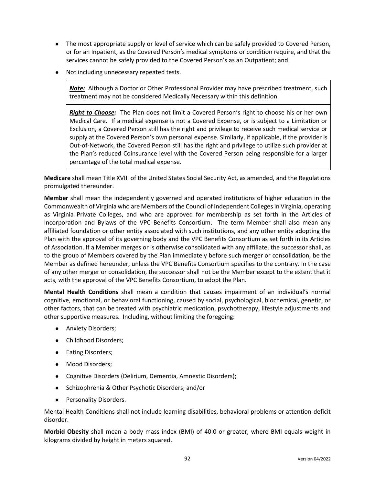- The most appropriate supply or level of service which can be safely provided to Covered Person, or for an Inpatient, as the Covered Person's medical symptoms or condition require, and that the services cannot be safely provided to the Covered Person's as an Outpatient; and
- Not including unnecessary repeated tests.

*Note:*Although a Doctor or Other Professional Provider may have prescribed treatment, such treatment may not be considered Medically Necessary within this definition.

*Right to Choose:* The Plan does not limit a Covered Person's right to choose his or her own Medical Care**.** If a medical expense is not a Covered Expense, or is subject to a Limitation or Exclusion, a Covered Person still has the right and privilege to receive such medical service or supply at the Covered Person's own personal expense. Similarly, if applicable, if the provider is Out-of-Network, the Covered Person still has the right and privilege to utilize such provider at the Plan's reduced Coinsurance level with the Covered Person being responsible for a larger percentage of the total medical expense.

**Medicare** shall mean Title XVIII of the United States Social Security Act, as amended, and the Regulations promulgated thereunder.

**Member** shall mean the independently governed and operated institutions of higher education in the Commonwealth of Virginia who are Members of the Council of Independent Colleges in Virginia, operating as Virginia Private Colleges, and who are approved for membership as set forth in the Articles of Incorporation and Bylaws of the VPC Benefits Consortium. The term Member shall also mean any affiliated foundation or other entity associated with such institutions, and any other entity adopting the Plan with the approval of its governing body and the VPC Benefits Consortium as set forth in its Articles of Association. If a Member merges or is otherwise consolidated with any affiliate, the successor shall, as to the group of Members covered by the Plan immediately before such merger or consolidation, be the Member as defined hereunder, unless the VPC Benefits Consortium specifies to the contrary. In the case of any other merger or consolidation, the successor shall not be the Member except to the extent that it acts, with the approval of the VPC Benefits Consortium, to adopt the Plan.

**Mental Health Conditions** shall mean a condition that causes impairment of an individual's normal cognitive, emotional, or behavioral functioning, caused by social, psychological, biochemical, genetic, or other factors, that can be treated with [psychiatric medication,](http://www.free-definition.com/Psychiatric-medication.html) [psychotherapy,](http://www.free-definition.com/Psychotherapy.html) lifestyle adjustments and other supportive measures. Including, without limiting the foregoing:

- Anxiety Disorders;
- Childhood Disorders;
- Eating Disorders;
- Mood Disorders;
- Cognitive Disorders (Delirium, Dementia, Amnestic Disorders);
- Schizophrenia & Other Psychotic Disorders; and/or
- Personality Disorders.

Mental Health Conditions shall not include learning disabilities, behavioral problems or attention-deficit disorder.

**Morbid Obesity** shall mean a body mass index (BMI) of 40.0 or greater, where BMI equals weight in kilograms divided by height in meters squared.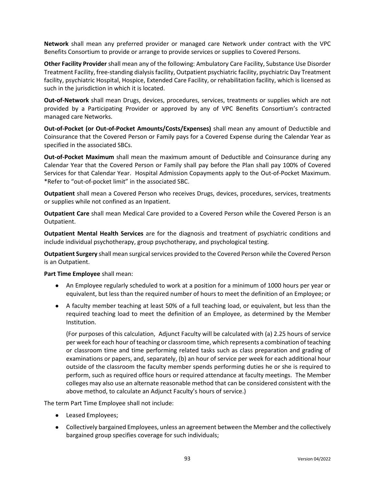**Network** shall mean any preferred provider or managed care Network under contract with the VPC Benefits Consortium to provide or arrange to provide services or supplies to Covered Persons.

**Other Facility Provider** shall mean any of the following: Ambulatory Care Facility, Substance Use Disorder Treatment Facility, free-standing dialysis facility, Outpatient psychiatric facility, psychiatric Day Treatment facility, psychiatric Hospital, Hospice, Extended Care Facility, or rehabilitation facility, which is licensed as such in the jurisdiction in which it is located.

**Out-of-Network** shall mean Drugs, devices, procedures, services, treatments or supplies which are not provided by a Participating Provider or approved by any of VPC Benefits Consortium's contracted managed care Networks.

**Out-of-Pocket (or Out-of-Pocket Amounts/Costs/Expenses)** shall mean any amount of Deductible and Coinsurance that the Covered Person or Family pays for a Covered Expense during the Calendar Year as specified in the associated SBCs.

**Out-of-Pocket Maximum** shall mean the maximum amount of Deductible and Coinsurance during any Calendar Year that the Covered Person or Family shall pay before the Plan shall pay 100% of Covered Services for that Calendar Year. Hospital Admission Copayments apply to the Out-of-Pocket Maximum. \*Refer to "out-of-pocket limit" in the associated SBC.

**Outpatient** shall mean a Covered Person who receives Drugs, devices, procedures, services, treatments or supplies while not confined as an Inpatient.

**Outpatient Care** shall mean Medical Care provided to a Covered Person while the Covered Person is an Outpatient.

**Outpatient Mental Health Services** are for the diagnosis and treatment of psychiatric conditions and include individual psychotherapy, group psychotherapy, and psychological testing.

**Outpatient Surgery** shall mean surgical services provided to the Covered Person while the Covered Person is an Outpatient.

### **Part Time Employee** shall mean:

- An Employee regularly scheduled to work at a position for a minimum of 1000 hours per year or equivalent, but less than the required number of hours to meet the definition of an Employee; or
- A faculty member teaching at least 50% of a full teaching load, or equivalent, but less than the required teaching load to meet the definition of an Employee, as determined by the Member Institution.

(For purposes of this calculation, Adjunct Faculty will be calculated with (a) 2.25 hours of service per week for each hour of teaching or classroom time, which represents a combination of teaching or classroom time and time performing related tasks such as class preparation and grading of examinations or papers, and, separately, (b) an hour of service per week for each additional hour outside of the classroom the faculty member spends performing duties he or she is required to perform, such as required office hours or required attendance at faculty meetings. The Member colleges may also use an alternate reasonable method that can be considered consistent with the above method, to calculate an Adjunct Faculty's hours of service.)

The term Part Time Employee shall not include:

- Leased Employees;
- Collectively bargained Employees, unless an agreement between the Member and the collectively bargained group specifies coverage for such individuals;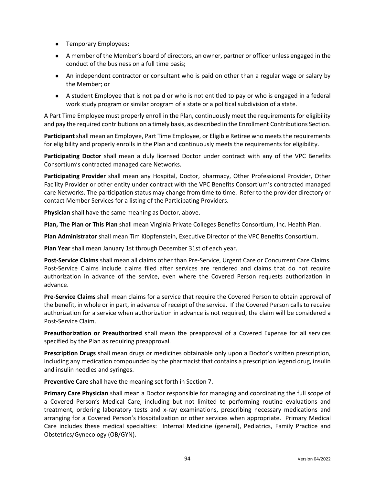- Temporary Employees;
- A member of the Member's board of directors, an owner, partner or officer unless engaged in the conduct of the business on a full time basis;
- An independent contractor or consultant who is paid on other than a regular wage or salary by the Member; or
- A student Employee that is not paid or who is not entitled to pay or who is engaged in a federal work study program or similar program of a state or a political subdivision of a state.

A Part Time Employee must properly enroll in the Plan, continuously meet the requirements for eligibility and pay the required contributions on a timely basis, as described in the Enrollment Contributions Section.

**Participant** shall mean an Employee, Part Time Employee, or Eligible Retiree who meets the requirements for eligibility and properly enrolls in the Plan and continuously meets the requirements for eligibility.

**Participating Doctor** shall mean a duly licensed Doctor under contract with any of the VPC Benefits Consortium's contracted managed care Networks.

**Participating Provider** shall mean any Hospital, Doctor, pharmacy, Other Professional Provider, Other Facility Provider or other entity under contract with the VPC Benefits Consortium's contracted managed care Networks. The participation status may change from time to time. Refer to the provider directory or contact Member Services for a listing of the Participating Providers.

**Physician** shall have the same meaning as Doctor, above.

**Plan, The Plan or This Plan** shall mean Virginia Private Colleges Benefits Consortium, Inc. Health Plan.

**Plan Administrator** shall mean Tim Klopfenstein, Executive Director of the VPC Benefits Consortium.

**Plan Year** shall mean January 1st through December 31st of each year.

**Post-Service Claims** shall mean all claims other than Pre-Service, Urgent Care or Concurrent Care Claims. Post-Service Claims include claims filed after services are rendered and claims that do not require authorization in advance of the service, even where the Covered Person requests authorization in advance.

**Pre-Service Claims** shall mean claims for a service that require the Covered Person to obtain approval of the benefit, in whole or in part, in advance of receipt of the service. If the Covered Person calls to receive authorization for a service when authorization in advance is not required, the claim will be considered a Post-Service Claim.

**Preauthorization or Preauthorized** shall mean the preapproval of a Covered Expense for all services specified by the Plan as requiring preapproval.

**Prescription Drugs** shall mean drugs or medicines obtainable only upon a Doctor's written prescription, including any medication compounded by the pharmacist that contains a prescription legend drug, insulin and insulin needles and syringes.

**Preventive Care** shall have the meaning set forth in Section 7.

**Primary Care Physician** shall mean a Doctor responsible for managing and coordinating the full scope of a Covered Person's Medical Care, including but not limited to performing routine evaluations and treatment, ordering laboratory tests and x-ray examinations, prescribing necessary medications and arranging for a Covered Person's Hospitalization or other services when appropriate. Primary Medical Care includes these medical specialties: Internal Medicine (general), Pediatrics, Family Practice and Obstetrics/Gynecology (OB/GYN).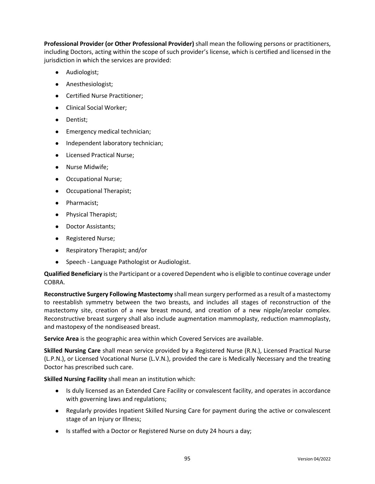**Professional Provider (or Other Professional Provider)** shall mean the following persons or practitioners, including Doctors, acting within the scope of such provider's license, which is certified and licensed in the jurisdiction in which the services are provided:

- Audiologist;
- Anesthesiologist;
- Certified Nurse Practitioner;
- Clinical Social Worker;
- Dentist;
- Emergency medical technician;
- Independent laboratory technician;
- Licensed Practical Nurse;
- Nurse Midwife;
- Occupational Nurse;
- Occupational Therapist;
- Pharmacist;
- Physical Therapist;
- Doctor Assistants;
- Registered Nurse;
- Respiratory Therapist; and/or
- Speech Language Pathologist or Audiologist.

**Qualified Beneficiary** is the Participant or a covered Dependent who is eligible to continue coverage under COBRA.

**Reconstructive Surgery Following Mastectomy** shall mean surgery performed as a result of a mastectomy to reestablish symmetry between the two breasts, and includes all stages of reconstruction of the mastectomy site, creation of a new breast mound, and creation of a new nipple/areolar complex. Reconstructive breast surgery shall also include augmentation mammoplasty, reduction mammoplasty, and mastopexy of the nondiseased breast.

**Service Area** is the geographic area within which Covered Services are available.

**Skilled Nursing Care** shall mean service provided by a Registered Nurse (R.N.), Licensed Practical Nurse (L.P.N.), or Licensed Vocational Nurse (L.V.N.), provided the care is Medically Necessary and the treating Doctor has prescribed such care.

**Skilled Nursing Facility** shall mean an institution which:

- Is duly licensed as an Extended Care Facility or convalescent facility, and operates in accordance with governing laws and regulations;
- Regularly provides Inpatient Skilled Nursing Care for payment during the active or convalescent stage of an Injury or Illness;
- Is staffed with a Doctor or Registered Nurse on duty 24 hours a day;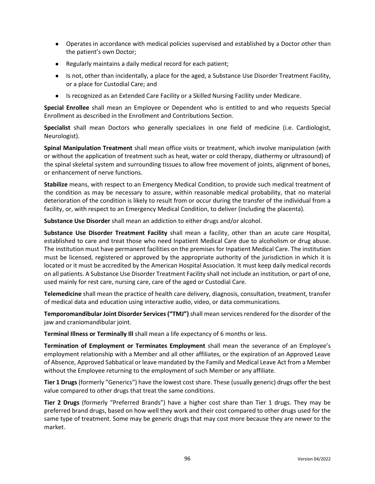- Operates in accordance with medical policies supervised and established by a Doctor other than the patient's own Doctor;
- Regularly maintains a daily medical record for each patient;
- Is not, other than incidentally, a place for the aged, a Substance Use Disorder Treatment Facility, or a place for Custodial Care; and
- Is recognized as an Extended Care Facility or a Skilled Nursing Facility under Medicare.

**Special Enrollee** shall mean an Employee or Dependent who is entitled to and who requests Special Enrollment as described in the Enrollment and Contributions Section.

**Specialist** shall mean Doctors who generally specializes in one field of medicine (i.e. Cardiologist, Neurologist).

**Spinal Manipulation Treatment** shall mean office visits or treatment, which involve manipulation (with or without the application of treatment such as heat, water or cold therapy, diathermy or ultrasound) of the spinal skeletal system and surrounding tissues to allow free movement of joints, alignment of bones, or enhancement of nerve functions.

**Stabilize** means, with respect to an Emergency Medical Condition, to provide such medical treatment of the condition as may be necessary to assure, within reasonable medical probability, that no material deterioration of the condition is likely to result from or occur during the transfer of the individual from a facility, or, with respect to an Emergency Medical Condition, to deliver (including the placenta).

**Substance Use Disorder** shall mean an addiction to either drugs and/or alcohol.

**Substance Use Disorder Treatment Facility** shall mean a facility, other than an acute care Hospital, established to care and treat those who need Inpatient Medical Care due to alcoholism or drug abuse. The institution must have permanent facilities on the premises for Inpatient Medical Care. The institution must be licensed, registered or approved by the appropriate authority of the jurisdiction in which it is located or it must be accredited by the American Hospital Association. It must keep daily medical records on all patients. A Substance Use Disorder Treatment Facility shall not include an institution, or part of one, used mainly for rest care, nursing care, care of the aged or Custodial Care.

**Telemedicine** shall mean the practice of health care delivery, diagnosis, consultation, treatment, transfer of medical data and education using interactive audio, video, or data communications.

**Temporomandibular Joint Disorder Services ("TMJ")** shall mean services rendered for the disorder of the jaw and craniomandibular joint.

**Terminal Illness or Terminally Ill** shall mean a life expectancy of 6 months or less.

**Termination of Employment or Terminates Employment** shall mean the severance of an Employee's employment relationship with a Member and all other affiliates, or the expiration of an Approved Leave of Absence, Approved Sabbatical or leave mandated by the Family and Medical Leave Act from a Member without the Employee returning to the employment of such Member or any affiliate.

**Tier 1 Drugs** (formerly "Generics") have the lowest cost share. These (usually generic) drugs offer the best value compared to other drugs that treat the same conditions.

**Tier 2 Drugs** (formerly "Preferred Brands") have a higher cost share than Tier 1 drugs. They may be preferred brand drugs, based on how well they work and their cost compared to other drugs used for the same type of treatment. Some may be generic drugs that may cost more because they are newer to the market.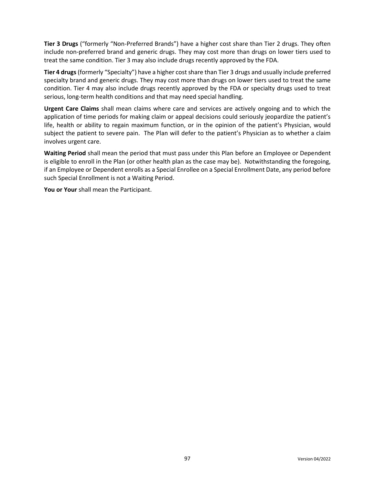**Tier 3 Drugs** ("formerly "Non-Preferred Brands") have a higher cost share than Tier 2 drugs. They often include non-preferred brand and generic drugs. They may cost more than drugs on lower tiers used to treat the same condition. Tier 3 may also include drugs recently approved by the FDA.

**Tier 4 drugs**(formerly "Specialty") have a higher cost share than Tier 3 drugs and usually include preferred specialty brand and generic drugs. They may cost more than drugs on lower tiers used to treat the same condition. Tier 4 may also include drugs recently approved by the FDA or specialty drugs used to treat serious, long-term health conditions and that may need special handling.

**Urgent Care Claims** shall mean claims where care and services are actively ongoing and to which the application of time periods for making claim or appeal decisions could seriously jeopardize the patient's life, health or ability to regain maximum function, or in the opinion of the patient's Physician, would subject the patient to severe pain. The Plan will defer to the patient's Physician as to whether a claim involves urgent care.

**Waiting Period** shall mean the period that must pass under this Plan before an Employee or Dependent is eligible to enroll in the Plan (or other health plan as the case may be). Notwithstanding the foregoing, if an Employee or Dependent enrolls as a Special Enrollee on a Special Enrollment Date, any period before such Special Enrollment is not a Waiting Period.

**You or Your** shall mean the Participant.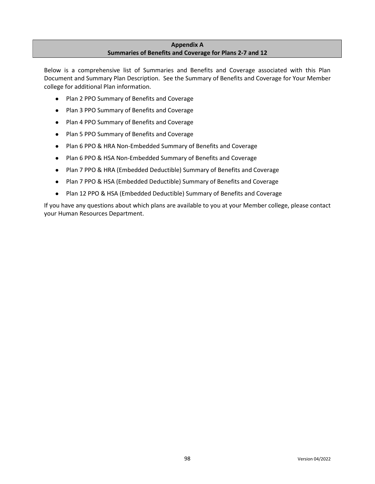# **Appendix A Summaries of Benefits and Coverage for Plans 2-7 and 12**

Below is a comprehensive list of Summaries and Benefits and Coverage associated with this Plan Document and Summary Plan Description. See the Summary of Benefits and Coverage for Your Member college for additional Plan information.

- Plan 2 PPO Summary of Benefits and Coverage
- Plan 3 PPO Summary of Benefits and Coverage
- Plan 4 PPO Summary of Benefits and Coverage
- Plan 5 PPO Summary of Benefits and Coverage
- Plan 6 PPO & HRA Non-Embedded Summary of Benefits and Coverage
- Plan 6 PPO & HSA Non-Embedded Summary of Benefits and Coverage
- Plan 7 PPO & HRA (Embedded Deductible) Summary of Benefits and Coverage
- Plan 7 PPO & HSA (Embedded Deductible) Summary of Benefits and Coverage
- Plan 12 PPO & HSA (Embedded Deductible) Summary of Benefits and Coverage

If you have any questions about which plans are available to you at your Member college, please contact your Human Resources Department.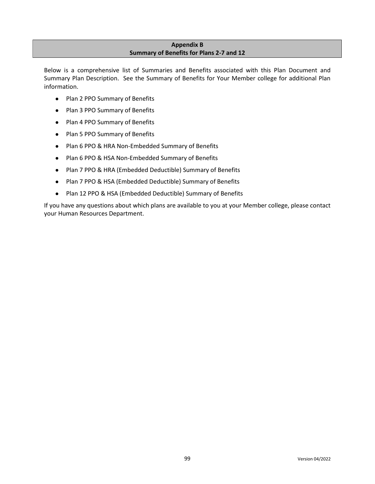# **Appendix B Summary of Benefits for Plans 2-7 and 12**

Below is a comprehensive list of Summaries and Benefits associated with this Plan Document and Summary Plan Description. See the Summary of Benefits for Your Member college for additional Plan information.

- Plan 2 PPO Summary of Benefits
- Plan 3 PPO Summary of Benefits
- Plan 4 PPO Summary of Benefits
- Plan 5 PPO Summary of Benefits
- Plan 6 PPO & HRA Non-Embedded Summary of Benefits
- Plan 6 PPO & HSA Non-Embedded Summary of Benefits
- Plan 7 PPO & HRA (Embedded Deductible) Summary of Benefits
- Plan 7 PPO & HSA (Embedded Deductible) Summary of Benefits
- Plan 12 PPO & HSA (Embedded Deductible) Summary of Benefits

If you have any questions about which plans are available to you at your Member college, please contact your Human Resources Department.